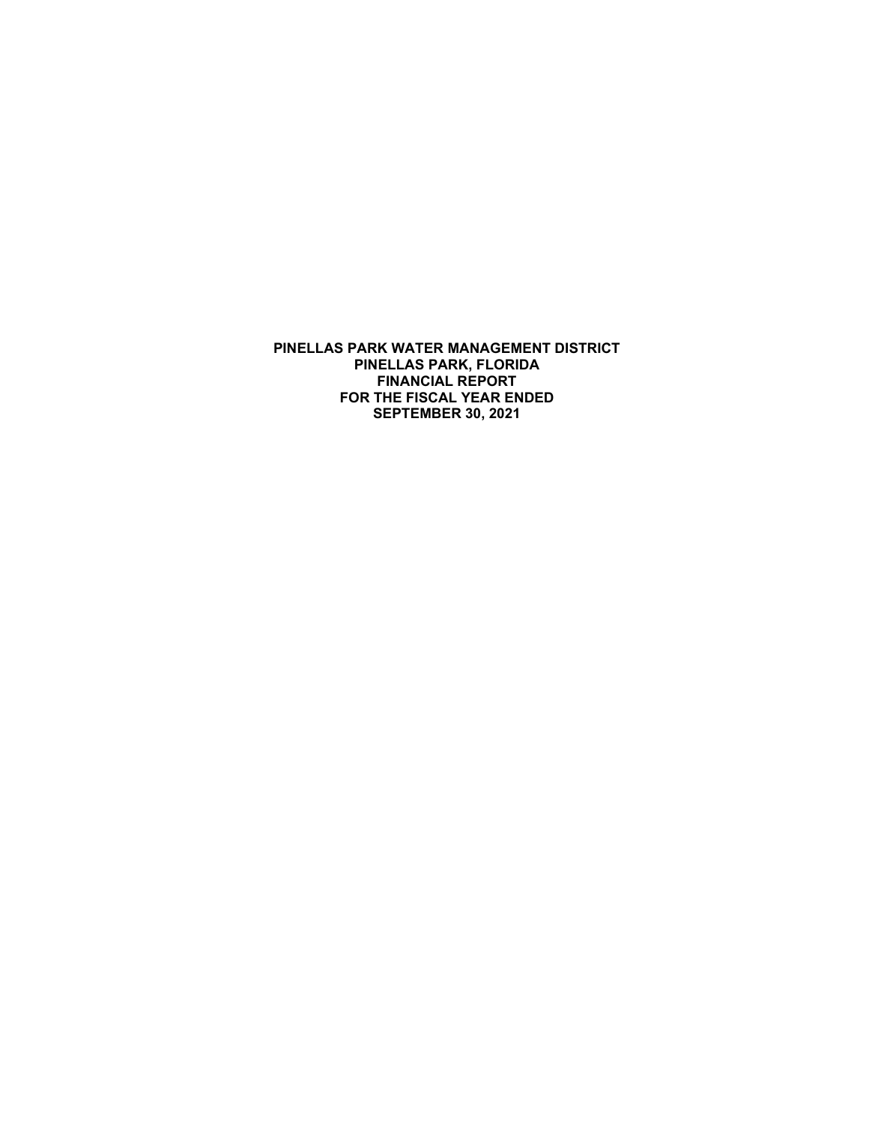**PINELLAS PARK WATER MANAGEMENT DISTRICT PINELLAS PARK, FLORIDA FINANCIAL REPORT FOR THE FISCAL YEAR ENDED SEPTEMBER 30, 2021**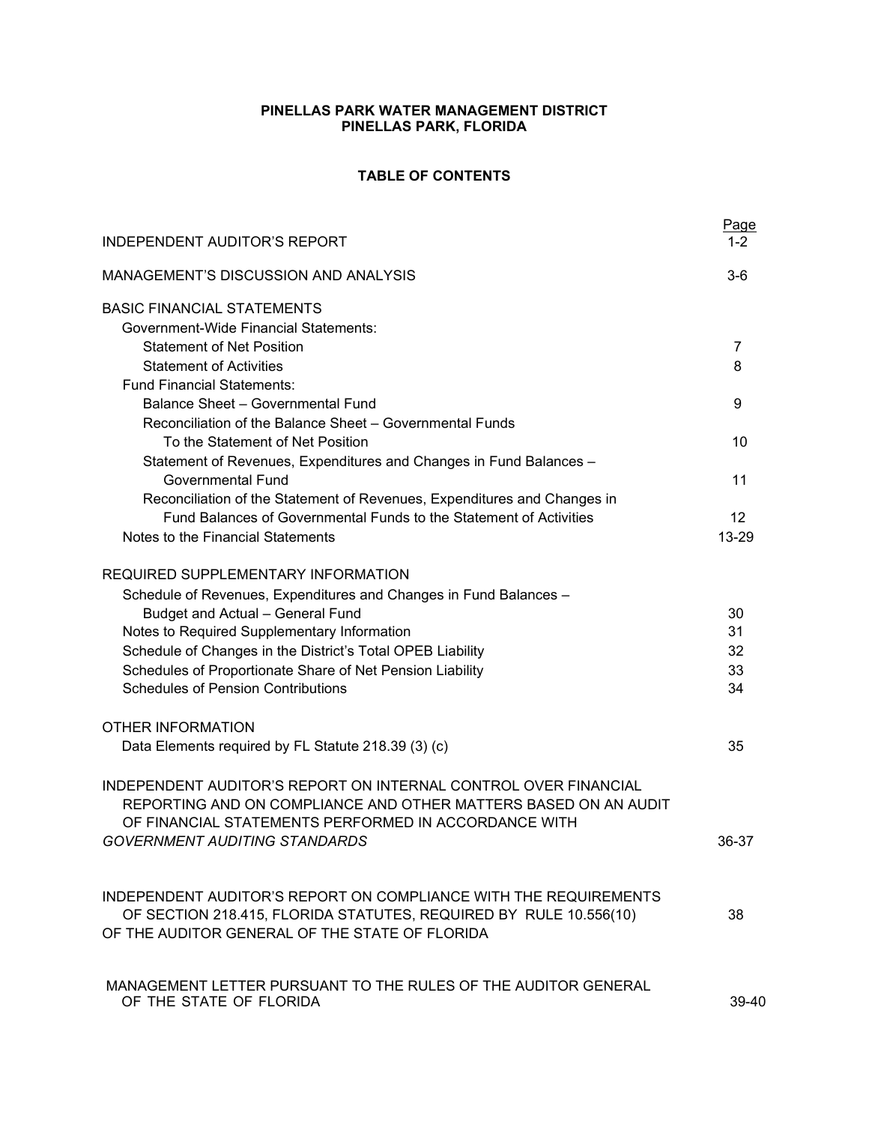# **PINELLAS PARK WATER MANAGEMENT DISTRICT PINELLAS PARK, FLORIDA**

# **TABLE OF CONTENTS**

| <b>INDEPENDENT AUDITOR'S REPORT</b>                                                                                                                                                        | Page  |
|--------------------------------------------------------------------------------------------------------------------------------------------------------------------------------------------|-------|
| <b>MANAGEMENT'S DISCUSSION AND ANALYSIS</b>                                                                                                                                                | $3-6$ |
| <b>BASIC FINANCIAL STATEMENTS</b><br><b>Government-Wide Financial Statements:</b>                                                                                                          |       |
| <b>Statement of Net Position</b>                                                                                                                                                           | 7     |
| <b>Statement of Activities</b>                                                                                                                                                             | 8     |
| <b>Fund Financial Statements:</b>                                                                                                                                                          |       |
| <b>Balance Sheet - Governmental Fund</b>                                                                                                                                                   | 9     |
| Reconciliation of the Balance Sheet - Governmental Funds                                                                                                                                   |       |
| To the Statement of Net Position                                                                                                                                                           | 10    |
| Statement of Revenues, Expenditures and Changes in Fund Balances -                                                                                                                         |       |
| <b>Governmental Fund</b>                                                                                                                                                                   | 11    |
| Reconciliation of the Statement of Revenues, Expenditures and Changes in                                                                                                                   |       |
| Fund Balances of Governmental Funds to the Statement of Activities                                                                                                                         | 12    |
| Notes to the Financial Statements                                                                                                                                                          | 13-29 |
| REQUIRED SUPPLEMENTARY INFORMATION                                                                                                                                                         |       |
| Schedule of Revenues, Expenditures and Changes in Fund Balances -                                                                                                                          |       |
| <b>Budget and Actual - General Fund</b>                                                                                                                                                    | 30    |
| Notes to Required Supplementary Information                                                                                                                                                | 31    |
| Schedule of Changes in the District's Total OPEB Liability                                                                                                                                 | 32    |
| Schedules of Proportionate Share of Net Pension Liability                                                                                                                                  | 33    |
| <b>Schedules of Pension Contributions</b>                                                                                                                                                  | 34    |
| <b>OTHER INFORMATION</b>                                                                                                                                                                   |       |
| Data Elements required by FL Statute 218.39 (3) (c)                                                                                                                                        | 35    |
| INDEPENDENT AUDITOR'S REPORT ON INTERNAL CONTROL OVER FINANCIAL<br>REPORTING AND ON COMPLIANCE AND OTHER MATTERS BASED ON AN AUDIT<br>OF FINANCIAL STATEMENTS PERFORMED IN ACCORDANCE WITH |       |
| <b>GOVERNMENT AUDITING STANDARDS</b>                                                                                                                                                       | 36-37 |
|                                                                                                                                                                                            |       |
| INDEPENDENT AUDITOR'S REPORT ON COMPLIANCE WITH THE REQUIREMENTS                                                                                                                           |       |
| OF SECTION 218.415, FLORIDA STATUTES, REQUIRED BY RULE 10.556(10)<br>OF THE AUDITOR GENERAL OF THE STATE OF FLORIDA                                                                        | 38    |
|                                                                                                                                                                                            |       |
| MANAGEMENT LETTER PURSUANT TO THE RULES OF THE AUDITOR GENERAL<br>OF THE STATE OF FLORIDA                                                                                                  | 39-40 |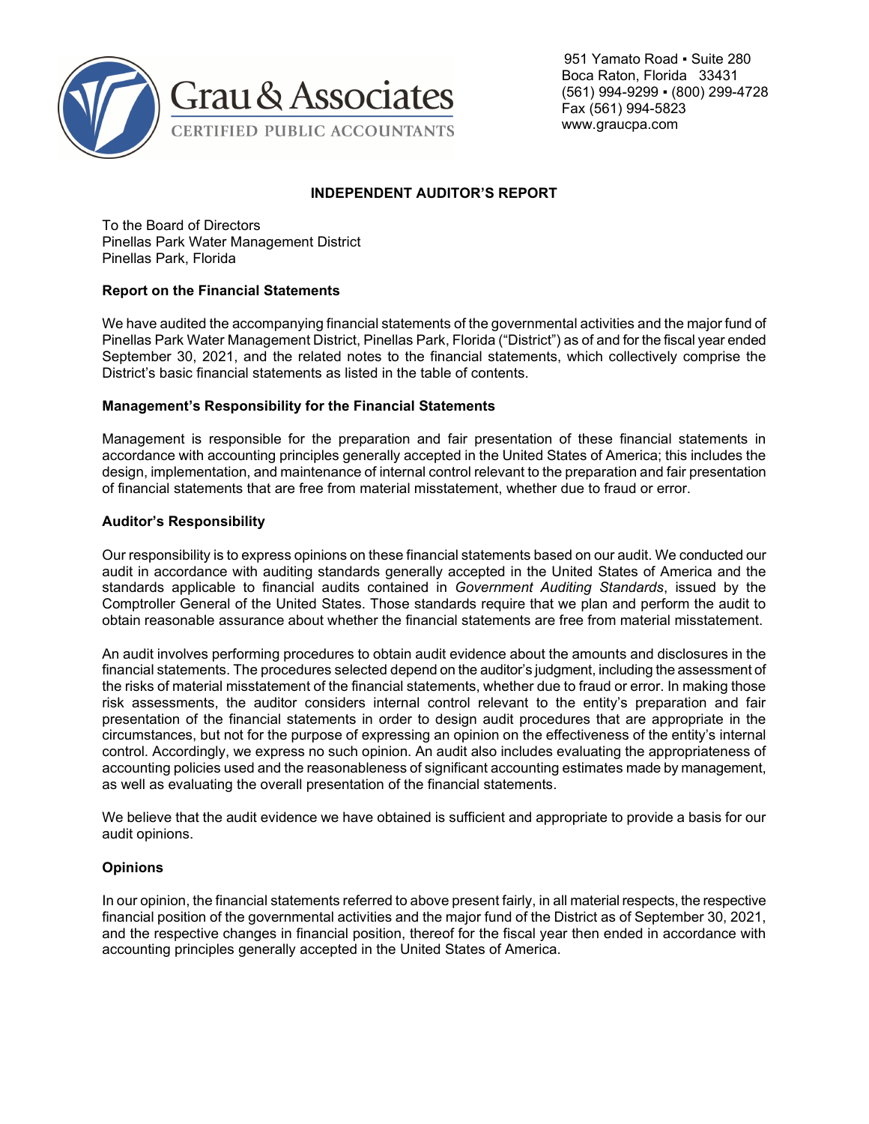

 951 Yamato Road ▪ Suite 280 Boca Raton, Florida 33431 (561) 994-9299 ▪ (800) 299-4728 Fax (561) 994-5823 www.graucpa.com

# **INDEPENDENT AUDITOR'S REPORT**

To the Board of Directors Pinellas Park Water Management District Pinellas Park, Florida

# **Report on the Financial Statements**

We have audited the accompanying financial statements of the governmental activities and the major fund of Pinellas Park Water Management District, Pinellas Park, Florida ("District") as of and for the fiscal year ended September 30, 2021, and the related notes to the financial statements, which collectively comprise the District's basic financial statements as listed in the table of contents.

# **Management's Responsibility for the Financial Statements**

Management is responsible for the preparation and fair presentation of these financial statements in accordance with accounting principles generally accepted in the United States of America; this includes the design, implementation, and maintenance of internal control relevant to the preparation and fair presentation of financial statements that are free from material misstatement, whether due to fraud or error.

# **Auditor's Responsibility**

Our responsibility is to express opinions on these financial statements based on our audit. We conducted our audit in accordance with auditing standards generally accepted in the United States of America and the standards applicable to financial audits contained in *Government Auditing Standards*, issued by the Comptroller General of the United States. Those standards require that we plan and perform the audit to obtain reasonable assurance about whether the financial statements are free from material misstatement.

An audit involves performing procedures to obtain audit evidence about the amounts and disclosures in the financial statements. The procedures selected depend on the auditor's judgment, including the assessment of the risks of material misstatement of the financial statements, whether due to fraud or error. In making those risk assessments, the auditor considers internal control relevant to the entity's preparation and fair presentation of the financial statements in order to design audit procedures that are appropriate in the circumstances, but not for the purpose of expressing an opinion on the effectiveness of the entity's internal control. Accordingly, we express no such opinion. An audit also includes evaluating the appropriateness of accounting policies used and the reasonableness of significant accounting estimates made by management, as well as evaluating the overall presentation of the financial statements.

We believe that the audit evidence we have obtained is sufficient and appropriate to provide a basis for our audit opinions.

#### **Opinions**

In our opinion, the financial statements referred to above present fairly, in all material respects, the respective financial position of the governmental activities and the major fund of the District as of September 30, 2021, and the respective changes in financial position, thereof for the fiscal year then ended in accordance with accounting principles generally accepted in the United States of America.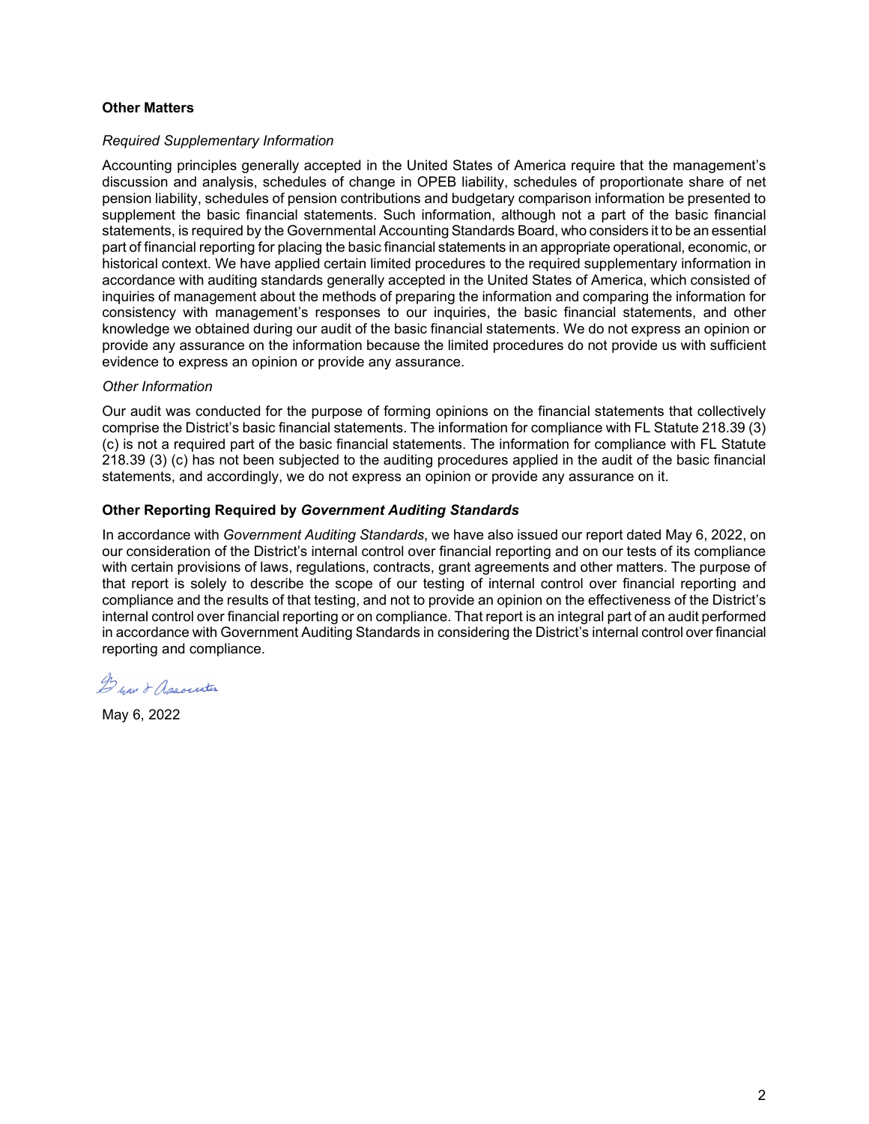## **Other Matters**

#### *Required Supplementary Information*

Accounting principles generally accepted in the United States of America require that the management's discussion and analysis, schedules of change in OPEB liability, schedules of proportionate share of net pension liability, schedules of pension contributions and budgetary comparison information be presented to supplement the basic financial statements. Such information, although not a part of the basic financial statements, is required by the Governmental Accounting Standards Board, who considers it to be an essential part of financial reporting for placing the basic financial statements in an appropriate operational, economic, or historical context. We have applied certain limited procedures to the required supplementary information in accordance with auditing standards generally accepted in the United States of America, which consisted of inquiries of management about the methods of preparing the information and comparing the information for consistency with management's responses to our inquiries, the basic financial statements, and other knowledge we obtained during our audit of the basic financial statements. We do not express an opinion or provide any assurance on the information because the limited procedures do not provide us with sufficient evidence to express an opinion or provide any assurance.

#### *Other Information*

Our audit was conducted for the purpose of forming opinions on the financial statements that collectively comprise the District's basic financial statements. The information for compliance with FL Statute 218.39 (3) (c) is not a required part of the basic financial statements. The information for compliance with FL Statute 218.39 (3) (c) has not been subjected to the auditing procedures applied in the audit of the basic financial statements, and accordingly, we do not express an opinion or provide any assurance on it.

# **Other Reporting Required by** *Government Auditing Standards*

In accordance with *Government Auditing Standards*, we have also issued our report dated May 6, 2022, on our consideration of the District's internal control over financial reporting and on our tests of its compliance with certain provisions of laws, regulations, contracts, grant agreements and other matters. The purpose of that report is solely to describe the scope of our testing of internal control over financial reporting and compliance and the results of that testing, and not to provide an opinion on the effectiveness of the District's internal control over financial reporting or on compliance. That report is an integral part of an audit performed in accordance with Government Auditing Standards in considering the District's internal control over financial reporting and compliance.

Derau & Association

May 6, 2022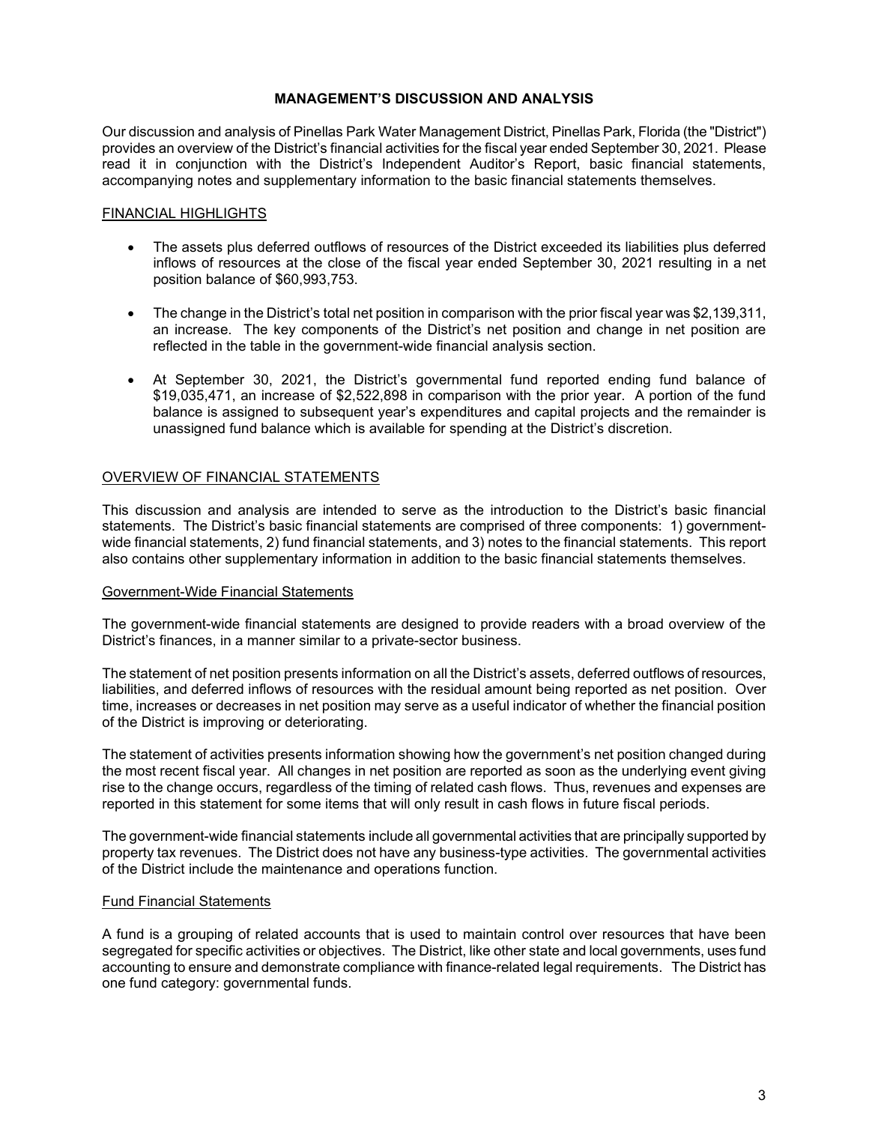# **MANAGEMENT'S DISCUSSION AND ANALYSIS**

Our discussion and analysis of Pinellas Park Water Management District, Pinellas Park, Florida (the "District") provides an overview of the District's financial activities for the fiscal year ended September 30, 2021. Please read it in conjunction with the District's Independent Auditor's Report, basic financial statements, accompanying notes and supplementary information to the basic financial statements themselves.

# FINANCIAL HIGHLIGHTS

- The assets plus deferred outflows of resources of the District exceeded its liabilities plus deferred inflows of resources at the close of the fiscal year ended September 30, 2021 resulting in a net position balance of \$60,993,753.
- The change in the District's total net position in comparison with the prior fiscal year was \$2,139,311, an increase. The key components of the District's net position and change in net position are reflected in the table in the government-wide financial analysis section.
- At September 30, 2021, the District's governmental fund reported ending fund balance of \$19,035,471, an increase of \$2,522,898 in comparison with the prior year. A portion of the fund balance is assigned to subsequent year's expenditures and capital projects and the remainder is unassigned fund balance which is available for spending at the District's discretion.

# OVERVIEW OF FINANCIAL STATEMENTS

This discussion and analysis are intended to serve as the introduction to the District's basic financial statements. The District's basic financial statements are comprised of three components: 1) governmentwide financial statements, 2) fund financial statements, and 3) notes to the financial statements. This report also contains other supplementary information in addition to the basic financial statements themselves.

#### Government-Wide Financial Statements

The government-wide financial statements are designed to provide readers with a broad overview of the District's finances, in a manner similar to a private-sector business.

The statement of net position presents information on all the District's assets, deferred outflows of resources, liabilities, and deferred inflows of resources with the residual amount being reported as net position. Over time, increases or decreases in net position may serve as a useful indicator of whether the financial position of the District is improving or deteriorating.

The statement of activities presents information showing how the government's net position changed during the most recent fiscal year. All changes in net position are reported as soon as the underlying event giving rise to the change occurs, regardless of the timing of related cash flows. Thus, revenues and expenses are reported in this statement for some items that will only result in cash flows in future fiscal periods.

The government-wide financial statements include all governmental activities that are principally supported by property tax revenues. The District does not have any business-type activities. The governmental activities of the District include the maintenance and operations function.

#### Fund Financial Statements

A fund is a grouping of related accounts that is used to maintain control over resources that have been segregated for specific activities or objectives. The District, like other state and local governments, uses fund accounting to ensure and demonstrate compliance with finance-related legal requirements. The District has one fund category: governmental funds.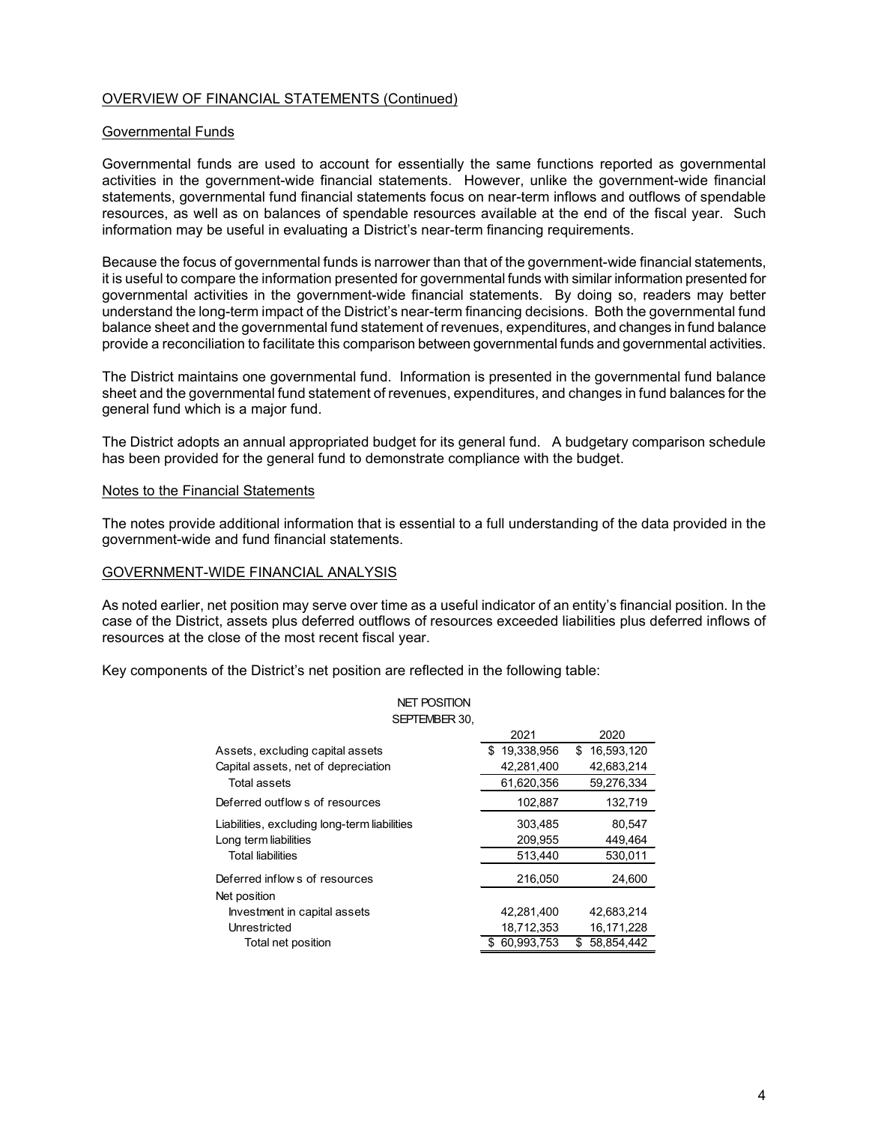# OVERVIEW OF FINANCIAL STATEMENTS (Continued)

#### Governmental Funds

Governmental funds are used to account for essentially the same functions reported as governmental activities in the government-wide financial statements. However, unlike the government-wide financial statements, governmental fund financial statements focus on near-term inflows and outflows of spendable resources, as well as on balances of spendable resources available at the end of the fiscal year. Such information may be useful in evaluating a District's near-term financing requirements.

Because the focus of governmental funds is narrower than that of the government-wide financial statements, it is useful to compare the information presented for governmental funds with similar information presented for governmental activities in the government-wide financial statements. By doing so, readers may better understand the long-term impact of the District's near-term financing decisions. Both the governmental fund balance sheet and the governmental fund statement of revenues, expenditures, and changes in fund balance provide a reconciliation to facilitate this comparison between governmental funds and governmental activities.

The District maintains one governmental fund. Information is presented in the governmental fund balance sheet and the governmental fund statement of revenues, expenditures, and changes in fund balances for the general fund which is a major fund.

The District adopts an annual appropriated budget for its general fund. A budgetary comparison schedule has been provided for the general fund to demonstrate compliance with the budget.

#### Notes to the Financial Statements

The notes provide additional information that is essential to a full understanding of the data provided in the government-wide and fund financial statements.

#### GOVERNMENT-WIDE FINANCIAL ANALYSIS

As noted earlier, net position may serve over time as a useful indicator of an entity's financial position. In the case of the District, assets plus deferred outflows of resources exceeded liabilities plus deferred inflows of resources at the close of the most recent fiscal year.

NET POSITION

Key components of the District's net position are reflected in the following table:

|                                              | <b>INEL PUSHIUN</b> |                 |                   |
|----------------------------------------------|---------------------|-----------------|-------------------|
|                                              | SEPTEMBER 30,       |                 |                   |
|                                              |                     | 2021            | 2020              |
| Assets, excluding capital assets             |                     | \$19,338,956    | 16,593,120<br>\$. |
| Capital assets, net of depreciation          |                     | 42,281,400      | 42,683,214        |
| Total assets                                 |                     | 61.620.356      | 59,276,334        |
| Deferred outflows of resources               |                     | 102,887         | 132,719           |
| Liabilities, excluding long-term liabilities |                     | 303,485         | 80,547            |
| Long term liabilities                        |                     | 209.955         | 449.464           |
| <b>Total liabilities</b>                     |                     | 513,440         | 530,011           |
| Deferred inflows of resources                |                     | 216,050         | 24,600            |
| Net position                                 |                     |                 |                   |
| Investment in capital assets                 |                     | 42,281,400      | 42,683,214        |
| Unrestricted                                 |                     | 18,712,353      | 16,171,228        |
| Total net position                           |                     | 60.993.753<br>S | \$<br>58.854.442  |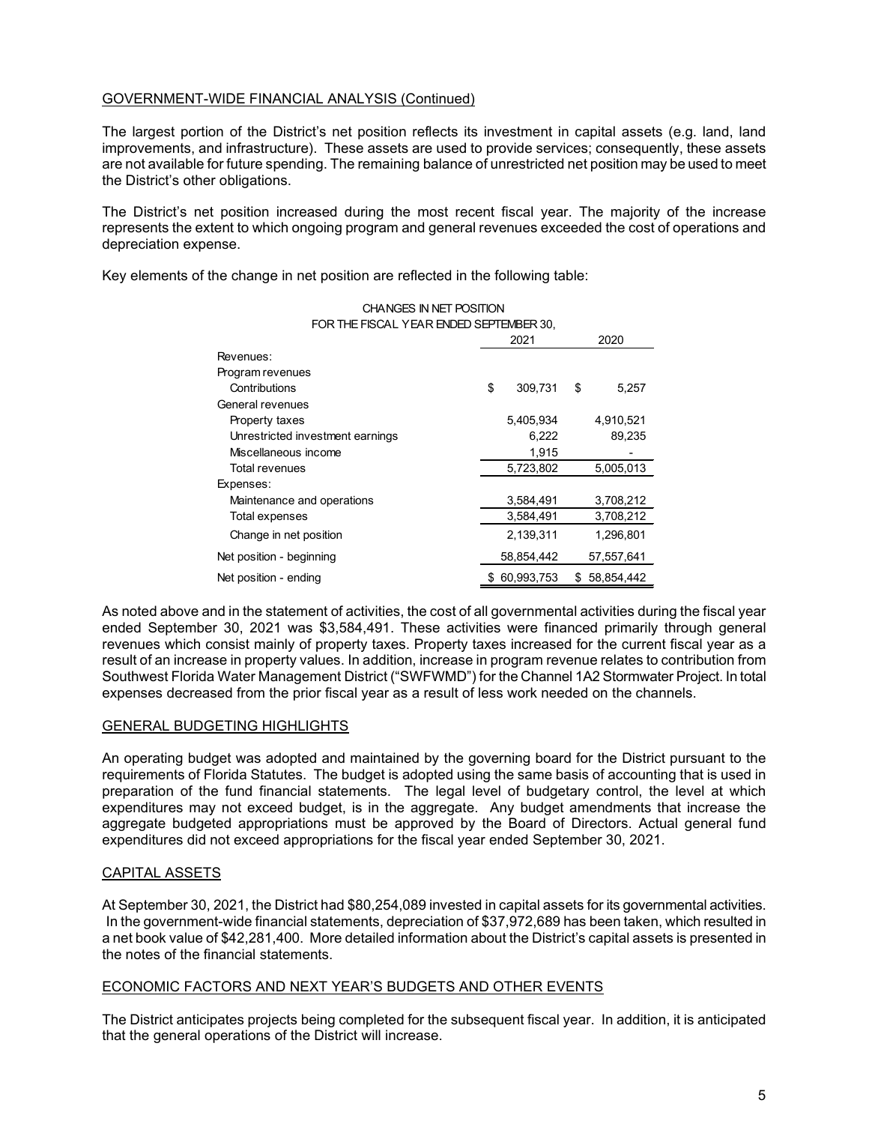# GOVERNMENT-WIDE FINANCIAL ANALYSIS (Continued)

The largest portion of the District's net position reflects its investment in capital assets (e.g. land, land improvements, and infrastructure). These assets are used to provide services; consequently, these assets are not available for future spending. The remaining balance of unrestricted net position may be used to meet the District's other obligations.

The District's net position increased during the most recent fiscal year. The majority of the increase represents the extent to which ongoing program and general revenues exceeded the cost of operations and depreciation expense.

Key elements of the change in net position are reflected in the following table:

| FOR THE FISCAL YEAR ENDED SEPTEMBER 30. |              |            |    |            |  |
|-----------------------------------------|--------------|------------|----|------------|--|
|                                         | 2021<br>2020 |            |    |            |  |
| Revenues:                               |              |            |    |            |  |
| Program revenues                        |              |            |    |            |  |
| Contributions                           | \$           | 309,731    | \$ | 5,257      |  |
| General revenues                        |              |            |    |            |  |
| Property taxes                          |              | 5,405,934  |    | 4,910,521  |  |
| Unrestricted investment earnings        |              | 6,222      |    | 89,235     |  |
| Miscellaneous income                    |              | 1.915      |    |            |  |
| Total revenues                          |              | 5,723,802  |    | 5,005,013  |  |
| Expenses:                               |              |            |    |            |  |
| Maintenance and operations              |              | 3.584.491  |    | 3,708,212  |  |
| Total expenses                          |              | 3,584,491  |    | 3,708,212  |  |
| Change in net position                  |              | 2,139,311  |    | 1,296,801  |  |
| Net position - beginning                |              | 58,854,442 |    | 57,557,641 |  |
| Net position - ending                   | \$           | 60,993,753 | S  | 58.854.442 |  |

# CHANGES IN NET POSITION

As noted above and in the statement of activities, the cost of all governmental activities during the fiscal year ended September 30, 2021 was \$3,584,491. These activities were financed primarily through general revenues which consist mainly of property taxes. Property taxes increased for the current fiscal year as a result of an increase in property values. In addition, increase in program revenue relates to contribution from Southwest Florida Water Management District ("SWFWMD") for the Channel 1A2 Stormwater Project. In total expenses decreased from the prior fiscal year as a result of less work needed on the channels.

# GENERAL BUDGETING HIGHLIGHTS

An operating budget was adopted and maintained by the governing board for the District pursuant to the requirements of Florida Statutes. The budget is adopted using the same basis of accounting that is used in preparation of the fund financial statements. The legal level of budgetary control, the level at which expenditures may not exceed budget, is in the aggregate. Any budget amendments that increase the aggregate budgeted appropriations must be approved by the Board of Directors. Actual general fund expenditures did not exceed appropriations for the fiscal year ended September 30, 2021.

#### CAPITAL ASSETS

At September 30, 2021, the District had \$80,254,089 invested in capital assets for its governmental activities. In the government-wide financial statements, depreciation of \$37,972,689 has been taken, which resulted in a net book value of \$42,281,400. More detailed information about the District's capital assets is presented in the notes of the financial statements.

#### ECONOMIC FACTORS AND NEXT YEAR'S BUDGETS AND OTHER EVENTS

The District anticipates projects being completed for the subsequent fiscal year. In addition, it is anticipated that the general operations of the District will increase.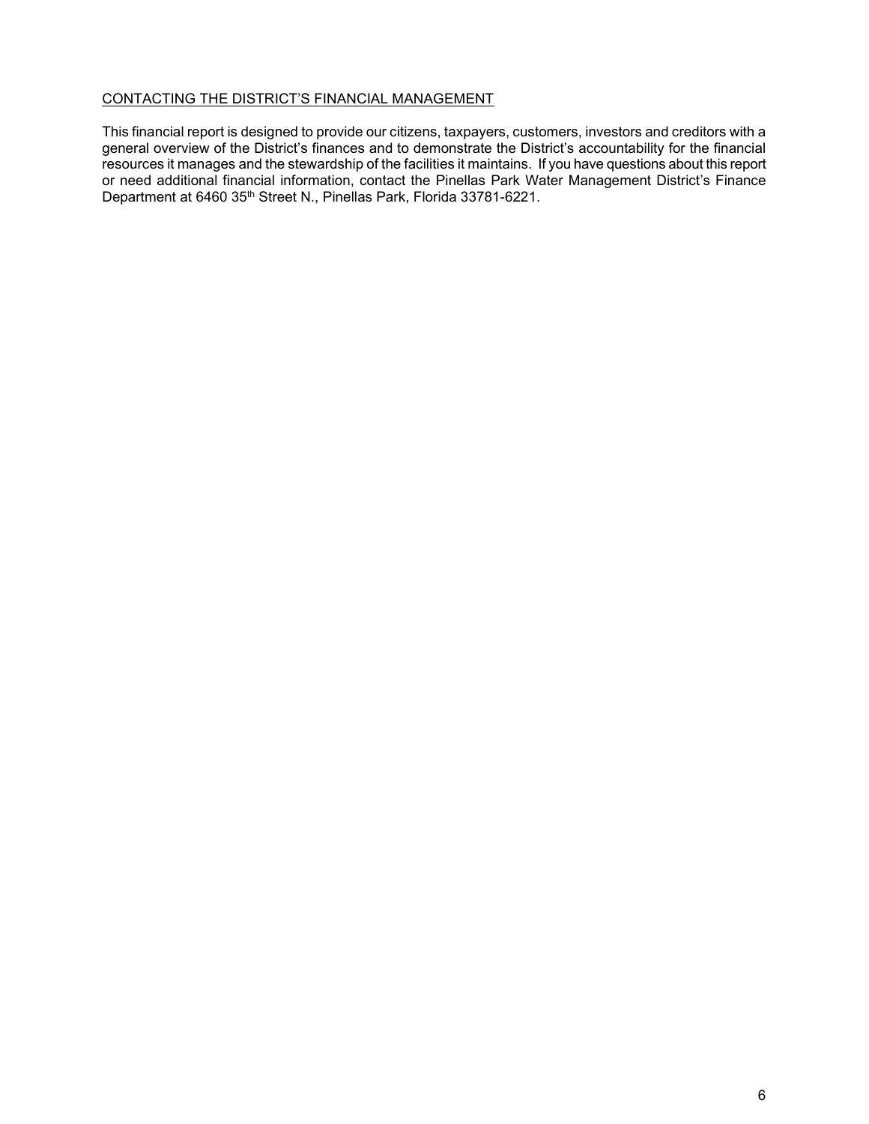# CONTACTING THE DISTRICT'S FINANCIAL MANAGEMENT

This financial report is designed to provide our citizens, taxpayers, customers, investors and creditors with a general overview of the District's finances and to demonstrate the District's accountability for the financial resources it manages and the stewardship of the facilities it maintains. If you have questions about this report or need additional financial information, contact the Pinellas Park Water Management District's Finance Department at 6460 35th Street N., Pinellas Park, Florida 33781-6221.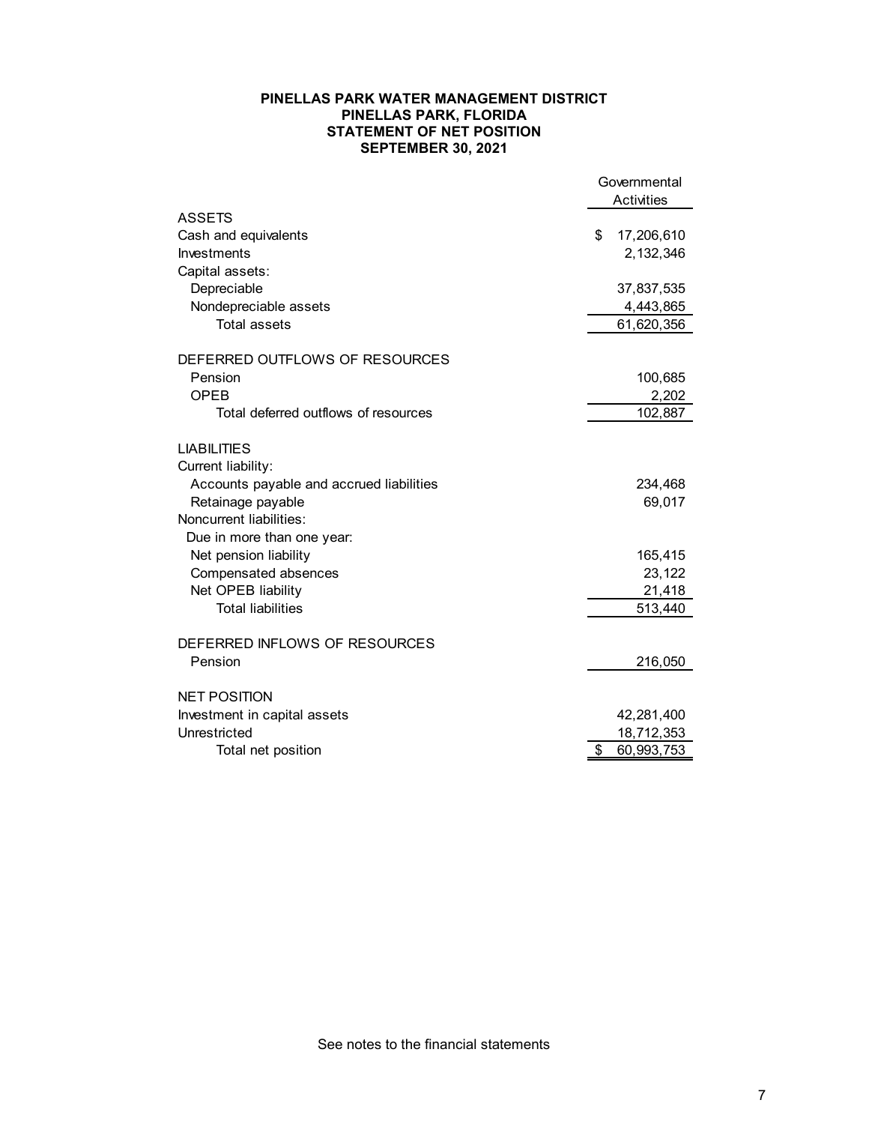#### **PINELLAS PARK WATER MANAGEMENT DISTRICT PINELLAS PARK, FLORIDA STATEMENT OF NET POSITION SEPTEMBER 30, 2021**

|                                          | Governmental      |
|------------------------------------------|-------------------|
|                                          | <b>Activities</b> |
| <b>ASSETS</b>                            |                   |
| Cash and equivalents                     | \$<br>17,206,610  |
| Investments                              | 2,132,346         |
| Capital assets:                          |                   |
| Depreciable                              | 37,837,535        |
| Nondepreciable assets                    | 4,443,865         |
| <b>Total assets</b>                      | 61,620,356        |
|                                          |                   |
| DEFERRED OUTFLOWS OF RESOURCES           |                   |
| Pension<br>OPEB                          | 100,685           |
|                                          | 2,202             |
| Total deferred outflows of resources     | 102,887           |
| <b>LIABILITIES</b>                       |                   |
| Current liability:                       |                   |
| Accounts payable and accrued liabilities | 234,468           |
| Retainage payable                        | 69,017            |
| Noncurrent liabilities:                  |                   |
| Due in more than one year:               |                   |
| Net pension liability                    | 165,415           |
| Compensated absences                     | 23,122            |
| Net OPEB liability                       | 21,418            |
| <b>Total liabilities</b>                 | 513,440           |
| DEFERRED INFLOWS OF RESOURCES            |                   |
| Pension                                  |                   |
|                                          | 216,050           |
| <b>NET POSITION</b>                      |                   |
| Investment in capital assets             | 42,281,400        |
| Unrestricted                             | 18,712,353        |
| Total net position                       | \$<br>60,993,753  |

See notes to the financial statements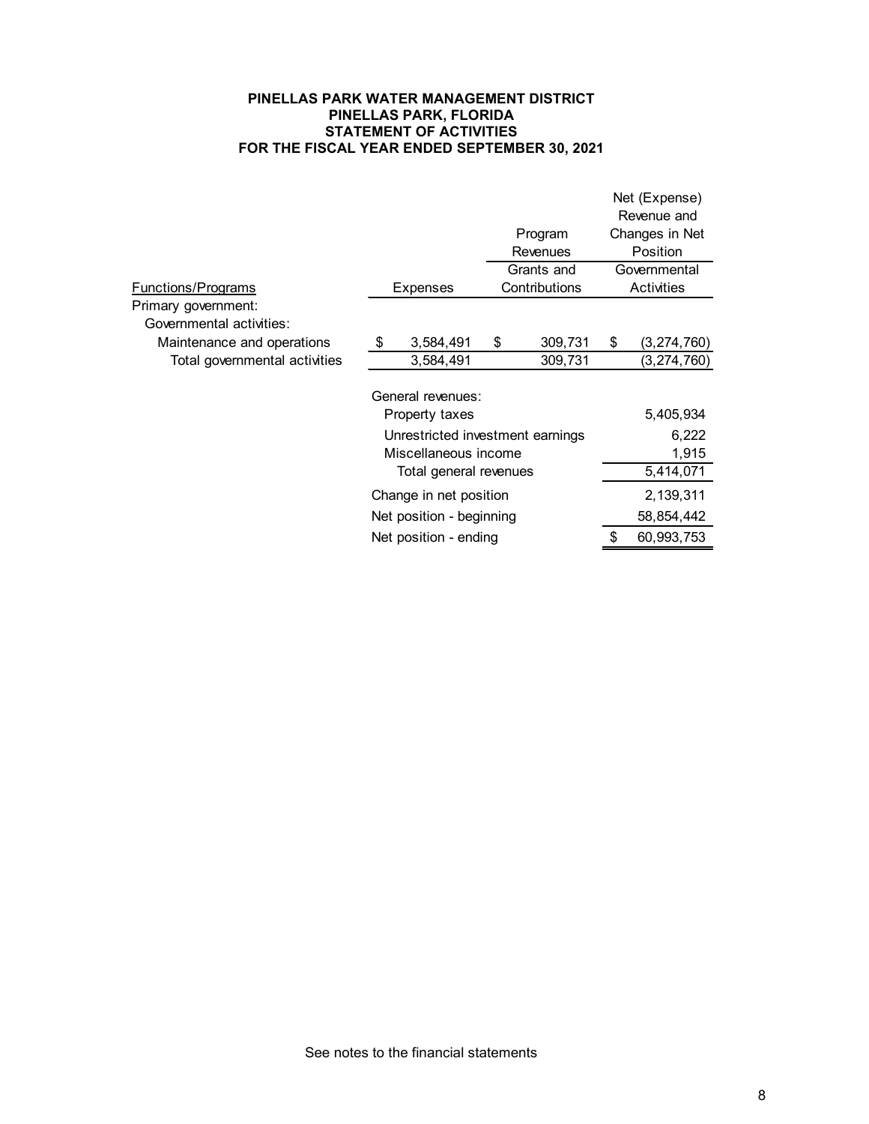#### **PINELLAS PARK WATER MANAGEMENT DISTRICT PINELLAS PARK, FLORIDA STATEMENT OF ACTIVITIES FOR THE FISCAL YEAR ENDED SEPTEMBER 30, 2021**

|                                                 |                                  |                 | Net (Expense)     |
|-------------------------------------------------|----------------------------------|-----------------|-------------------|
|                                                 |                                  |                 | Revenue and       |
|                                                 |                                  | Program         | Changes in Net    |
|                                                 |                                  | <b>Revenues</b> | <b>Position</b>   |
|                                                 |                                  | Grants and      | Governmental      |
| <u>Functions/Programs</u>                       | <b>Expenses</b>                  | Contributions   | <b>Activities</b> |
| Primary government:<br>Governmental activities: |                                  |                 |                   |
| Maintenance and operations                      | \$<br>3,584,491                  | \$<br>309,731   | \$<br>(3,274,760) |
| Total governmental activities                   | 3,584,491                        | 309,731         | (3, 274, 760)     |
|                                                 | General revenues:                |                 |                   |
|                                                 | Property taxes                   |                 | 5,405,934         |
|                                                 | Unrestricted investment earnings |                 | 6,222             |
|                                                 | Miscellaneous income             |                 | 1,915             |
|                                                 | Total general revenues           |                 | 5,414,071         |
|                                                 | Change in net position           |                 | 2,139,311         |
|                                                 | Net position - beginning         |                 | 58,854,442        |
|                                                 | Net position - ending            |                 | \$<br>60,993,753  |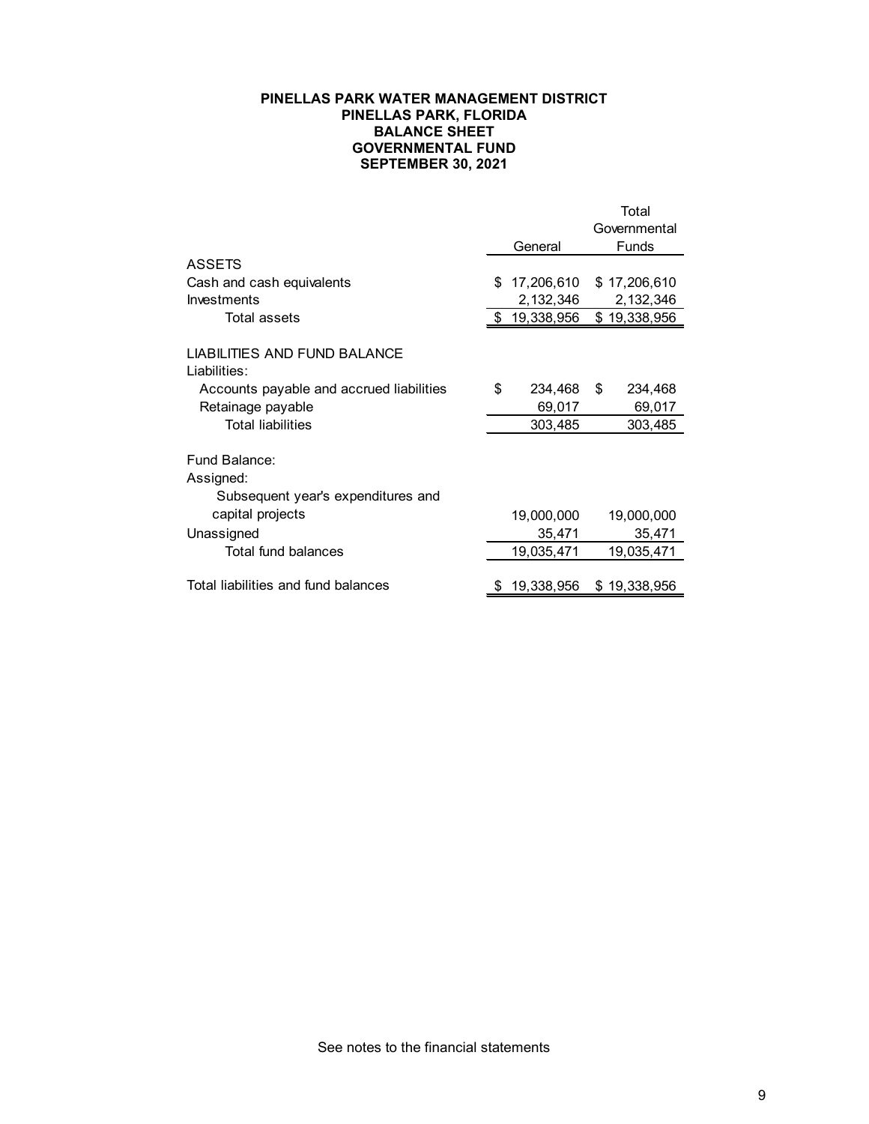## **PINELLAS PARK WATER MANAGEMENT DISTRICT PINELLAS PARK, FLORIDA BALANCE SHEET GOVERNMENTAL FUND SEPTEMBER 30, 2021**

|                                                                                                    |     |                      | Total<br>Governmental |
|----------------------------------------------------------------------------------------------------|-----|----------------------|-----------------------|
|                                                                                                    |     | General              | <b>Funds</b>          |
| <b>ASSETS</b>                                                                                      |     |                      |                       |
| Cash and cash equivalents                                                                          | \$. | 17,206,610           | \$17,206,610          |
| Investments                                                                                        |     | 2,132,346            | 2,132,346             |
| Total assets                                                                                       | S   | 19,338,956           | \$19,338,956          |
| <b>LIABILITIES AND FUND BALANCE</b><br>Liabilities:                                                |     |                      |                       |
| Accounts payable and accrued liabilities                                                           | \$  | 234,468              | \$<br>234,468         |
| Retainage payable                                                                                  |     | 69,017               | 69,017                |
| <b>Total liabilities</b>                                                                           |     | 303,485              | 303,485               |
| Fund Balance:<br>Assigned:<br>Subsequent year's expenditures and<br>capital projects<br>Unassigned |     | 19,000,000<br>35,471 | 19,000,000<br>35,471  |
| Total fund balances                                                                                |     | 19,035,471           | 19,035,471            |
| Total liabilities and fund balances                                                                |     | 19,338,956           | \$<br>19,338,956      |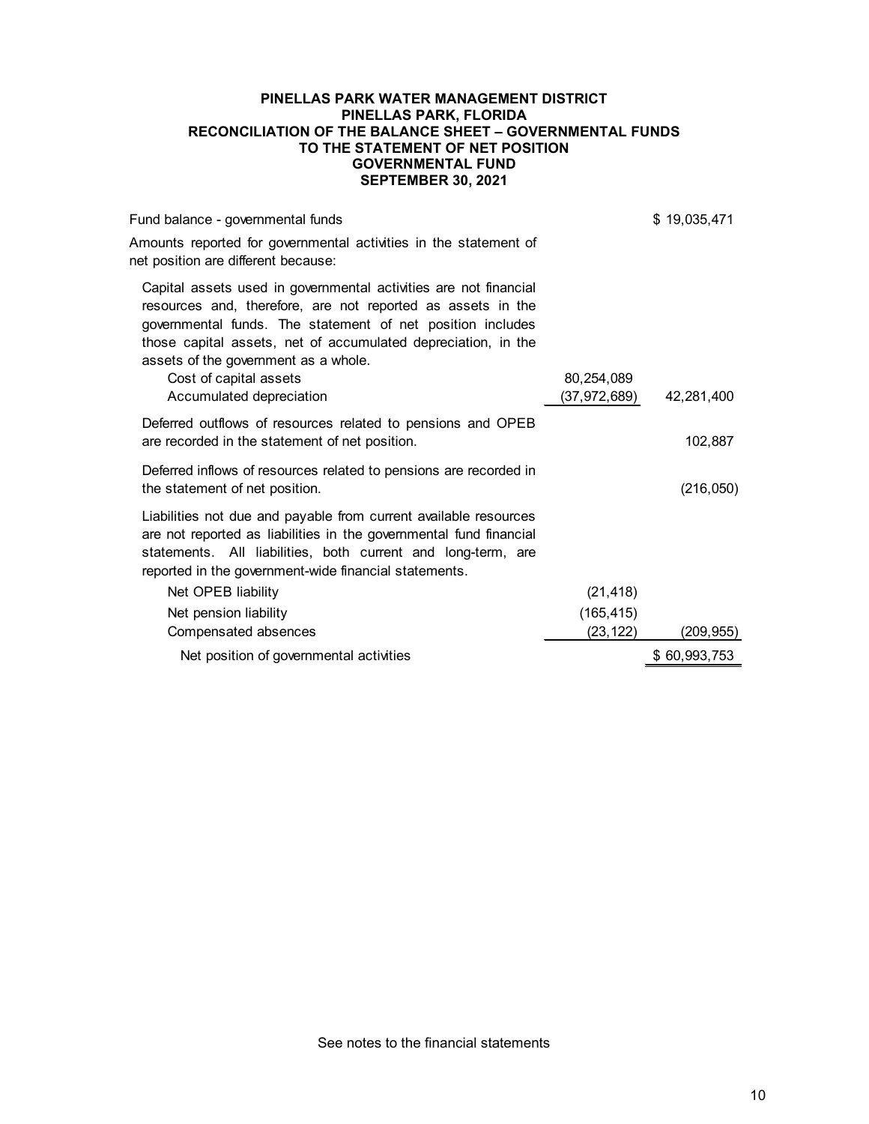#### **PINELLAS PARK WATER MANAGEMENT DISTRICT PINELLAS PARK, FLORIDA RECONCILIATION OF THE BALANCE SHEET – GOVERNMENTAL FUNDS TO THE STATEMENT OF NET POSITION GOVERNMENTAL FUND SEPTEMBER 30, 2021**

| Fund balance - governmental funds                                                                                                                                                                                                                                                                                                                            |                            | \$19,035,471 |
|--------------------------------------------------------------------------------------------------------------------------------------------------------------------------------------------------------------------------------------------------------------------------------------------------------------------------------------------------------------|----------------------------|--------------|
| Amounts reported for governmental activities in the statement of<br>net position are different because:                                                                                                                                                                                                                                                      |                            |              |
| Capital assets used in governmental activities are not financial<br>resources and, therefore, are not reported as assets in the<br>governmental funds. The statement of net position includes<br>those capital assets, net of accumulated depreciation, in the<br>assets of the government as a whole.<br>Cost of capital assets<br>Accumulated depreciation | 80,254,089<br>(37,972,689) | 42,281,400   |
| Deferred outflows of resources related to pensions and OPEB<br>are recorded in the statement of net position.                                                                                                                                                                                                                                                |                            | 102,887      |
| Deferred inflows of resources related to pensions are recorded in<br>the statement of net position.                                                                                                                                                                                                                                                          |                            | (216, 050)   |
| Liabilities not due and payable from current available resources<br>are not reported as liabilities in the governmental fund financial<br>statements. All liabilities, both current and long-term, are<br>reported in the government-wide financial statements.                                                                                              |                            |              |
| Net OPEB liability                                                                                                                                                                                                                                                                                                                                           | (21, 418)                  |              |
| Net pension liability                                                                                                                                                                                                                                                                                                                                        | (165, 415)                 |              |
| Compensated absences                                                                                                                                                                                                                                                                                                                                         | (23, 122)                  | (209,955)    |
| Net position of governmental activities                                                                                                                                                                                                                                                                                                                      |                            | \$60,993,753 |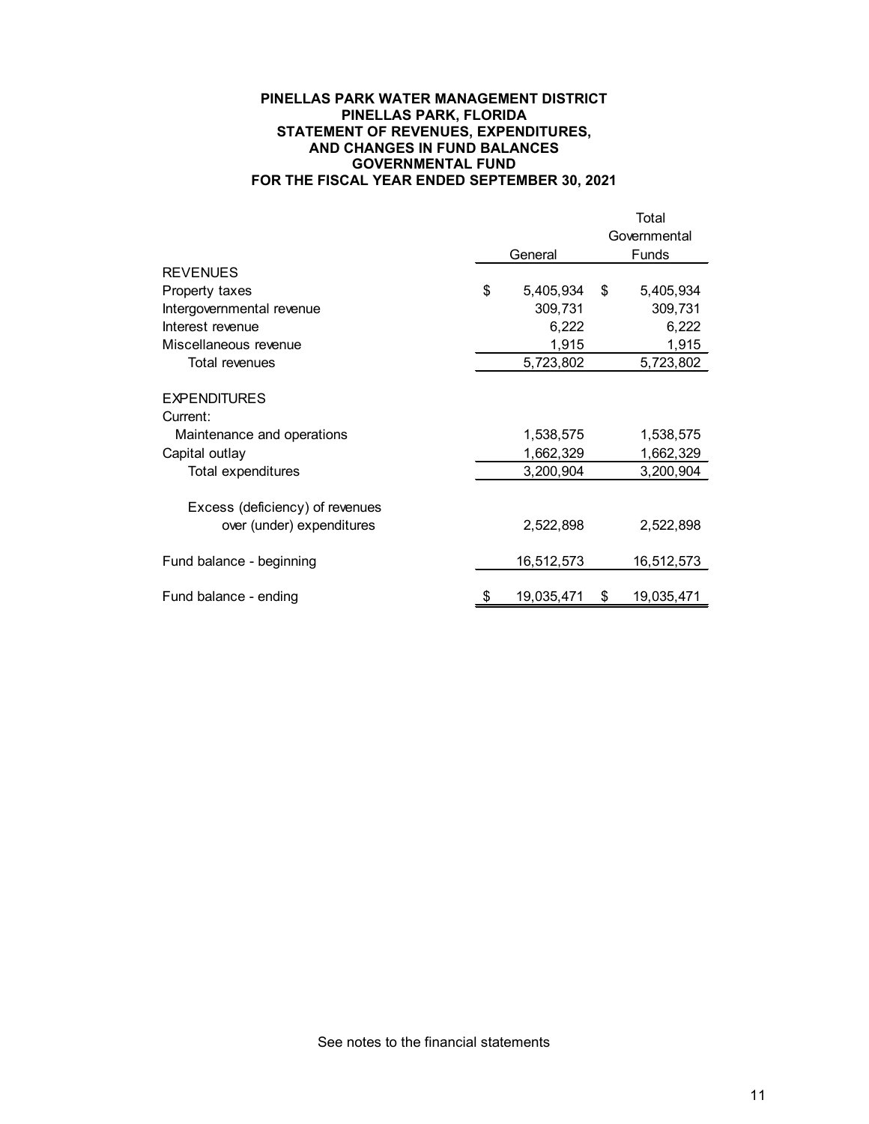#### **PINELLAS PARK WATER MANAGEMENT DISTRICT PINELLAS PARK, FLORIDA STATEMENT OF REVENUES, EXPENDITURES, AND CHANGES IN FUND BALANCES GOVERNMENTAL FUND FOR THE FISCAL YEAR ENDED SEPTEMBER 30, 2021**

|                                 |                  |              | Total        |  |
|---------------------------------|------------------|--------------|--------------|--|
|                                 |                  | Governmental |              |  |
|                                 | General          |              | <b>Funds</b> |  |
| <b>REVENUES</b>                 |                  |              |              |  |
| Property taxes                  | \$<br>5,405,934  | \$           | 5,405,934    |  |
| Intergovernmental revenue       | 309,731          |              | 309,731      |  |
| Interest revenue                | 6,222            |              | 6,222        |  |
| Miscellaneous revenue           | 1,915            |              | 1,915        |  |
| <b>Total revenues</b>           | 5,723,802        |              | 5,723,802    |  |
| <b>EXPENDITURES</b>             |                  |              |              |  |
| Current:                        |                  |              |              |  |
| Maintenance and operations      | 1,538,575        |              | 1,538,575    |  |
| Capital outlay                  | 1,662,329        |              | 1,662,329    |  |
| <b>Total expenditures</b>       | 3,200,904        |              | 3,200,904    |  |
| Excess (deficiency) of revenues |                  |              |              |  |
| over (under) expenditures       | 2,522,898        |              | 2,522,898    |  |
| Fund balance - beginning        | 16,512,573       |              | 16,512,573   |  |
| Fund balance - ending           | \$<br>19,035,471 | \$           | 19,035,471   |  |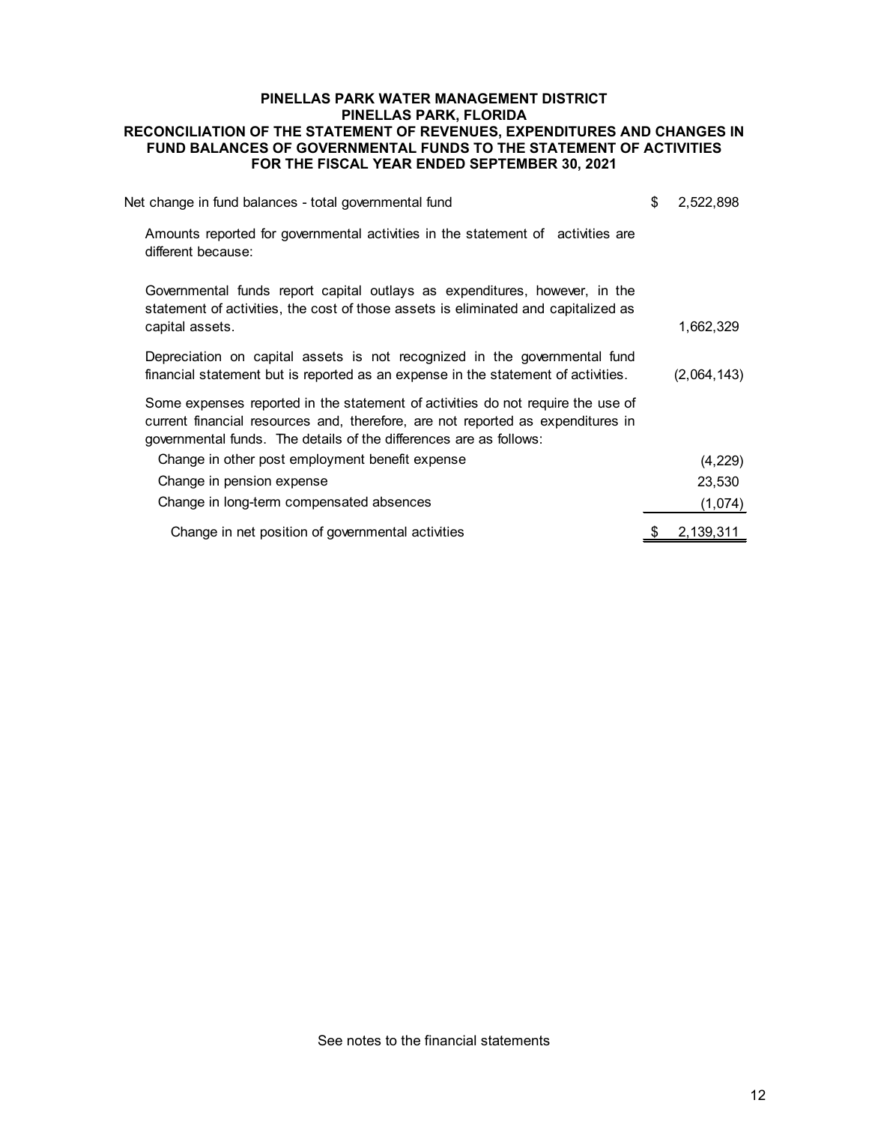## **PINELLAS PARK WATER MANAGEMENT DISTRICT PINELLAS PARK, FLORIDA RECONCILIATION OF THE STATEMENT OF REVENUES, EXPENDITURES AND CHANGES IN FUND BALANCES OF GOVERNMENTAL FUNDS TO THE STATEMENT OF ACTIVITIES FOR THE FISCAL YEAR ENDED SEPTEMBER 30, 2021**

| Net change in fund balances - total governmental fund                                                                                                                                                                                    | \$ | 2,522,898   |
|------------------------------------------------------------------------------------------------------------------------------------------------------------------------------------------------------------------------------------------|----|-------------|
| Amounts reported for governmental activities in the statement of activities are<br>different because:                                                                                                                                    |    |             |
| Governmental funds report capital outlays as expenditures, however, in the<br>statement of activities, the cost of those assets is eliminated and capitalized as<br>capital assets.                                                      |    | 1,662,329   |
| Depreciation on capital assets is not recognized in the governmental fund<br>financial statement but is reported as an expense in the statement of activities.                                                                           |    | (2,064,143) |
| Some expenses reported in the statement of activities do not require the use of<br>current financial resources and, therefore, are not reported as expenditures in<br>governmental funds. The details of the differences are as follows: |    |             |
| Change in other post employment benefit expense                                                                                                                                                                                          |    | (4, 229)    |
| Change in pension expense                                                                                                                                                                                                                |    | 23,530      |
| Change in long-term compensated absences                                                                                                                                                                                                 |    | (1,074)     |
| Change in net position of governmental activities                                                                                                                                                                                        | S  | 2,139,311   |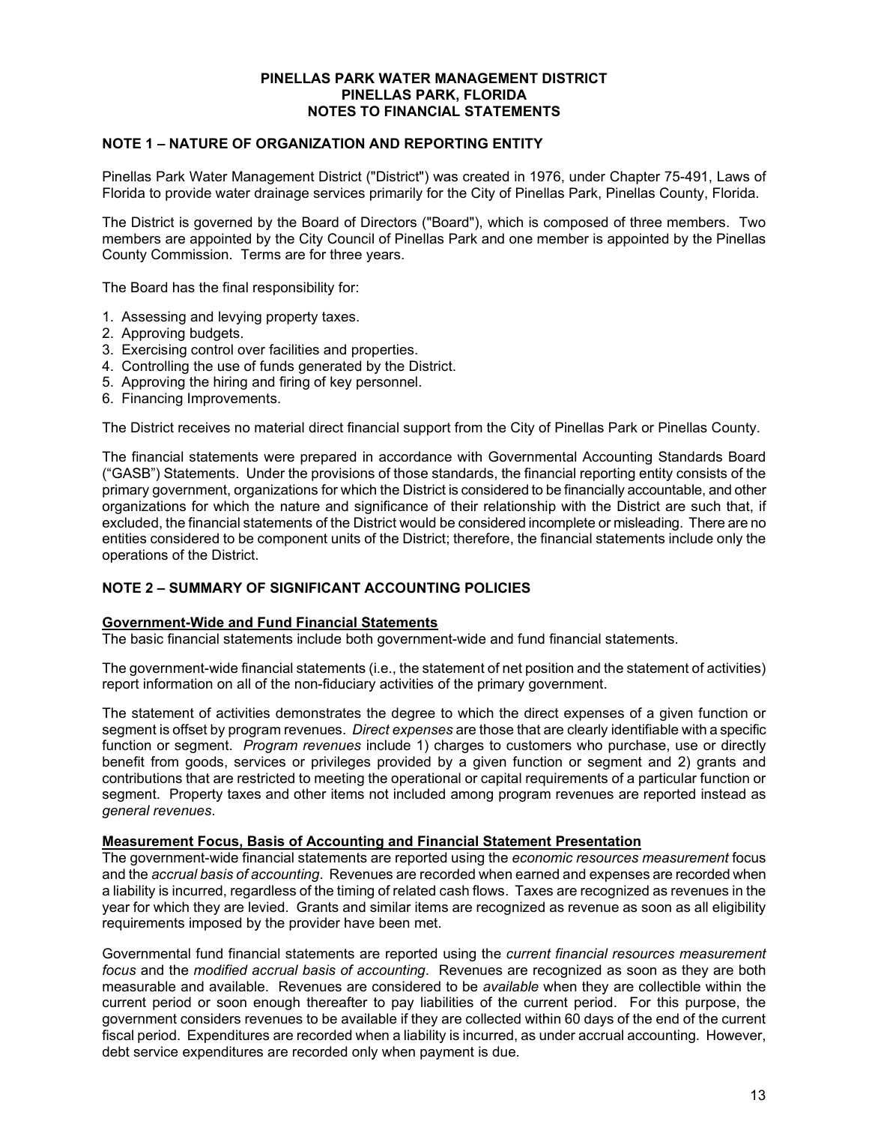#### **PINELLAS PARK WATER MANAGEMENT DISTRICT PINELLAS PARK, FLORIDA NOTES TO FINANCIAL STATEMENTS**

# **NOTE 1 – NATURE OF ORGANIZATION AND REPORTING ENTITY**

Pinellas Park Water Management District ("District") was created in 1976, under Chapter 75-491, Laws of Florida to provide water drainage services primarily for the City of Pinellas Park, Pinellas County, Florida.

The District is governed by the Board of Directors ("Board"), which is composed of three members. Two members are appointed by the City Council of Pinellas Park and one member is appointed by the Pinellas County Commission. Terms are for three years.

The Board has the final responsibility for:

- 1. Assessing and levying property taxes.
- 2. Approving budgets.
- 3. Exercising control over facilities and properties.
- 4. Controlling the use of funds generated by the District.
- 5. Approving the hiring and firing of key personnel.
- 6. Financing Improvements.

The District receives no material direct financial support from the City of Pinellas Park or Pinellas County.

The financial statements were prepared in accordance with Governmental Accounting Standards Board ("GASB") Statements. Under the provisions of those standards, the financial reporting entity consists of the primary government, organizations for which the District is considered to be financially accountable, and other organizations for which the nature and significance of their relationship with the District are such that, if excluded, the financial statements of the District would be considered incomplete or misleading. There are no entities considered to be component units of the District; therefore, the financial statements include only the operations of the District.

# **NOTE 2 – SUMMARY OF SIGNIFICANT ACCOUNTING POLICIES**

#### **Government-Wide and Fund Financial Statements**

The basic financial statements include both government-wide and fund financial statements.

The government-wide financial statements (i.e., the statement of net position and the statement of activities) report information on all of the non-fiduciary activities of the primary government.

The statement of activities demonstrates the degree to which the direct expenses of a given function or segment is offset by program revenues. *Direct expenses* are those that are clearly identifiable with a specific function or segment. *Program revenues* include 1) charges to customers who purchase, use or directly benefit from goods, services or privileges provided by a given function or segment and 2) grants and contributions that are restricted to meeting the operational or capital requirements of a particular function or segment. Property taxes and other items not included among program revenues are reported instead as *general revenues*.

#### **Measurement Focus, Basis of Accounting and Financial Statement Presentation**

The government-wide financial statements are reported using the *economic resources measurement* focus and the *accrual basis of accounting*. Revenues are recorded when earned and expenses are recorded when a liability is incurred, regardless of the timing of related cash flows. Taxes are recognized as revenues in the year for which they are levied. Grants and similar items are recognized as revenue as soon as all eligibility requirements imposed by the provider have been met.

Governmental fund financial statements are reported using the *current financial resources measurement focus* and the *modified accrual basis of accounting*. Revenues are recognized as soon as they are both measurable and available. Revenues are considered to be *available* when they are collectible within the current period or soon enough thereafter to pay liabilities of the current period. For this purpose, the government considers revenues to be available if they are collected within 60 days of the end of the current fiscal period. Expenditures are recorded when a liability is incurred, as under accrual accounting. However, debt service expenditures are recorded only when payment is due.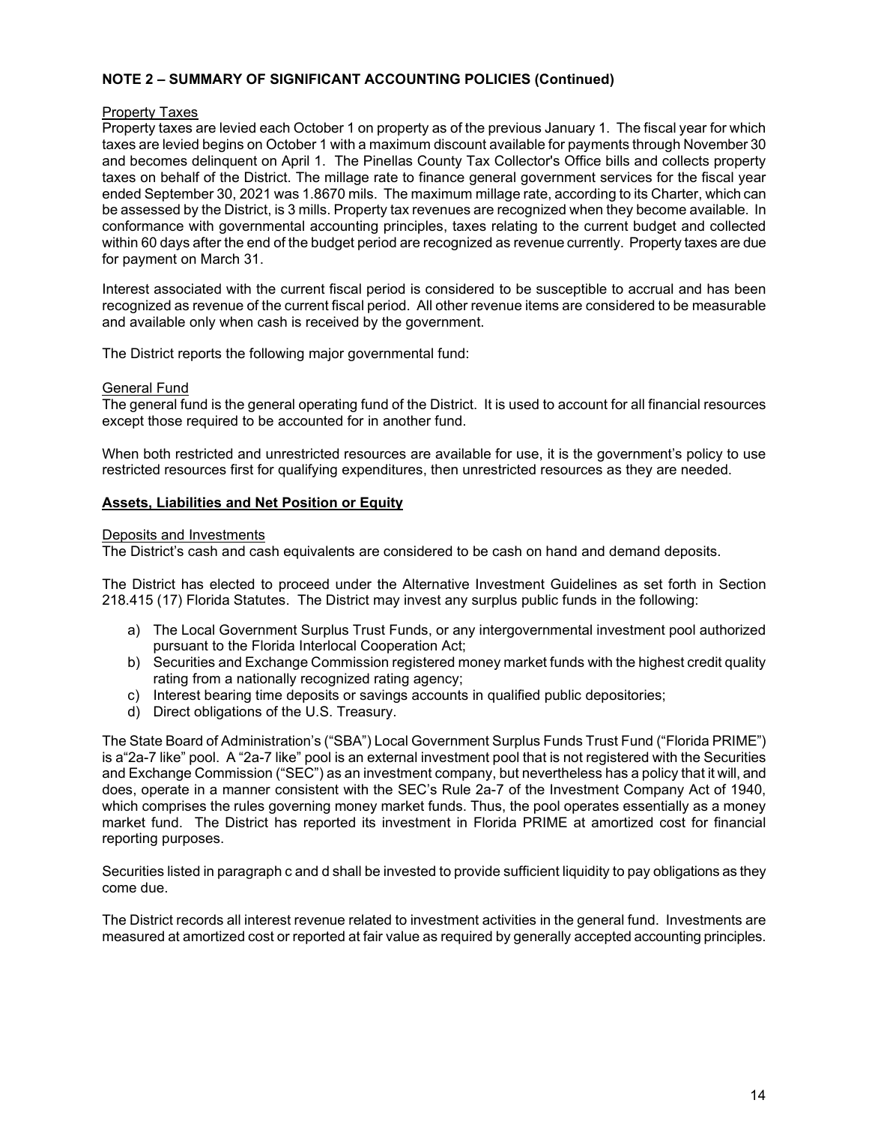# **NOTE 2 – SUMMARY OF SIGNIFICANT ACCOUNTING POLICIES (Continued)**

# Property Taxes

Property taxes are levied each October 1 on property as of the previous January 1. The fiscal year for which taxes are levied begins on October 1 with a maximum discount available for payments through November 30 and becomes delinquent on April 1. The Pinellas County Tax Collector's Office bills and collects property taxes on behalf of the District. The millage rate to finance general government services for the fiscal year ended September 30, 2021 was 1.8670 mils. The maximum millage rate, according to its Charter, which can be assessed by the District, is 3 mills. Property tax revenues are recognized when they become available. In conformance with governmental accounting principles, taxes relating to the current budget and collected within 60 days after the end of the budget period are recognized as revenue currently. Property taxes are due for payment on March 31.

Interest associated with the current fiscal period is considered to be susceptible to accrual and has been recognized as revenue of the current fiscal period. All other revenue items are considered to be measurable and available only when cash is received by the government.

The District reports the following major governmental fund:

# General Fund

The general fund is the general operating fund of the District. It is used to account for all financial resources except those required to be accounted for in another fund.

When both restricted and unrestricted resources are available for use, it is the government's policy to use restricted resources first for qualifying expenditures, then unrestricted resources as they are needed.

# **Assets, Liabilities and Net Position or Equity**

#### Deposits and Investments

The District's cash and cash equivalents are considered to be cash on hand and demand deposits.

The District has elected to proceed under the Alternative Investment Guidelines as set forth in Section 218.415 (17) Florida Statutes. The District may invest any surplus public funds in the following:

- a) The Local Government Surplus Trust Funds, or any intergovernmental investment pool authorized pursuant to the Florida Interlocal Cooperation Act;
- b) Securities and Exchange Commission registered money market funds with the highest credit quality rating from a nationally recognized rating agency;
- c) Interest bearing time deposits or savings accounts in qualified public depositories;
- d) Direct obligations of the U.S. Treasury.

The State Board of Administration's ("SBA") Local Government Surplus Funds Trust Fund ("Florida PRIME") is a"2a-7 like" pool. A "2a-7 like" pool is an external investment pool that is not registered with the Securities and Exchange Commission ("SEC") as an investment company, but nevertheless has a policy that it will, and does, operate in a manner consistent with the SEC's Rule 2a-7 of the Investment Company Act of 1940, which comprises the rules governing money market funds. Thus, the pool operates essentially as a money market fund. The District has reported its investment in Florida PRIME at amortized cost for financial reporting purposes.

Securities listed in paragraph c and d shall be invested to provide sufficient liquidity to pay obligations as they come due.

The District records all interest revenue related to investment activities in the general fund. Investments are measured at amortized cost or reported at fair value as required by generally accepted accounting principles.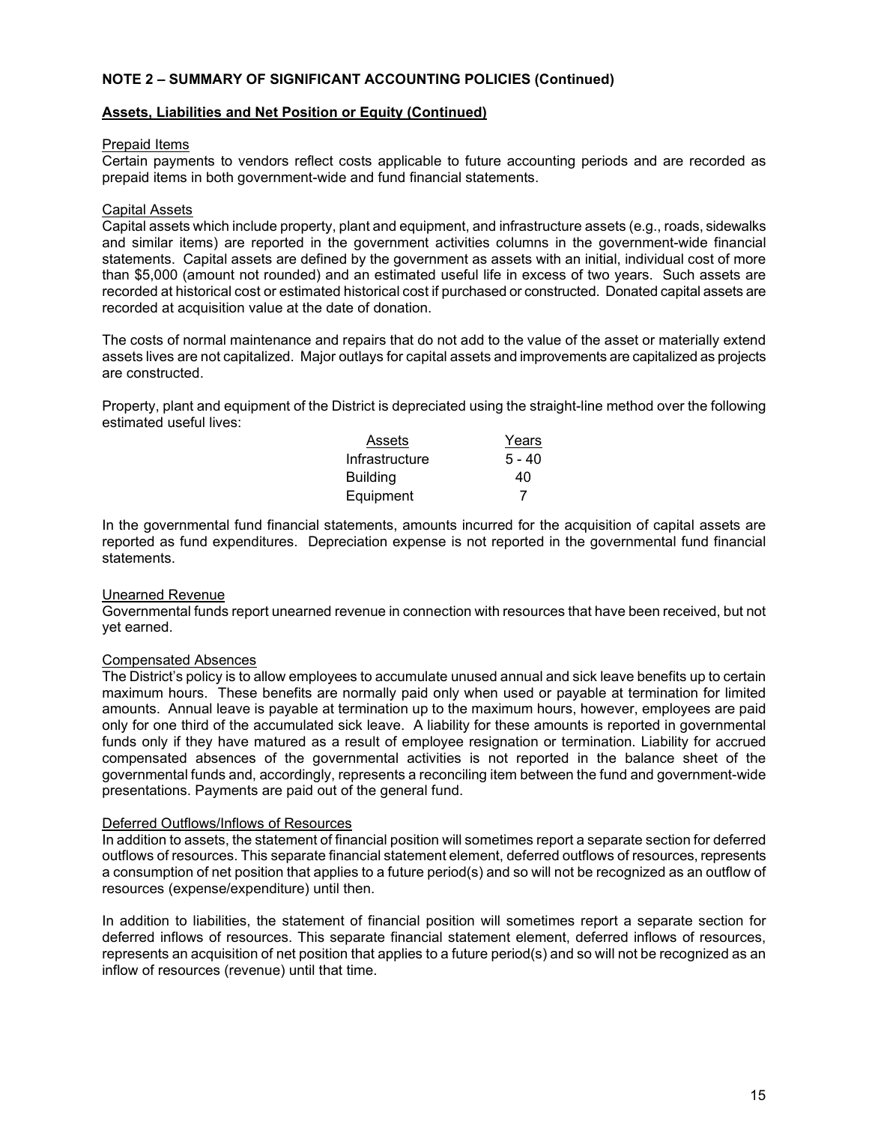# **NOTE 2 – SUMMARY OF SIGNIFICANT ACCOUNTING POLICIES (Continued)**

## **Assets, Liabilities and Net Position or Equity (Continued)**

#### Prepaid Items

Certain payments to vendors reflect costs applicable to future accounting periods and are recorded as prepaid items in both government-wide and fund financial statements.

#### Capital Assets

Capital assets which include property, plant and equipment, and infrastructure assets (e.g., roads, sidewalks and similar items) are reported in the government activities columns in the government-wide financial statements. Capital assets are defined by the government as assets with an initial, individual cost of more than \$5,000 (amount not rounded) and an estimated useful life in excess of two years. Such assets are recorded at historical cost or estimated historical cost if purchased or constructed. Donated capital assets are recorded at acquisition value at the date of donation.

The costs of normal maintenance and repairs that do not add to the value of the asset or materially extend assets lives are not capitalized. Major outlays for capital assets and improvements are capitalized as projects are constructed.

Property, plant and equipment of the District is depreciated using the straight-line method over the following estimated useful lives:

| Assets          | Years    |
|-----------------|----------|
| Infrastructure  | $5 - 40$ |
| <b>Building</b> | 40       |
| Equipment       |          |

In the governmental fund financial statements, amounts incurred for the acquisition of capital assets are reported as fund expenditures. Depreciation expense is not reported in the governmental fund financial statements.

#### Unearned Revenue

Governmental funds report unearned revenue in connection with resources that have been received, but not yet earned.

#### Compensated Absences

The District's policy is to allow employees to accumulate unused annual and sick leave benefits up to certain maximum hours. These benefits are normally paid only when used or payable at termination for limited amounts. Annual leave is payable at termination up to the maximum hours, however, employees are paid only for one third of the accumulated sick leave. A liability for these amounts is reported in governmental funds only if they have matured as a result of employee resignation or termination. Liability for accrued compensated absences of the governmental activities is not reported in the balance sheet of the governmental funds and, accordingly, represents a reconciling item between the fund and government-wide presentations. Payments are paid out of the general fund.

#### Deferred Outflows/Inflows of Resources

In addition to assets, the statement of financial position will sometimes report a separate section for deferred outflows of resources. This separate financial statement element, deferred outflows of resources, represents a consumption of net position that applies to a future period(s) and so will not be recognized as an outflow of resources (expense/expenditure) until then.

In addition to liabilities, the statement of financial position will sometimes report a separate section for deferred inflows of resources. This separate financial statement element, deferred inflows of resources, represents an acquisition of net position that applies to a future period(s) and so will not be recognized as an inflow of resources (revenue) until that time.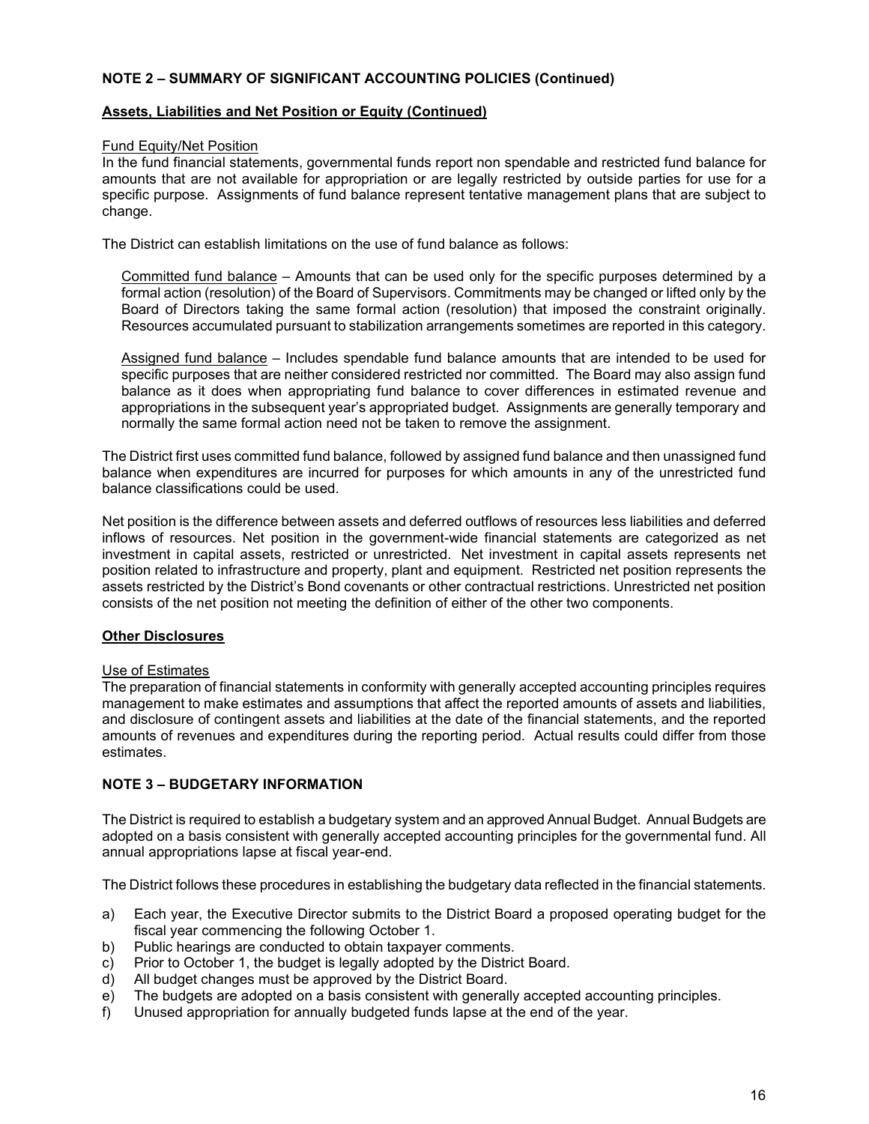# **NOTE 2 – SUMMARY OF SIGNIFICANT ACCOUNTING POLICIES (Continued)**

## **Assets, Liabilities and Net Position or Equity (Continued)**

#### Fund Equity/Net Position

In the fund financial statements, governmental funds report non spendable and restricted fund balance for amounts that are not available for appropriation or are legally restricted by outside parties for use for a specific purpose. Assignments of fund balance represent tentative management plans that are subject to change.

The District can establish limitations on the use of fund balance as follows:

Committed fund balance – Amounts that can be used only for the specific purposes determined by a formal action (resolution) of the Board of Supervisors. Commitments may be changed or lifted only by the Board of Directors taking the same formal action (resolution) that imposed the constraint originally. Resources accumulated pursuant to stabilization arrangements sometimes are reported in this category.

Assigned fund balance – Includes spendable fund balance amounts that are intended to be used for specific purposes that are neither considered restricted nor committed. The Board may also assign fund balance as it does when appropriating fund balance to cover differences in estimated revenue and appropriations in the subsequent year's appropriated budget. Assignments are generally temporary and normally the same formal action need not be taken to remove the assignment.

The District first uses committed fund balance, followed by assigned fund balance and then unassigned fund balance when expenditures are incurred for purposes for which amounts in any of the unrestricted fund balance classifications could be used.

Net position is the difference between assets and deferred outflows of resources less liabilities and deferred inflows of resources. Net position in the government-wide financial statements are categorized as net investment in capital assets, restricted or unrestricted. Net investment in capital assets represents net position related to infrastructure and property, plant and equipment. Restricted net position represents the assets restricted by the District's Bond covenants or other contractual restrictions. Unrestricted net position consists of the net position not meeting the definition of either of the other two components.

# **Other Disclosures**

#### Use of Estimates

The preparation of financial statements in conformity with generally accepted accounting principles requires management to make estimates and assumptions that affect the reported amounts of assets and liabilities, and disclosure of contingent assets and liabilities at the date of the financial statements, and the reported amounts of revenues and expenditures during the reporting period. Actual results could differ from those estimates.

# **NOTE 3 – BUDGETARY INFORMATION**

The District is required to establish a budgetary system and an approved Annual Budget. Annual Budgets are adopted on a basis consistent with generally accepted accounting principles for the governmental fund. All annual appropriations lapse at fiscal year-end.

The District follows these procedures in establishing the budgetary data reflected in the financial statements.

- a) Each year, the Executive Director submits to the District Board a proposed operating budget for the fiscal year commencing the following October 1.
- b) Public hearings are conducted to obtain taxpayer comments.
- c) Prior to October 1, the budget is legally adopted by the District Board.
- d) All budget changes must be approved by the District Board.
- e) The budgets are adopted on a basis consistent with generally accepted accounting principles.
- f) Unused appropriation for annually budgeted funds lapse at the end of the year.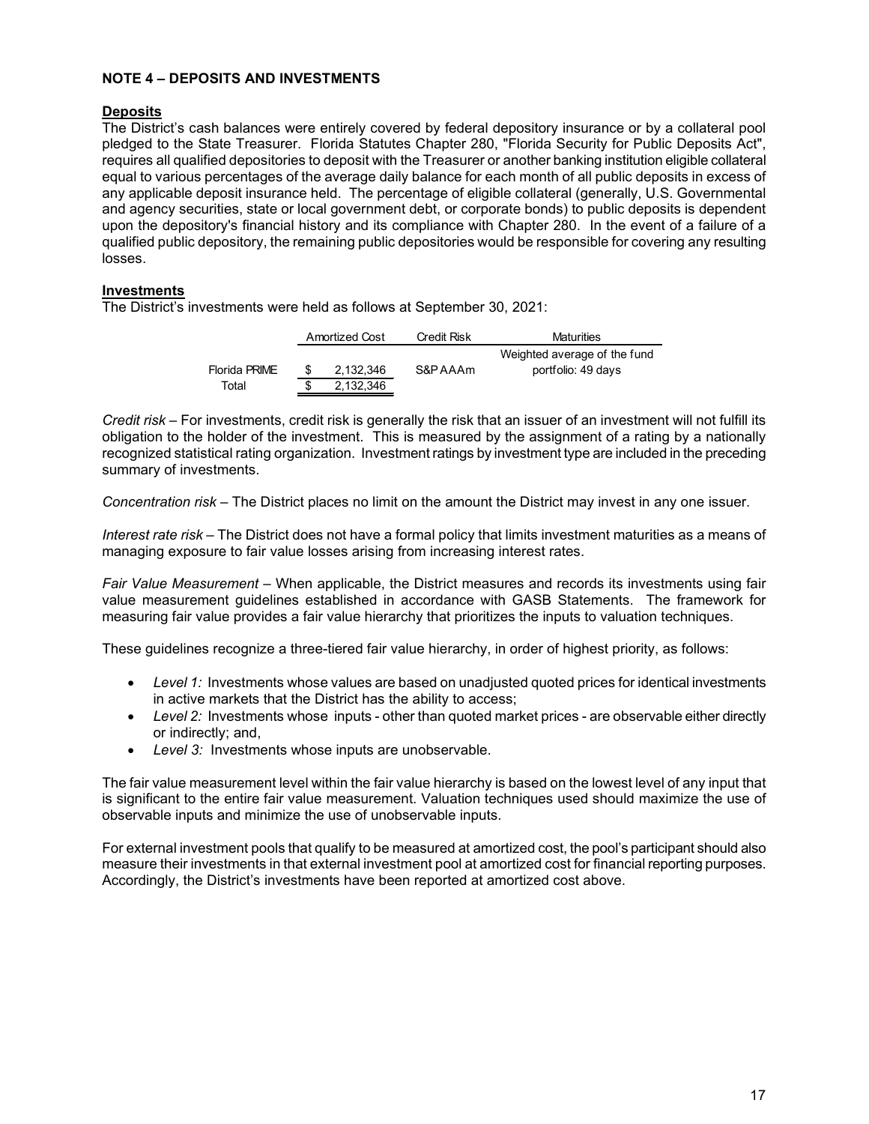# **NOTE 4 – DEPOSITS AND INVESTMENTS**

## **Deposits**

The District's cash balances were entirely covered by federal depository insurance or by a collateral pool pledged to the State Treasurer. Florida Statutes Chapter 280, "Florida Security for Public Deposits Act", requires all qualified depositories to deposit with the Treasurer or another banking institution eligible collateral equal to various percentages of the average daily balance for each month of all public deposits in excess of any applicable deposit insurance held. The percentage of eligible collateral (generally, U.S. Governmental and agency securities, state or local government debt, or corporate bonds) to public deposits is dependent upon the depository's financial history and its compliance with Chapter 280. In the event of a failure of a qualified public depository, the remaining public depositories would be responsible for covering any resulting losses.

# **Investments**

The District's investments were held as follows at September 30, 2021:

|               | Amortized Cost | Credit Risk | <b>Maturities</b>            |
|---------------|----------------|-------------|------------------------------|
|               |                |             | Weighted average of the fund |
| Florida PRIME | 2.132.346      | S&P AAAm    | portfolio: 49 days           |
| Total         | 2,132,346      |             |                              |

*Credit risk –* For investments, credit risk is generally the risk that an issuer of an investment will not fulfill its obligation to the holder of the investment. This is measured by the assignment of a rating by a nationally recognized statistical rating organization. Investment ratings by investment type are included in the preceding summary of investments.

*Concentration risk –* The District places no limit on the amount the District may invest in any one issuer.

*Interest rate risk –* The District does not have a formal policy that limits investment maturities as a means of managing exposure to fair value losses arising from increasing interest rates.

*Fair Value Measurement –* When applicable, the District measures and records its investments using fair value measurement guidelines established in accordance with GASB Statements. The framework for measuring fair value provides a fair value hierarchy that prioritizes the inputs to valuation techniques.

These guidelines recognize a three-tiered fair value hierarchy, in order of highest priority, as follows:

- *Level 1:* Investments whose values are based on unadjusted quoted prices for identical investments in active markets that the District has the ability to access;
- Level 2: Investments whose inputs other than quoted market prices are observable either directly or indirectly; and,
- *Level 3:* Investments whose inputs are unobservable.

The fair value measurement level within the fair value hierarchy is based on the lowest level of any input that is significant to the entire fair value measurement. Valuation techniques used should maximize the use of observable inputs and minimize the use of unobservable inputs.

For external investment pools that qualify to be measured at amortized cost, the pool's participant should also measure their investments in that external investment pool at amortized cost for financial reporting purposes. Accordingly, the District's investments have been reported at amortized cost above.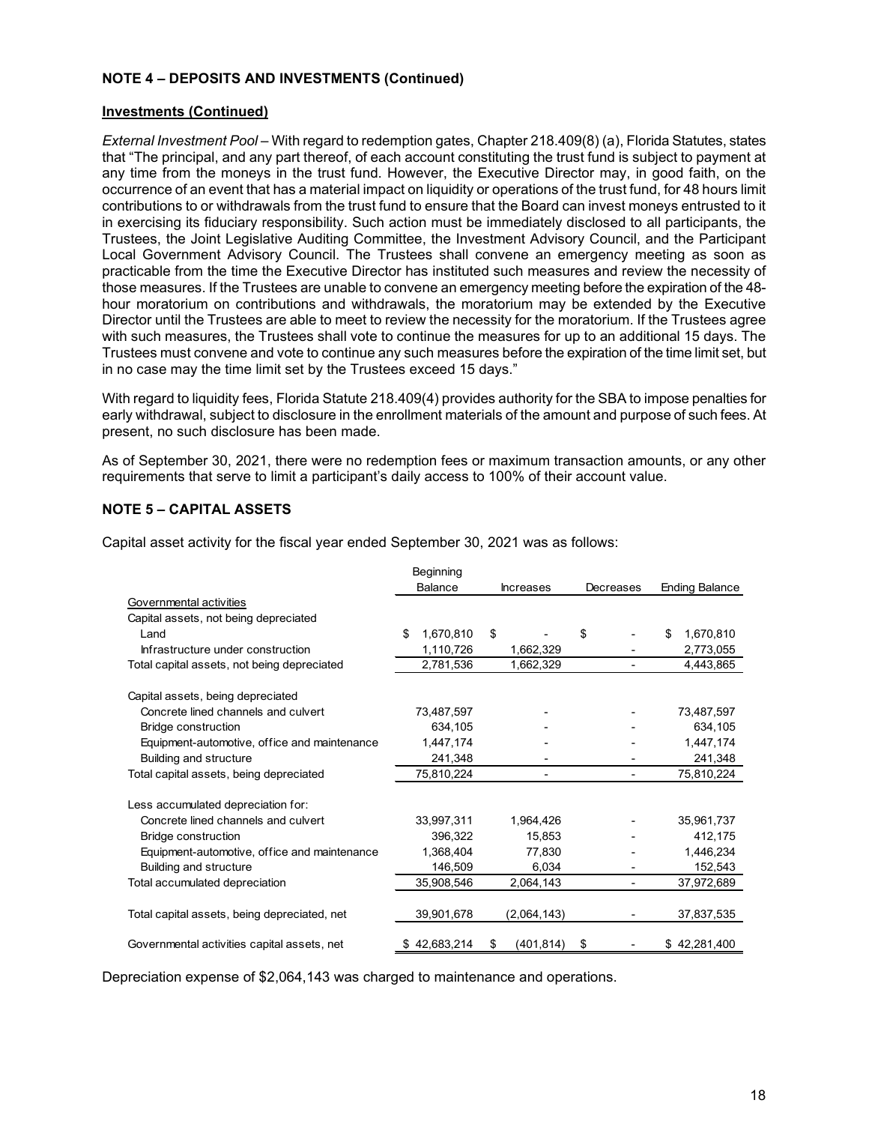# **NOTE 4 – DEPOSITS AND INVESTMENTS (Continued)**

## **Investments (Continued)**

*External Investment Pool –* With regard to redemption gates, Chapter 218.409(8) (a), Florida Statutes, states that "The principal, and any part thereof, of each account constituting the trust fund is subject to payment at any time from the moneys in the trust fund. However, the Executive Director may, in good faith, on the occurrence of an event that has a material impact on liquidity or operations of the trust fund, for 48 hours limit contributions to or withdrawals from the trust fund to ensure that the Board can invest moneys entrusted to it in exercising its fiduciary responsibility. Such action must be immediately disclosed to all participants, the Trustees, the Joint Legislative Auditing Committee, the Investment Advisory Council, and the Participant Local Government Advisory Council. The Trustees shall convene an emergency meeting as soon as practicable from the time the Executive Director has instituted such measures and review the necessity of those measures. If the Trustees are unable to convene an emergency meeting before the expiration of the 48 hour moratorium on contributions and withdrawals, the moratorium may be extended by the Executive Director until the Trustees are able to meet to review the necessity for the moratorium. If the Trustees agree with such measures, the Trustees shall vote to continue the measures for up to an additional 15 days. The Trustees must convene and vote to continue any such measures before the expiration of the time limit set, but in no case may the time limit set by the Trustees exceed 15 days."

With regard to liquidity fees, Florida Statute 218.409(4) provides authority for the SBA to impose penalties for early withdrawal, subject to disclosure in the enrollment materials of the amount and purpose of such fees. At present, no such disclosure has been made.

As of September 30, 2021, there were no redemption fees or maximum transaction amounts, or any other requirements that serve to limit a participant's daily access to 100% of their account value.

# **NOTE 5 – CAPITAL ASSETS**

Capital asset activity for the fiscal year ended September 30, 2021 was as follows:

|                                              | Beginning        |                  |           |                       |
|----------------------------------------------|------------------|------------------|-----------|-----------------------|
|                                              | <b>Balance</b>   | <b>Increases</b> | Decreases | <b>Ending Balance</b> |
| Governmental activities                      |                  |                  |           |                       |
| Capital assets, not being depreciated        |                  |                  |           |                       |
| Land                                         | \$.<br>1,670,810 | \$               | \$        | \$<br>1,670,810       |
| Infrastructure under construction            | 1,110,726        | 1,662,329        |           | 2,773,055             |
| Total capital assets, not being depreciated  | 2,781,536        | 1,662,329        | ۰         | 4,443,865             |
| Capital assets, being depreciated            |                  |                  |           |                       |
| Concrete lined channels and culvert          | 73,487,597       |                  |           | 73,487,597            |
| <b>Bridge construction</b>                   | 634,105          |                  |           | 634,105               |
| Equipment-automotive, office and maintenance | 1,447,174        |                  |           | 1,447,174             |
| Building and structure                       | 241,348          |                  |           | 241,348               |
| Total capital assets, being depreciated      | 75,810,224       |                  | ٠         | 75,810,224            |
| Less accumulated depreciation for:           |                  |                  |           |                       |
| Concrete lined channels and culvert          | 33,997,311       | 1,964,426        |           | 35,961,737            |
| Bridge construction                          | 396.322          | 15.853           |           | 412,175               |
| Equipment-automotive, office and maintenance | 1.368.404        | 77.830           |           | 1,446,234             |
| Building and structure                       | 146,509          | 6,034            |           | 152,543               |
| Total accumulated depreciation               | 35,908,546       | 2,064,143        |           | 37,972,689            |
| Total capital assets, being depreciated, net | 39,901,678       | (2,064,143)      |           | 37,837,535            |
| Governmental activities capital assets, net  | 42,683,214       | (401, 814)<br>\$ | S         | \$42,281,400          |

Depreciation expense of \$2,064,143 was charged to maintenance and operations.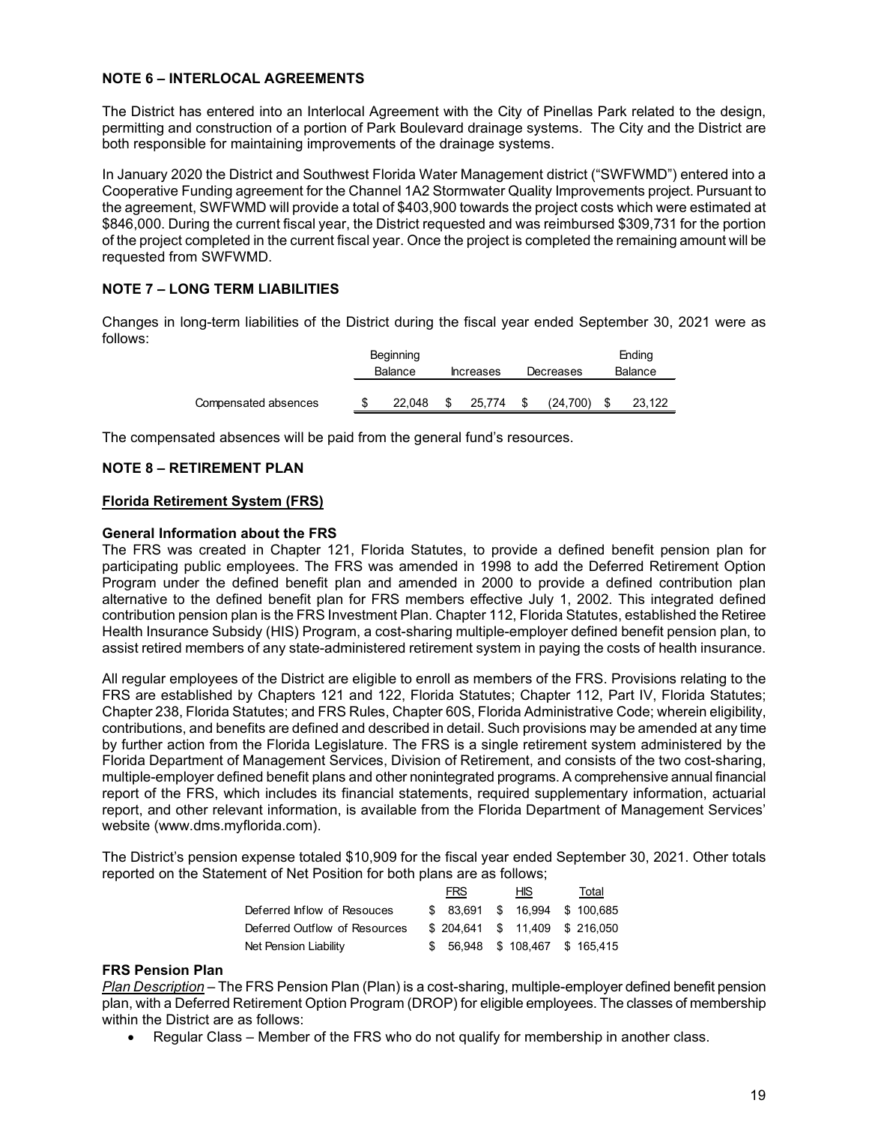# **NOTE 6 – INTERLOCAL AGREEMENTS**

The District has entered into an Interlocal Agreement with the City of Pinellas Park related to the design, permitting and construction of a portion of Park Boulevard drainage systems. The City and the District are both responsible for maintaining improvements of the drainage systems.

In January 2020 the District and Southwest Florida Water Management district ("SWFWMD") entered into a Cooperative Funding agreement for the Channel 1A2 Stormwater Quality Improvements project. Pursuant to the agreement, SWFWMD will provide a total of \$403,900 towards the project costs which were estimated at \$846,000. During the current fiscal year, the District requested and was reimbursed \$309,731 for the portion of the project completed in the current fiscal year. Once the project is completed the remaining amount will be requested from SWFWMD.

# **NOTE 7 – LONG TERM LIABILITIES**

Changes in long-term liabilities of the District during the fiscal year ended September 30, 2021 were as follows:

|                      | Beginning |                  |           | Ending  |
|----------------------|-----------|------------------|-----------|---------|
|                      | Balance   | <b>Increases</b> | Decreases | Balance |
|                      |           | 25.774           |           |         |
| Compensated absences | 22.048    |                  | (24.700)  | 23.122  |

The compensated absences will be paid from the general fund's resources.

# **NOTE 8 – RETIREMENT PLAN**

# **Florida Retirement System (FRS)**

# **General Information about the FRS**

The FRS was created in Chapter 121, Florida Statutes, to provide a defined benefit pension plan for participating public employees. The FRS was amended in 1998 to add the Deferred Retirement Option Program under the defined benefit plan and amended in 2000 to provide a defined contribution plan alternative to the defined benefit plan for FRS members effective July 1, 2002. This integrated defined contribution pension plan is the FRS Investment Plan. Chapter 112, Florida Statutes, established the Retiree Health Insurance Subsidy (HIS) Program, a cost-sharing multiple-employer defined benefit pension plan, to assist retired members of any state-administered retirement system in paying the costs of health insurance.

All regular employees of the District are eligible to enroll as members of the FRS. Provisions relating to the FRS are established by Chapters 121 and 122, Florida Statutes; Chapter 112, Part IV, Florida Statutes; Chapter 238, Florida Statutes; and FRS Rules, Chapter 60S, Florida Administrative Code; wherein eligibility, contributions, and benefits are defined and described in detail. Such provisions may be amended at any time by further action from the Florida Legislature. The FRS is a single retirement system administered by the Florida Department of Management Services, Division of Retirement, and consists of the two cost-sharing, multiple-employer defined benefit plans and other nonintegrated programs. A comprehensive annual financial report of the FRS, which includes its financial statements, required supplementary information, actuarial report, and other relevant information, is available from the Florida Department of Management Services' website (www.dms.myflorida.com).

The District's pension expense totaled \$10,909 for the fiscal year ended September 30, 2021. Other totals reported on the Statement of Net Position for both plans are as follows;

|                               | <b>FRS</b> | HIS I                           | Total |
|-------------------------------|------------|---------------------------------|-------|
| Deferred Inflow of Resouces   | \$ 83.691  | \$ 16.994 \$ 100.685            |       |
| Deferred Outflow of Resources |            | \$ 204.641 \$ 11.409 \$ 216.050 |       |
| Net Pension Liability         |            | \$ 56.948 \$ 108.467 \$ 165.415 |       |

#### **FRS Pension Plan**

*Plan Description* – The FRS Pension Plan (Plan) is a cost-sharing, multiple-employer defined benefit pension plan, with a Deferred Retirement Option Program (DROP) for eligible employees. The classes of membership within the District are as follows:

• Regular Class – Member of the FRS who do not qualify for membership in another class.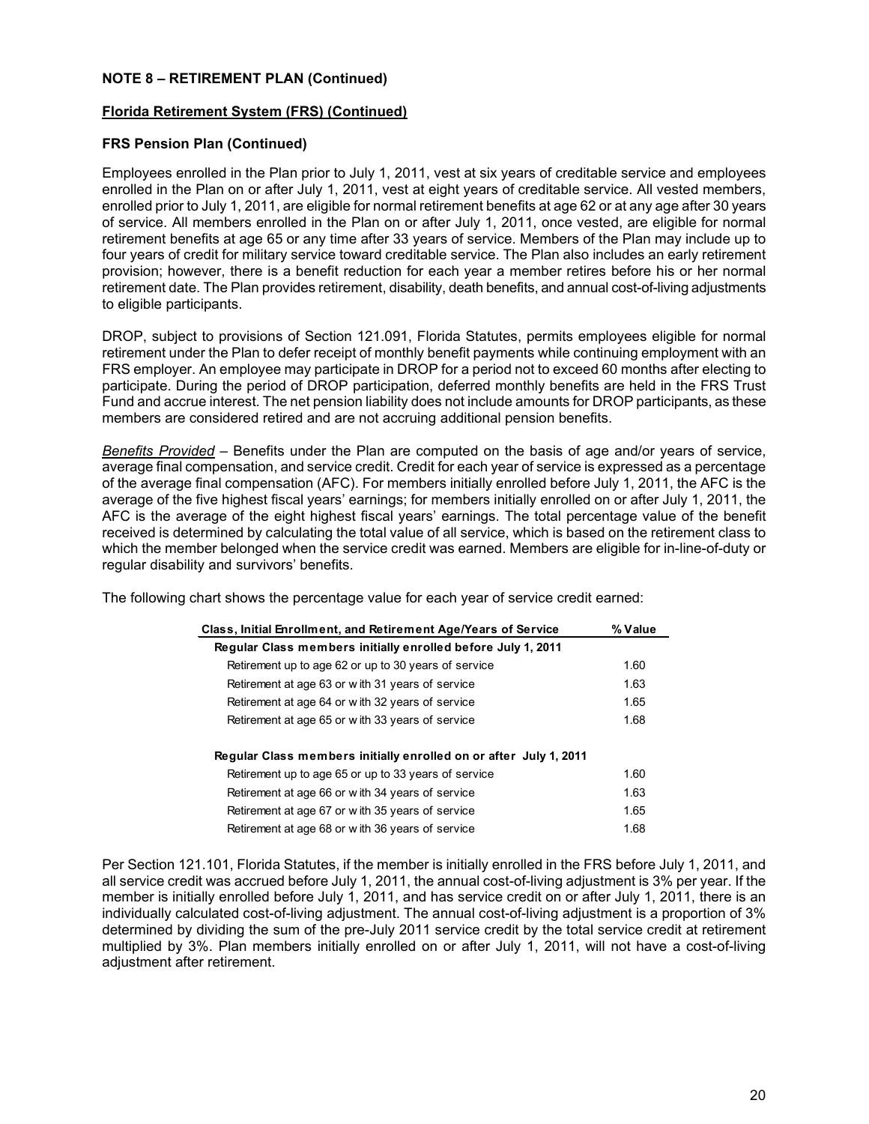## **Florida Retirement System (FRS) (Continued)**

# **FRS Pension Plan (Continued)**

Employees enrolled in the Plan prior to July 1, 2011, vest at six years of creditable service and employees enrolled in the Plan on or after July 1, 2011, vest at eight years of creditable service. All vested members, enrolled prior to July 1, 2011, are eligible for normal retirement benefits at age 62 or at any age after 30 years of service. All members enrolled in the Plan on or after July 1, 2011, once vested, are eligible for normal retirement benefits at age 65 or any time after 33 years of service. Members of the Plan may include up to four years of credit for military service toward creditable service. The Plan also includes an early retirement provision; however, there is a benefit reduction for each year a member retires before his or her normal retirement date. The Plan provides retirement, disability, death benefits, and annual cost-of-living adjustments to eligible participants.

DROP, subject to provisions of Section 121.091, Florida Statutes, permits employees eligible for normal retirement under the Plan to defer receipt of monthly benefit payments while continuing employment with an FRS employer. An employee may participate in DROP for a period not to exceed 60 months after electing to participate. During the period of DROP participation, deferred monthly benefits are held in the FRS Trust Fund and accrue interest. The net pension liability does not include amounts for DROP participants, as these members are considered retired and are not accruing additional pension benefits.

*Benefits Provided* – Benefits under the Plan are computed on the basis of age and/or years of service, average final compensation, and service credit. Credit for each year of service is expressed as a percentage of the average final compensation (AFC). For members initially enrolled before July 1, 2011, the AFC is the average of the five highest fiscal years' earnings; for members initially enrolled on or after July 1, 2011, the AFC is the average of the eight highest fiscal years' earnings. The total percentage value of the benefit received is determined by calculating the total value of all service, which is based on the retirement class to which the member belonged when the service credit was earned. Members are eligible for in-line-of-duty or regular disability and survivors' benefits.

The following chart shows the percentage value for each year of service credit earned:

| Class, Initial Enrollment, and Retirement Age/Years of Service    | % Value |
|-------------------------------------------------------------------|---------|
| Regular Class members initially enrolled before July 1, 2011      |         |
| Retirement up to age 62 or up to 30 years of service              | 1.60    |
| Retirement at age 63 or with 31 years of service                  | 1.63    |
| Retirement at age 64 or with 32 years of service                  | 1.65    |
| Retirement at age 65 or with 33 years of service                  | 1.68    |
| Regular Class members initially enrolled on or after July 1, 2011 |         |
| Retirement up to age 65 or up to 33 years of service              | 1.60    |
| Retirement at age 66 or with 34 years of service                  | 1.63    |
| Retirement at age 67 or with 35 years of service                  | 1.65    |
| Retirement at age 68 or with 36 years of service                  | 1.68    |

Per Section 121.101, Florida Statutes, if the member is initially enrolled in the FRS before July 1, 2011, and all service credit was accrued before July 1, 2011, the annual cost-of-living adjustment is 3% per year. If the member is initially enrolled before July 1, 2011, and has service credit on or after July 1, 2011, there is an individually calculated cost-of-living adjustment. The annual cost-of-living adjustment is a proportion of 3% determined by dividing the sum of the pre-July 2011 service credit by the total service credit at retirement multiplied by 3%. Plan members initially enrolled on or after July 1, 2011, will not have a cost-of-living adjustment after retirement.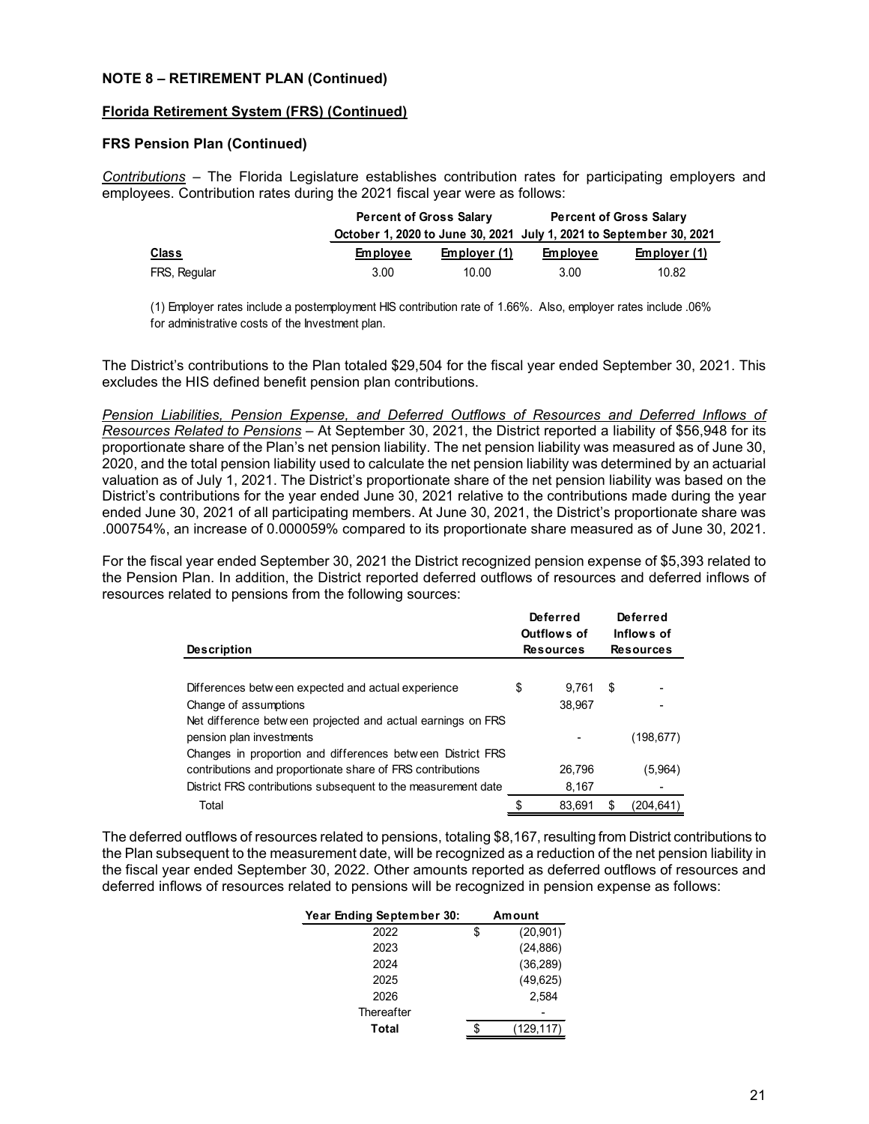## **Florida Retirement System (FRS) (Continued)**

## **FRS Pension Plan (Continued)**

*Contributions* – The Florida Legislature establishes contribution rates for participating employers and employees. Contribution rates during the 2021 fiscal year were as follows:

|              | <b>Percent of Gross Salary</b> |              | <b>Percent of Gross Salary</b> |                                                                     |  |  |
|--------------|--------------------------------|--------------|--------------------------------|---------------------------------------------------------------------|--|--|
|              |                                |              |                                | October 1, 2020 to June 30, 2021 July 1, 2021 to September 30, 2021 |  |  |
| <u>Class</u> | <b>Employee</b>                | Employer (1) | <b>Employee</b>                | Employer (1)                                                        |  |  |
| FRS, Regular | 3.00                           | 10.00        | 3.00                           | 10.82                                                               |  |  |

(1) Employer rates include a postemployment HIS contribution rate of 1.66%. Also, employer rates include .06% for administrative costs of the Investment plan.

The District's contributions to the Plan totaled \$29,504 for the fiscal year ended September 30, 2021. This excludes the HIS defined benefit pension plan contributions.

*Pension Liabilities, Pension Expense, and Deferred Outflows of Resources and Deferred Inflows of Resources Related to Pensions* – At September 30, 2021, the District reported a liability of \$56,948 for its proportionate share of the Plan's net pension liability. The net pension liability was measured as of June 30, 2020, and the total pension liability used to calculate the net pension liability was determined by an actuarial valuation as of July 1, 2021. The District's proportionate share of the net pension liability was based on the District's contributions for the year ended June 30, 2021 relative to the contributions made during the year ended June 30, 2021 of all participating members. At June 30, 2021, the District's proportionate share was .000754%, an increase of 0.000059% compared to its proportionate share measured as of June 30, 2021.

For the fiscal year ended September 30, 2021 the District recognized pension expense of \$5,393 related to the Pension Plan. In addition, the District reported deferred outflows of resources and deferred inflows of resources related to pensions from the following sources:

|                                                               | Deferred<br>Outflows of |    | Deferred<br>Inflows of |
|---------------------------------------------------------------|-------------------------|----|------------------------|
| <b>Description</b>                                            | <b>Resources</b>        |    | <b>Resources</b>       |
|                                                               |                         |    |                        |
| Differences between expected and actual experience            | \$<br>9.761             | S  |                        |
| Change of assumptions                                         | 38,967                  |    |                        |
| Net difference between projected and actual earnings on FRS   |                         |    |                        |
| pension plan investments                                      |                         |    | (198, 677)             |
| Changes in proportion and differences between District FRS    |                         |    |                        |
| contributions and proportionate share of FRS contributions    | 26,796                  |    | (5,964)                |
| District FRS contributions subsequent to the measurement date | 8,167                   |    |                        |
| Total                                                         | \$<br>83.691            | S. | (204.641)              |

The deferred outflows of resources related to pensions, totaling \$8,167, resulting from District contributions to the Plan subsequent to the measurement date, will be recognized as a reduction of the net pension liability in the fiscal year ended September 30, 2022. Other amounts reported as deferred outflows of resources and deferred inflows of resources related to pensions will be recognized in pension expense as follows:

| Year Ending September 30: | Amount          |
|---------------------------|-----------------|
| 2022                      | \$<br>(20, 901) |
| 2023                      | (24, 886)       |
| 2024                      | (36, 289)       |
| 2025                      | (49, 625)       |
| 2026                      | 2.584           |
| Thereafter                |                 |
| Total                     | (129,117)       |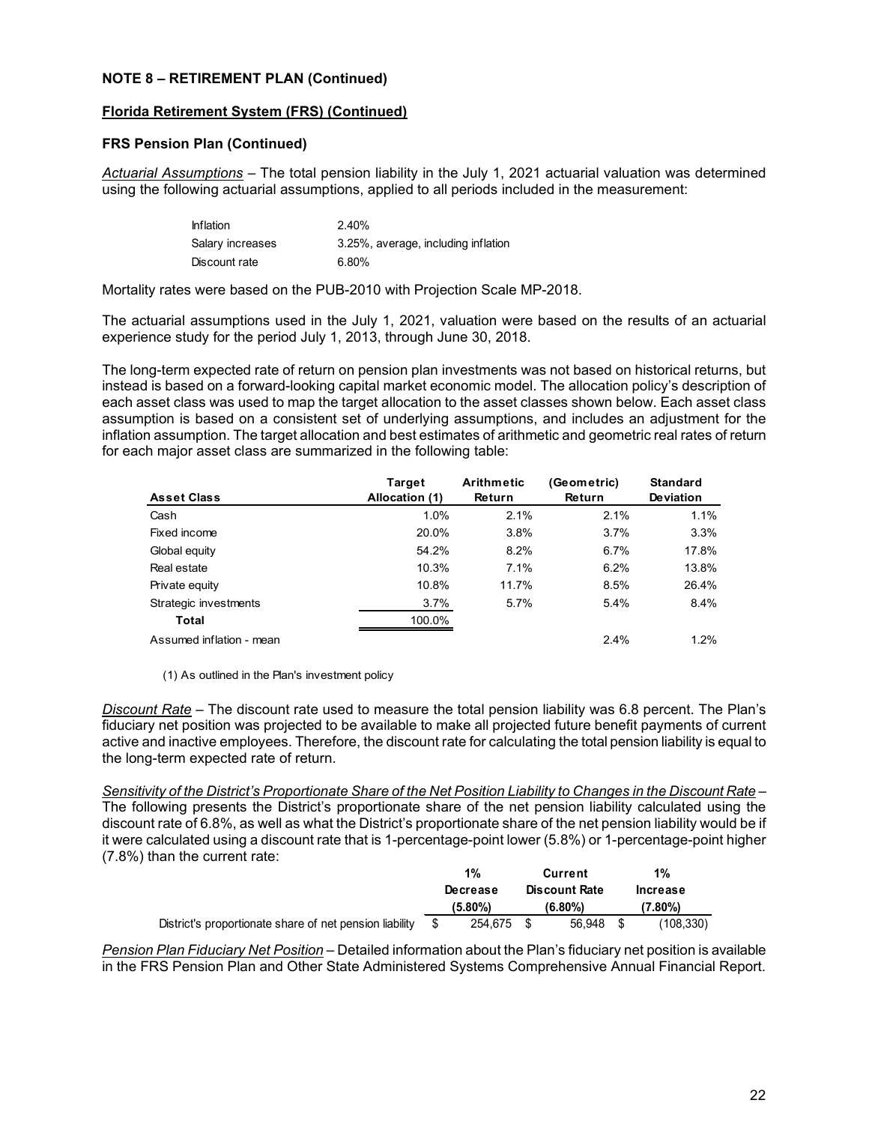## **Florida Retirement System (FRS) (Continued)**

## **FRS Pension Plan (Continued)**

*Actuarial Assumptions* – The total pension liability in the July 1, 2021 actuarial valuation was determined using the following actuarial assumptions, applied to all periods included in the measurement:

| <b>Inflation</b> | 2.40%                               |
|------------------|-------------------------------------|
| Salary increases | 3.25%, average, including inflation |
| Discount rate    | 6.80%                               |

Mortality rates were based on the PUB-2010 with Projection Scale MP-2018.

The actuarial assumptions used in the July 1, 2021, valuation were based on the results of an actuarial experience study for the period July 1, 2013, through June 30, 2018.

The long-term expected rate of return on pension plan investments was not based on historical returns, but instead is based on a forward-looking capital market economic model. The allocation policy's description of each asset class was used to map the target allocation to the asset classes shown below. Each asset class assumption is based on a consistent set of underlying assumptions, and includes an adjustment for the inflation assumption. The target allocation and best estimates of arithmetic and geometric real rates of return for each major asset class are summarized in the following table:

|                          | <b>Target</b>  | <b>Arithmetic</b> | (Geometric) | <b>Standard</b> |
|--------------------------|----------------|-------------------|-------------|-----------------|
| <b>Asset Class</b>       | Allocation (1) | Return            | Return      | Deviation       |
| Cash                     | 1.0%           | 2.1%              | 2.1%        | 1.1%            |
| Fixed income             | 20.0%          | 3.8%              | 3.7%        | 3.3%            |
| Global equity            | 54.2%          | 8.2%              | 6.7%        | 17.8%           |
| Real estate              | 10.3%          | 7.1%              | 6.2%        | 13.8%           |
| Private equity           | 10.8%          | 11.7%             | 8.5%        | 26.4%           |
| Strategic investments    | 3.7%           | 5.7%              | 5.4%        | 8.4%            |
| Total                    | 100.0%         |                   |             |                 |
| Assumed inflation - mean |                |                   | 2.4%        | 1.2%            |

(1) As outlined in the Plan's investment policy

*Discount Rate* – The discount rate used to measure the total pension liability was 6.8 percent. The Plan's fiduciary net position was projected to be available to make all projected future benefit payments of current active and inactive employees. Therefore, the discount rate for calculating the total pension liability is equal to the long-term expected rate of return.

*Sensitivity of the District's Proportionate Share of the Net Position Liability to Changes in the Discount Rate* – The following presents the District's proportionate share of the net pension liability calculated using the discount rate of 6.8%, as well as what the District's proportionate share of the net pension liability would be if it were calculated using a discount rate that is 1-percentage-point lower (5.8%) or 1-percentage-point higher (7.8%) than the current rate:

|                                                         | 1% |            | Current              |      | $1\%$           |
|---------------------------------------------------------|----|------------|----------------------|------|-----------------|
|                                                         |    | Decrease   | <b>Discount Rate</b> |      | <b>Increase</b> |
|                                                         |    | $(5.80\%)$ | $(6.80\%)$           |      | (7.80%)         |
| District's proportionate share of net pension liability |    | 254.675 \$ | 56.948               | - \$ | (108.330)       |

*Pension Plan Fiduciary Net Position* – Detailed information about the Plan's fiduciary net position is available in the FRS Pension Plan and Other State Administered Systems Comprehensive Annual Financial Report.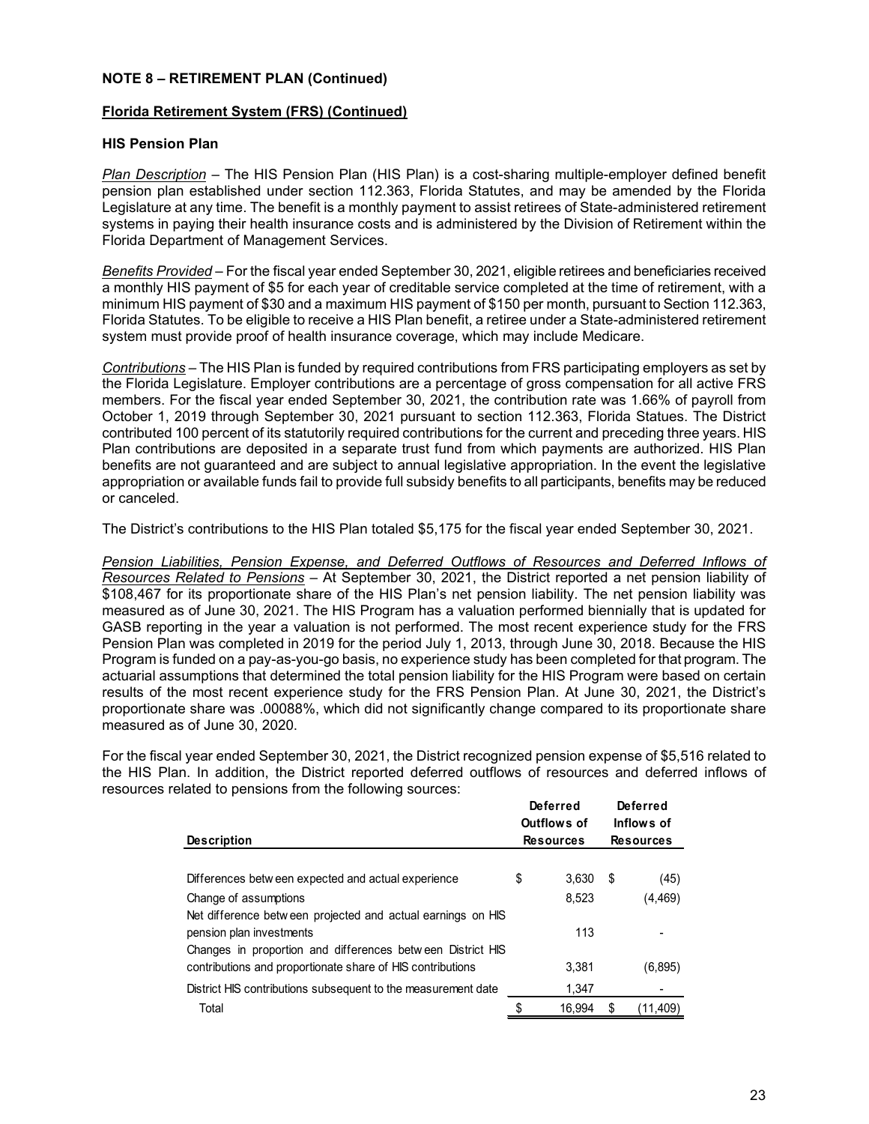## **Florida Retirement System (FRS) (Continued)**

# **HIS Pension Plan**

*Plan Description* – The HIS Pension Plan (HIS Plan) is a cost-sharing multiple-employer defined benefit pension plan established under section 112.363, Florida Statutes, and may be amended by the Florida Legislature at any time. The benefit is a monthly payment to assist retirees of State-administered retirement systems in paying their health insurance costs and is administered by the Division of Retirement within the Florida Department of Management Services.

*Benefits Provided* – For the fiscal year ended September 30, 2021, eligible retirees and beneficiaries received a monthly HIS payment of \$5 for each year of creditable service completed at the time of retirement, with a minimum HIS payment of \$30 and a maximum HIS payment of \$150 per month, pursuant to Section 112.363, Florida Statutes. To be eligible to receive a HIS Plan benefit, a retiree under a State-administered retirement system must provide proof of health insurance coverage, which may include Medicare.

*Contributions* – The HIS Plan is funded by required contributions from FRS participating employers as set by the Florida Legislature. Employer contributions are a percentage of gross compensation for all active FRS members. For the fiscal year ended September 30, 2021, the contribution rate was 1.66% of payroll from October 1, 2019 through September 30, 2021 pursuant to section 112.363, Florida Statues. The District contributed 100 percent of its statutorily required contributions for the current and preceding three years. HIS Plan contributions are deposited in a separate trust fund from which payments are authorized. HIS Plan benefits are not guaranteed and are subject to annual legislative appropriation. In the event the legislative appropriation or available funds fail to provide full subsidy benefits to all participants, benefits may be reduced or canceled.

The District's contributions to the HIS Plan totaled \$5,175 for the fiscal year ended September 30, 2021.

*Pension Liabilities, Pension Expense, and Deferred Outflows of Resources and Deferred Inflows of Resources Related to Pensions* – At September 30, 2021, the District reported a net pension liability of \$108,467 for its proportionate share of the HIS Plan's net pension liability. The net pension liability was measured as of June 30, 2021. The HIS Program has a valuation performed biennially that is updated for GASB reporting in the year a valuation is not performed. The most recent experience study for the FRS Pension Plan was completed in 2019 for the period July 1, 2013, through June 30, 2018. Because the HIS Program is funded on a pay-as-you-go basis, no experience study has been completed for that program. The actuarial assumptions that determined the total pension liability for the HIS Program were based on certain results of the most recent experience study for the FRS Pension Plan. At June 30, 2021, the District's proportionate share was .00088%, which did not significantly change compared to its proportionate share measured as of June 30, 2020.

For the fiscal year ended September 30, 2021, the District recognized pension expense of \$5,516 related to the HIS Plan. In addition, the District reported deferred outflows of resources and deferred inflows of resources related to pensions from the following sources:

|                                                                                                                          | <b>Deferred</b><br>Outflows of | <b>Deferred</b><br>Inflows of |
|--------------------------------------------------------------------------------------------------------------------------|--------------------------------|-------------------------------|
| <b>Description</b>                                                                                                       | <b>Resources</b>               | <b>Resources</b>              |
| Differences between expected and actual experience                                                                       | \$<br>3.630                    | \$<br>(45)                    |
| Change of assumptions                                                                                                    | 8,523                          | (4,469)                       |
| Net difference between projected and actual earnings on HIS                                                              |                                |                               |
| pension plan investments                                                                                                 | 113                            |                               |
| Changes in proportion and differences between District HIS<br>contributions and proportionate share of HIS contributions | 3.381                          | (6,895)                       |
| District HIS contributions subsequent to the measurement date                                                            | 1,347                          |                               |
| Total                                                                                                                    | 16,994                         | \$<br>(11,409)                |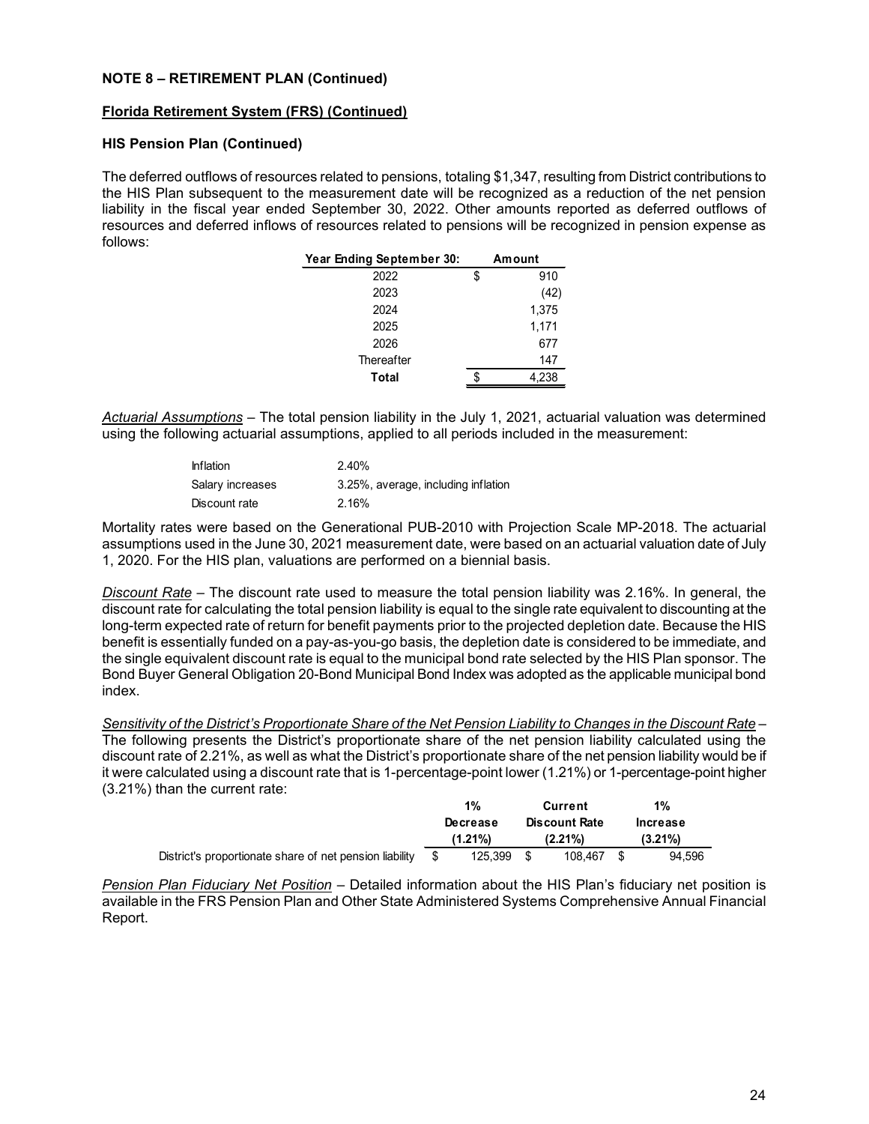## **Florida Retirement System (FRS) (Continued)**

## **HIS Pension Plan (Continued)**

The deferred outflows of resources related to pensions, totaling \$1,347, resulting from District contributions to the HIS Plan subsequent to the measurement date will be recognized as a reduction of the net pension liability in the fiscal year ended September 30, 2022. Other amounts reported as deferred outflows of resources and deferred inflows of resources related to pensions will be recognized in pension expense as follows:

| Year Ending September 30: |    | Amount |
|---------------------------|----|--------|
| 2022                      | \$ | 910    |
| 2023                      |    | (42)   |
| 2024                      |    | 1,375  |
| 2025                      |    | 1,171  |
| 2026                      |    | 677    |
| Thereafter                |    | 147    |
| <b>Total</b>              |    | 4,238  |
|                           |    |        |

*Actuarial Assumptions* – The total pension liability in the July 1, 2021, actuarial valuation was determined using the following actuarial assumptions, applied to all periods included in the measurement:

| <b>Inflation</b> | 2.40%                               |
|------------------|-------------------------------------|
| Salary increases | 3.25%, average, including inflation |
| Discount rate    | 2.16%                               |

Mortality rates were based on the Generational PUB-2010 with Projection Scale MP-2018. The actuarial assumptions used in the June 30, 2021 measurement date, were based on an actuarial valuation date of July 1, 2020. For the HIS plan, valuations are performed on a biennial basis.

*Discount Rate* – The discount rate used to measure the total pension liability was 2.16%. In general, the discount rate for calculating the total pension liability is equal to the single rate equivalent to discounting at the long-term expected rate of return for benefit payments prior to the projected depletion date. Because the HIS benefit is essentially funded on a pay-as-you-go basis, the depletion date is considered to be immediate, and the single equivalent discount rate is equal to the municipal bond rate selected by the HIS Plan sponsor. The Bond Buyer General Obligation 20-Bond Municipal Bond Index was adopted as the applicable municipal bond index.

*Sensitivity of the District's Proportionate Share of the Net Pension Liability to Changes in the Discount Rate* – The following presents the District's proportionate share of the net pension liability calculated using the discount rate of 2.21%, as well as what the District's proportionate share of the net pension liability would be if it were calculated using a discount rate that is 1-percentage-point lower (1.21%) or 1-percentage-point higher (3.21%) than the current rate:

|                                                         | 1%         | Current              |      | $1\%$      |
|---------------------------------------------------------|------------|----------------------|------|------------|
|                                                         | Decrease   | <b>Discount Rate</b> |      | Increase   |
|                                                         | $(1.21\%)$ | $(2.21\%)$           |      | $(3.21\%)$ |
| District's proportionate share of net pension liability | 125.399    | 108,467              | - \$ | 94.596     |

*Pension Plan Fiduciary Net Position* – Detailed information about the HIS Plan's fiduciary net position is available in the FRS Pension Plan and Other State Administered Systems Comprehensive Annual Financial Report.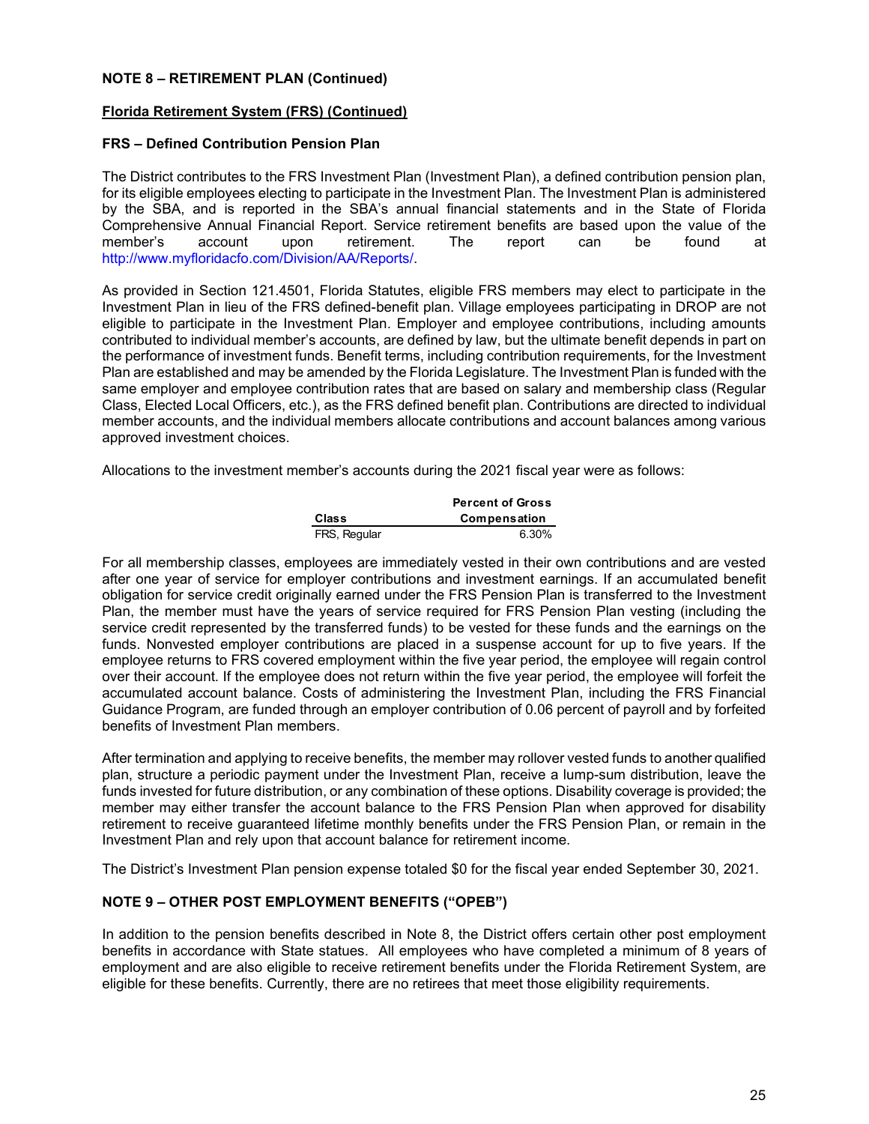## **Florida Retirement System (FRS) (Continued)**

## **FRS – Defined Contribution Pension Plan**

The District contributes to the FRS Investment Plan (Investment Plan), a defined contribution pension plan, for its eligible employees electing to participate in the Investment Plan. The Investment Plan is administered by the SBA, and is reported in the SBA's annual financial statements and in the State of Florida Comprehensive Annual Financial Report. Service retirement benefits are based upon the value of the member's account upon retirement. The report can be found at member's account upon retirement. The report can be found at http://www.myfloridacfo.com/Division/AA/Reports/.

As provided in Section 121.4501, Florida Statutes, eligible FRS members may elect to participate in the Investment Plan in lieu of the FRS defined-benefit plan. Village employees participating in DROP are not eligible to participate in the Investment Plan. Employer and employee contributions, including amounts contributed to individual member's accounts, are defined by law, but the ultimate benefit depends in part on the performance of investment funds. Benefit terms, including contribution requirements, for the Investment Plan are established and may be amended by the Florida Legislature. The Investment Plan is funded with the same employer and employee contribution rates that are based on salary and membership class (Regular Class, Elected Local Officers, etc.), as the FRS defined benefit plan. Contributions are directed to individual member accounts, and the individual members allocate contributions and account balances among various approved investment choices.

Allocations to the investment member's accounts during the 2021 fiscal year were as follows:

|              | <b>Percent of Gross</b> |
|--------------|-------------------------|
| <b>Class</b> | Compensation            |
| FRS, Regular | 6.30%                   |

For all membership classes, employees are immediately vested in their own contributions and are vested after one year of service for employer contributions and investment earnings. If an accumulated benefit obligation for service credit originally earned under the FRS Pension Plan is transferred to the Investment Plan, the member must have the years of service required for FRS Pension Plan vesting (including the service credit represented by the transferred funds) to be vested for these funds and the earnings on the funds. Nonvested employer contributions are placed in a suspense account for up to five years. If the employee returns to FRS covered employment within the five year period, the employee will regain control over their account. If the employee does not return within the five year period, the employee will forfeit the accumulated account balance. Costs of administering the Investment Plan, including the FRS Financial Guidance Program, are funded through an employer contribution of 0.06 percent of payroll and by forfeited benefits of Investment Plan members.

After termination and applying to receive benefits, the member may rollover vested funds to another qualified plan, structure a periodic payment under the Investment Plan, receive a lump-sum distribution, leave the funds invested for future distribution, or any combination of these options. Disability coverage is provided; the member may either transfer the account balance to the FRS Pension Plan when approved for disability retirement to receive guaranteed lifetime monthly benefits under the FRS Pension Plan, or remain in the Investment Plan and rely upon that account balance for retirement income.

The District's Investment Plan pension expense totaled \$0 for the fiscal year ended September 30, 2021.

# **NOTE 9 – OTHER POST EMPLOYMENT BENEFITS ("OPEB")**

In addition to the pension benefits described in Note 8, the District offers certain other post employment benefits in accordance with State statues. All employees who have completed a minimum of 8 years of employment and are also eligible to receive retirement benefits under the Florida Retirement System, are eligible for these benefits. Currently, there are no retirees that meet those eligibility requirements.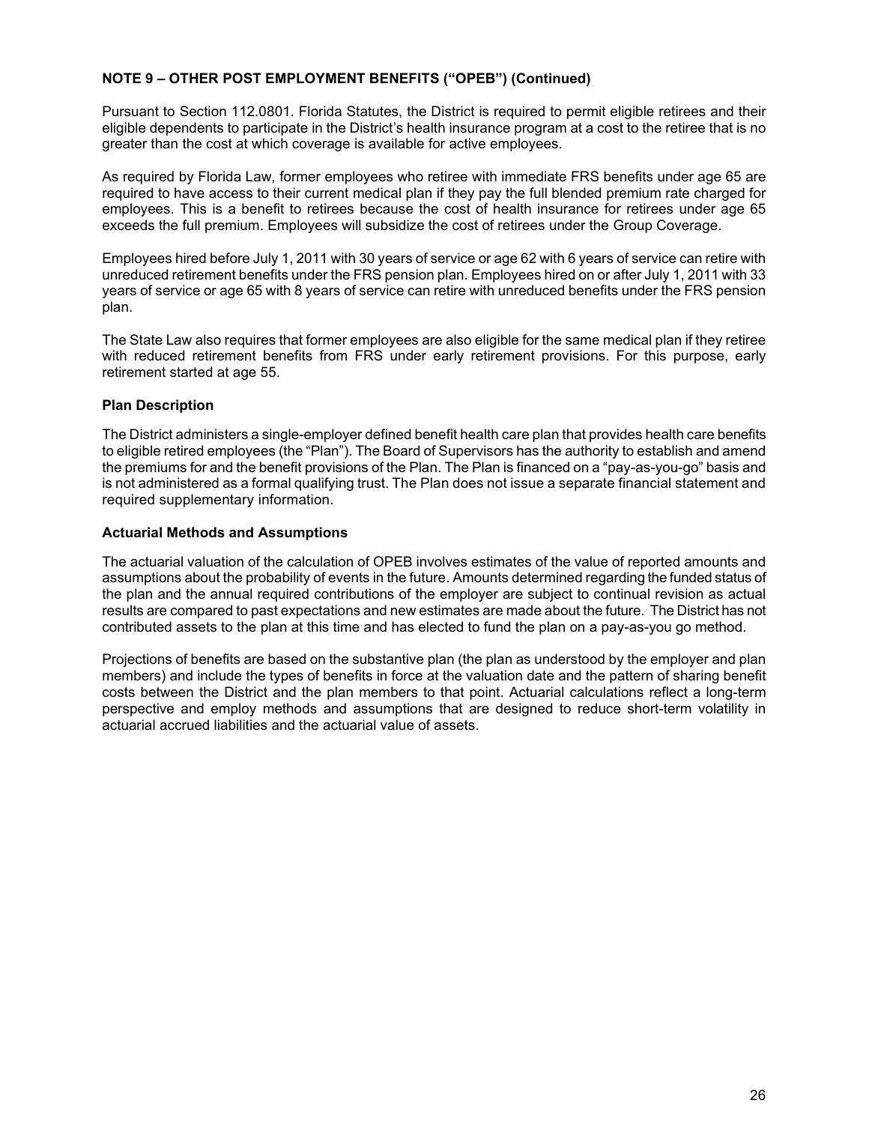# **NOTE 9 – OTHER POST EMPLOYMENT BENEFITS ("OPEB") (Continued)**

Pursuant to Section 112.0801. Florida Statutes, the District is required to permit eligible retirees and their eligible dependents to participate in the District's health insurance program at a cost to the retiree that is no greater than the cost at which coverage is available for active employees.

As required by Florida Law, former employees who retiree with immediate FRS benefits under age 65 are required to have access to their current medical plan if they pay the full blended premium rate charged for employees. This is a benefit to retirees because the cost of health insurance for retirees under age 65 exceeds the full premium. Employees will subsidize the cost of retirees under the Group Coverage.

Employees hired before July 1, 2011 with 30 years of service or age 62 with 6 years of service can retire with unreduced retirement benefits under the FRS pension plan. Employees hired on or after July 1, 2011 with 33 years of service or age 65 with 8 years of service can retire with unreduced benefits under the FRS pension plan.

The State Law also requires that former employees are also eligible for the same medical plan if they retiree with reduced retirement benefits from FRS under early retirement provisions. For this purpose, early retirement started at age 55.

# **Plan Description**

The District administers a single-employer defined benefit health care plan that provides health care benefits to eligible retired employees (the "Plan"). The Board of Supervisors has the authority to establish and amend the premiums for and the benefit provisions of the Plan. The Plan is financed on a "pay-as-you-go" basis and is not administered as a formal qualifying trust. The Plan does not issue a separate financial statement and required supplementary information.

# **Actuarial Methods and Assumptions**

The actuarial valuation of the calculation of OPEB involves estimates of the value of reported amounts and assumptions about the probability of events in the future. Amounts determined regarding the funded status of the plan and the annual required contributions of the employer are subject to continual revision as actual results are compared to past expectations and new estimates are made about the future. The District has not contributed assets to the plan at this time and has elected to fund the plan on a pay-as-you go method.

Projections of benefits are based on the substantive plan (the plan as understood by the employer and plan members) and include the types of benefits in force at the valuation date and the pattern of sharing benefit costs between the District and the plan members to that point. Actuarial calculations reflect a long-term perspective and employ methods and assumptions that are designed to reduce short-term volatility in actuarial accrued liabilities and the actuarial value of assets.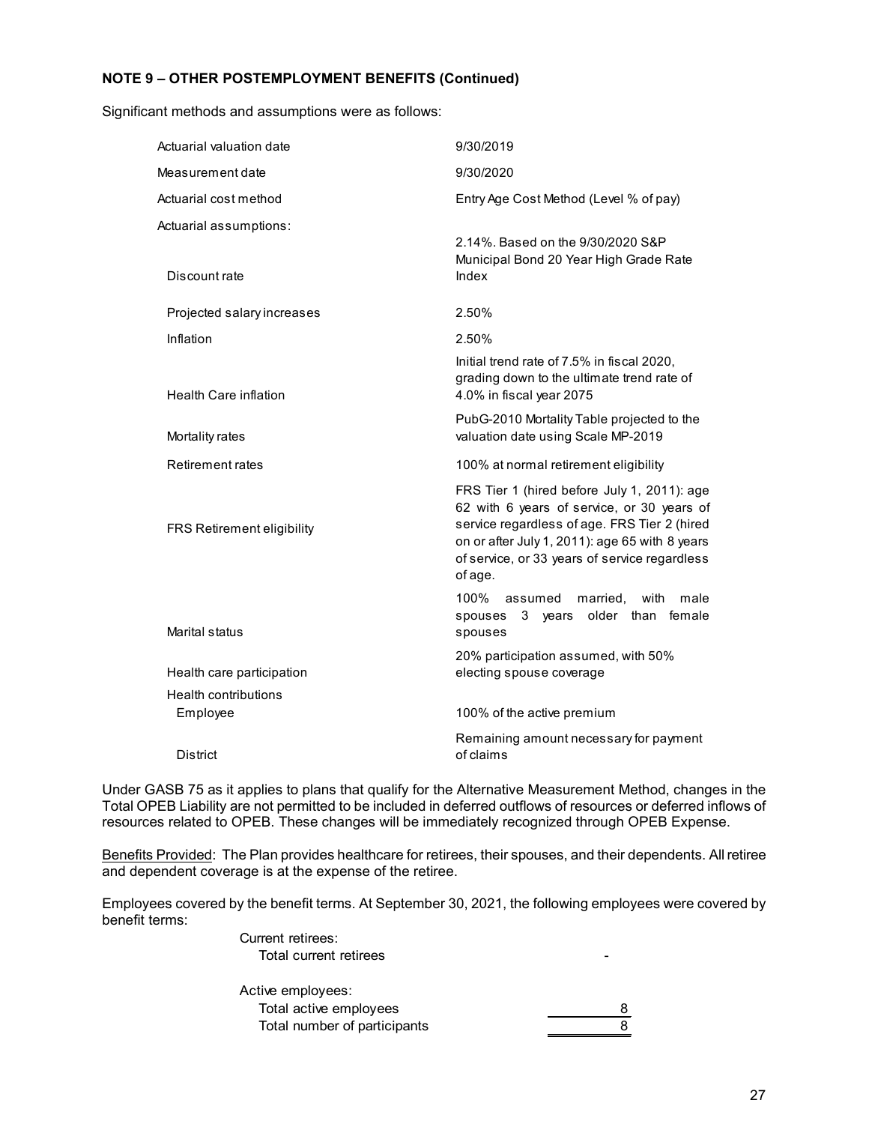# **NOTE 9 – OTHER POSTEMPLOYMENT BENEFITS (Continued)**

Significant methods and assumptions were as follows:

| Actuarial valuation date                | 9/30/2019                                                                                                                                                                                                                                               |
|-----------------------------------------|---------------------------------------------------------------------------------------------------------------------------------------------------------------------------------------------------------------------------------------------------------|
| Measurement date                        | 9/30/2020                                                                                                                                                                                                                                               |
| Actuarial cost method                   | Entry Age Cost Method (Level % of pay)                                                                                                                                                                                                                  |
| Actuarial assumptions:<br>Discount rate | 2.14%. Based on the 9/30/2020 S&P<br>Municipal Bond 20 Year High Grade Rate<br>Index                                                                                                                                                                    |
| Projected salary increases              | 2.50%                                                                                                                                                                                                                                                   |
| Inflation                               | 2.50%                                                                                                                                                                                                                                                   |
| <b>Health Care inflation</b>            | Initial trend rate of 7.5% in fiscal 2020,<br>grading down to the ultimate trend rate of<br>4.0% in fiscal year 2075                                                                                                                                    |
| Mortality rates                         | PubG-2010 Mortality Table projected to the<br>valuation date using Scale MP-2019                                                                                                                                                                        |
| <b>Retirement rates</b>                 | 100% at normal retirement eligibility                                                                                                                                                                                                                   |
| FRS Retirement eligibility              | FRS Tier 1 (hired before July 1, 2011): age<br>62 with 6 years of service, or 30 years of<br>service regardless of age. FRS Tier 2 (hired<br>on or after July 1, 2011): age 65 with 8 years<br>of service, or 33 years of service regardless<br>of age. |
| Marital status                          | 100%<br>married,<br>with<br>assumed<br>male<br>older than<br>female<br>3 years<br>spouses<br>spouses                                                                                                                                                    |
| Health care participation               | 20% participation assumed, with 50%<br>electing spouse coverage                                                                                                                                                                                         |
| <b>Health contributions</b>             |                                                                                                                                                                                                                                                         |
| Employee                                | 100% of the active premium                                                                                                                                                                                                                              |
| <b>District</b>                         | Remaining amount necessary for payment<br>of claims                                                                                                                                                                                                     |

Under GASB 75 as it applies to plans that qualify for the Alternative Measurement Method, changes in the Total OPEB Liability are not permitted to be included in deferred outflows of resources or deferred inflows of resources related to OPEB. These changes will be immediately recognized through OPEB Expense.

Benefits Provided: The Plan provides healthcare for retirees, their spouses, and their dependents. All retiree and dependent coverage is at the expense of the retiree.

Employees covered by the benefit terms. At September 30, 2021, the following employees were covered by benefit terms:

> Current retirees: Total current retirees and the state of the state of the state of the state of the state of the state of the state of the state of the state of the state of the state of the state of the state of the state of the state of Active employees: Total active employees 8 Total number of participants and the state of  $\beta$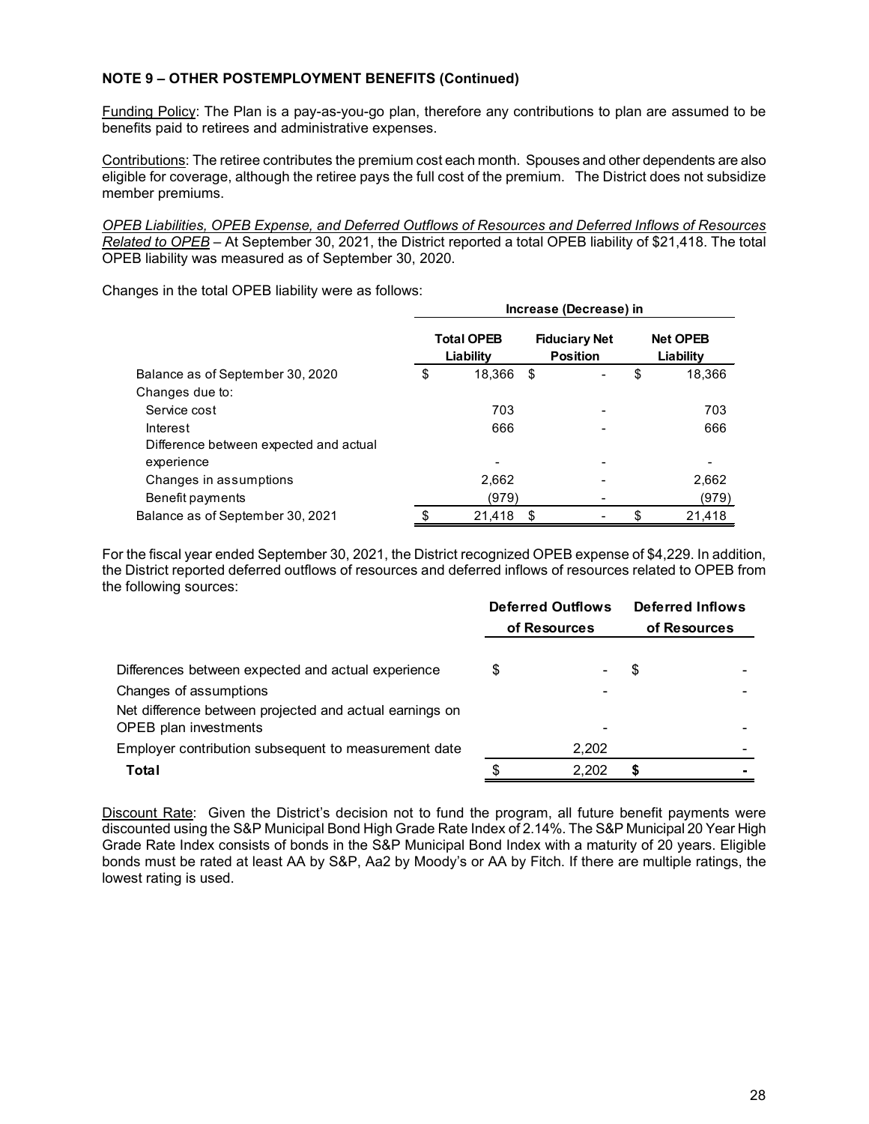# **NOTE 9 – OTHER POSTEMPLOYMENT BENEFITS (Continued)**

Funding Policy: The Plan is a pay-as-you-go plan, therefore any contributions to plan are assumed to be benefits paid to retirees and administrative expenses.

Contributions: The retiree contributes the premium cost each month. Spouses and other dependents are also eligible for coverage, although the retiree pays the full cost of the premium. The District does not subsidize member premiums.

*OPEB Liabilities, OPEB Expense, and Deferred Outflows of Resources and Deferred Inflows of Resources Related to OPEB* – At September 30, 2021, the District reported a total OPEB liability of \$21,418. The total OPEB liability was measured as of September 30, 2020.

Changes in the total OPEB liability were as follows:

|                                        | Increase (Decrease) in |                                |    |                                         |    |                              |  |  |  |  |  |  |  |
|----------------------------------------|------------------------|--------------------------------|----|-----------------------------------------|----|------------------------------|--|--|--|--|--|--|--|
|                                        |                        | <b>Total OPEB</b><br>Liability |    | <b>Fiduciary Net</b><br><b>Position</b> |    | <b>Net OPEB</b><br>Liability |  |  |  |  |  |  |  |
| Balance as of September 30, 2020       |                        | 18,366                         | \$ |                                         | \$ | 18,366                       |  |  |  |  |  |  |  |
| Changes due to:                        |                        |                                |    |                                         |    |                              |  |  |  |  |  |  |  |
| Service cost                           |                        | 703                            |    |                                         |    | 703                          |  |  |  |  |  |  |  |
| Interest                               |                        | 666                            |    |                                         |    | 666                          |  |  |  |  |  |  |  |
| Difference between expected and actual |                        |                                |    |                                         |    |                              |  |  |  |  |  |  |  |
| experience                             |                        |                                |    |                                         |    |                              |  |  |  |  |  |  |  |
| Changes in assumptions                 |                        | 2,662                          |    |                                         |    | 2,662                        |  |  |  |  |  |  |  |
| Benefit payments                       |                        | (979)                          |    |                                         |    | (979)                        |  |  |  |  |  |  |  |
| Balance as of September 30, 2021       | \$                     | 21,418                         | \$ |                                         | \$ | 21,418                       |  |  |  |  |  |  |  |

For the fiscal year ended September 30, 2021, the District recognized OPEB expense of \$4,229. In addition, the District reported deferred outflows of resources and deferred inflows of resources related to OPEB from the following sources:

|                                                                                                                   |   | <b>Deferred Outflows</b><br>of Resources | <b>Deferred Inflows</b><br>of Resources |  |  |  |  |
|-------------------------------------------------------------------------------------------------------------------|---|------------------------------------------|-----------------------------------------|--|--|--|--|
| Differences between expected and actual experience                                                                | S |                                          | \$                                      |  |  |  |  |
| Changes of assumptions<br>Net difference between projected and actual earnings on<br><b>OPEB</b> plan investments |   |                                          |                                         |  |  |  |  |
| Employer contribution subsequent to measurement date                                                              |   | 2,202                                    |                                         |  |  |  |  |
| Total                                                                                                             |   | 2.202                                    | S                                       |  |  |  |  |

Discount Rate: Given the District's decision not to fund the program, all future benefit payments were discounted using the S&P Municipal Bond High Grade Rate Index of 2.14%. The S&P Municipal 20 Year High Grade Rate Index consists of bonds in the S&P Municipal Bond Index with a maturity of 20 years. Eligible bonds must be rated at least AA by S&P, Aa2 by Moody's or AA by Fitch. If there are multiple ratings, the lowest rating is used.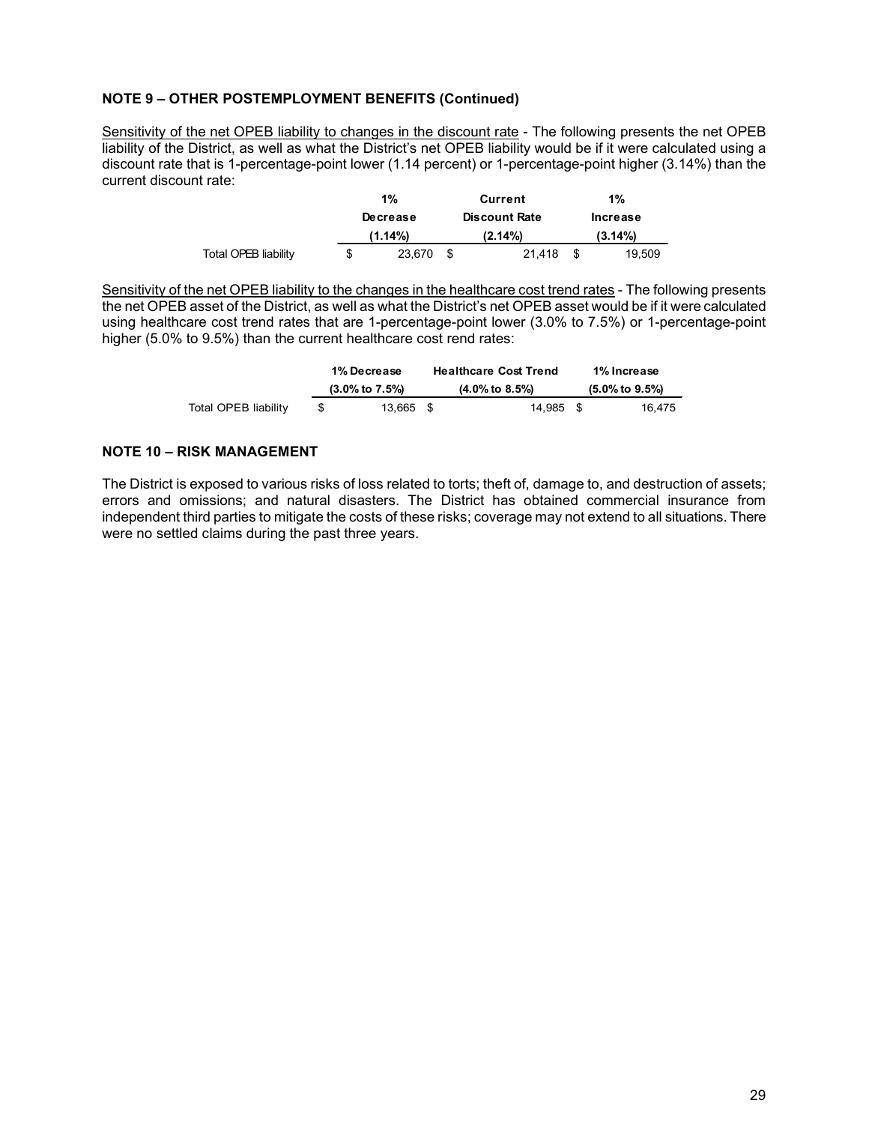# **NOTE 9 – OTHER POSTEMPLOYMENT BENEFITS (Continued)**

Sensitivity of the net OPEB liability to changes in the discount rate - The following presents the net OPEB liability of the District, as well as what the District's net OPEB liability would be if it were calculated using a discount rate that is 1-percentage-point lower (1.14 percent) or 1-percentage-point higher (3.14%) than the current discount rate:

|                      |   | $1\%$    | Current              | 1%         |
|----------------------|---|----------|----------------------|------------|
|                      |   | Decrease | <b>Discount Rate</b> | Increase   |
|                      |   | (1.14%)  | $(2.14\%)$           | $(3.14\%)$ |
| Total OPEB liability | S | 23,670   | 21.418               | 19.509     |

Sensitivity of the net OPEB liability to the changes in the healthcare cost trend rates - The following presents the net OPEB asset of the District, as well as what the District's net OPEB asset would be if it were calculated using healthcare cost trend rates that are 1-percentage-point lower (3.0% to 7.5%) or 1-percentage-point higher (5.0% to 9.5%) than the current healthcare cost rend rates:

|                      |                             | <b>1% Decrease</b>          | <b>Healthcare Cost Trend</b> | 1% Increase |
|----------------------|-----------------------------|-----------------------------|------------------------------|-------------|
|                      | $(3.0\% \text{ to } 7.5\%)$ | $(4.0\% \text{ to } 8.5\%)$ | $(5.0\% \text{ to } 9.5\%)$  |             |
| Total OPEB liability |                             | 13.665 \$                   | 14.985 \$                    | 16.475      |

# **NOTE 10 – RISK MANAGEMENT**

The District is exposed to various risks of loss related to torts; theft of, damage to, and destruction of assets; errors and omissions; and natural disasters. The District has obtained commercial insurance from independent third parties to mitigate the costs of these risks; coverage may not extend to all situations. There were no settled claims during the past three years.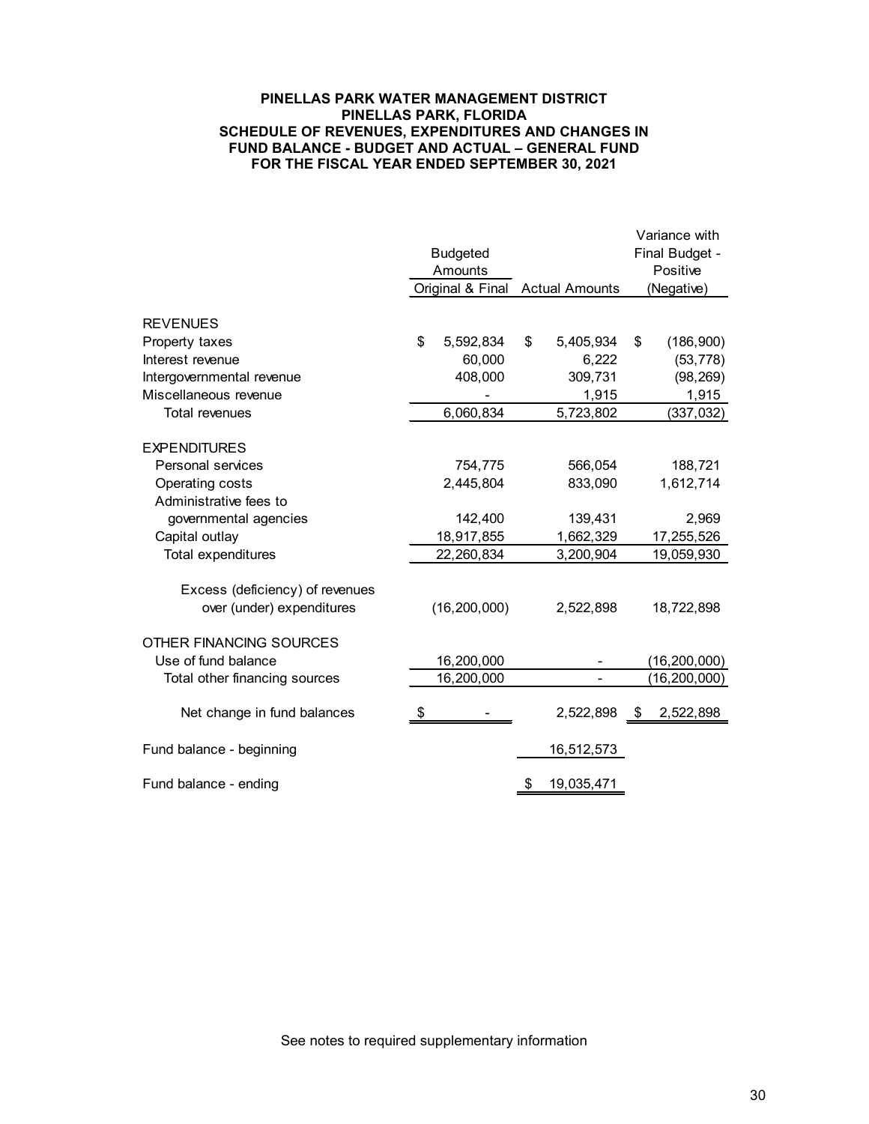#### **PINELLAS PARK WATER MANAGEMENT DISTRICT PINELLAS PARK, FLORIDA SCHEDULE OF REVENUES, EXPENDITURES AND CHANGES IN FUND BALANCE - BUDGET AND ACTUAL – GENERAL FUND FOR THE FISCAL YEAR ENDED SEPTEMBER 30, 2021**

|                                 |                  |                       | Variance with  |                |  |  |  |
|---------------------------------|------------------|-----------------------|----------------|----------------|--|--|--|
|                                 | <b>Budgeted</b>  |                       | Final Budget - |                |  |  |  |
|                                 | Amounts          |                       |                | Positive       |  |  |  |
|                                 | Original & Final | <b>Actual Amounts</b> |                | (Negative)     |  |  |  |
|                                 |                  |                       |                |                |  |  |  |
| <b>REVENUES</b>                 |                  |                       |                |                |  |  |  |
| Property taxes                  | \$<br>5,592,834  | \$<br>5,405,934       | \$             | (186, 900)     |  |  |  |
| Interest revenue                | 60,000           | 6,222                 |                | (53, 778)      |  |  |  |
| Intergovernmental revenue       | 408,000          | 309,731               |                | (98, 269)      |  |  |  |
| Miscellaneous revenue           |                  | 1,915                 |                | 1,915          |  |  |  |
| <b>Total revenues</b>           | 6,060,834        | 5,723,802             |                | (337, 032)     |  |  |  |
| <b>EXPENDITURES</b>             |                  |                       |                |                |  |  |  |
| Personal services               | 754,775          | 566,054               |                | 188,721        |  |  |  |
| Operating costs                 | 2,445,804        | 833,090               |                | 1,612,714      |  |  |  |
| Administrative fees to          |                  |                       |                |                |  |  |  |
| governmental agencies           | 142,400          | 139,431               |                | 2,969          |  |  |  |
| Capital outlay                  | 18,917,855       | 1,662,329             |                | 17,255,526     |  |  |  |
| Total expenditures              | 22,260,834       | 3,200,904             |                | 19,059,930     |  |  |  |
|                                 |                  |                       |                |                |  |  |  |
| Excess (deficiency) of revenues |                  |                       |                |                |  |  |  |
| over (under) expenditures       | (16, 200, 000)   | 2,522,898             |                | 18,722,898     |  |  |  |
|                                 |                  |                       |                |                |  |  |  |
| OTHER FINANCING SOURCES         |                  |                       |                |                |  |  |  |
| Use of fund balance             | 16,200,000       |                       |                | (16, 200, 000) |  |  |  |
| Total other financing sources   | 16,200,000       |                       |                | (16, 200, 000) |  |  |  |
| Net change in fund balances     | \$               | 2,522,898             | \$             | 2,522,898      |  |  |  |
| Fund balance - beginning        |                  | 16,512,573            |                |                |  |  |  |
| Fund balance - ending           |                  | \$<br>19,035,471      |                |                |  |  |  |
|                                 |                  |                       |                |                |  |  |  |

See notes to required supplementary information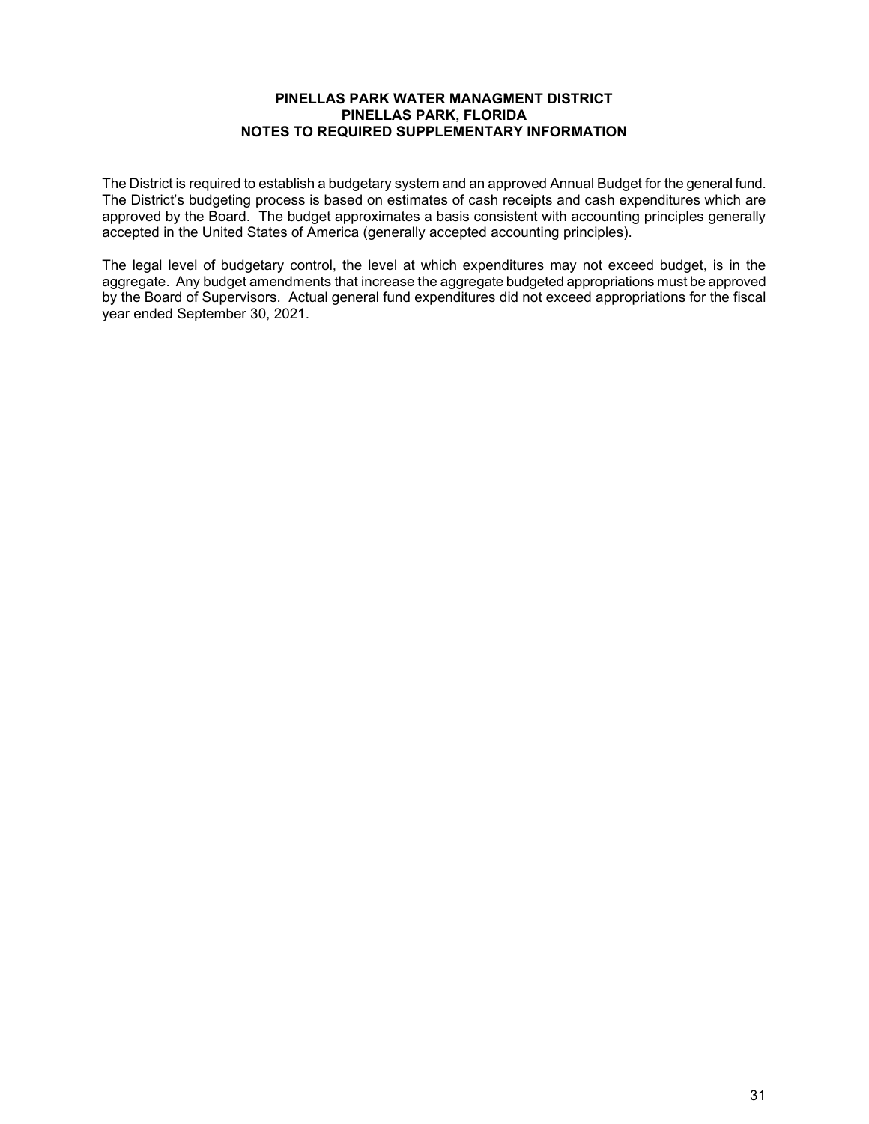#### **PINELLAS PARK WATER MANAGMENT DISTRICT PINELLAS PARK, FLORIDA NOTES TO REQUIRED SUPPLEMENTARY INFORMATION**

The District is required to establish a budgetary system and an approved Annual Budget for the general fund. The District's budgeting process is based on estimates of cash receipts and cash expenditures which are approved by the Board. The budget approximates a basis consistent with accounting principles generally accepted in the United States of America (generally accepted accounting principles).

The legal level of budgetary control, the level at which expenditures may not exceed budget, is in the aggregate. Any budget amendments that increase the aggregate budgeted appropriations must be approved by the Board of Supervisors. Actual general fund expenditures did not exceed appropriations for the fiscal year ended September 30, 2021.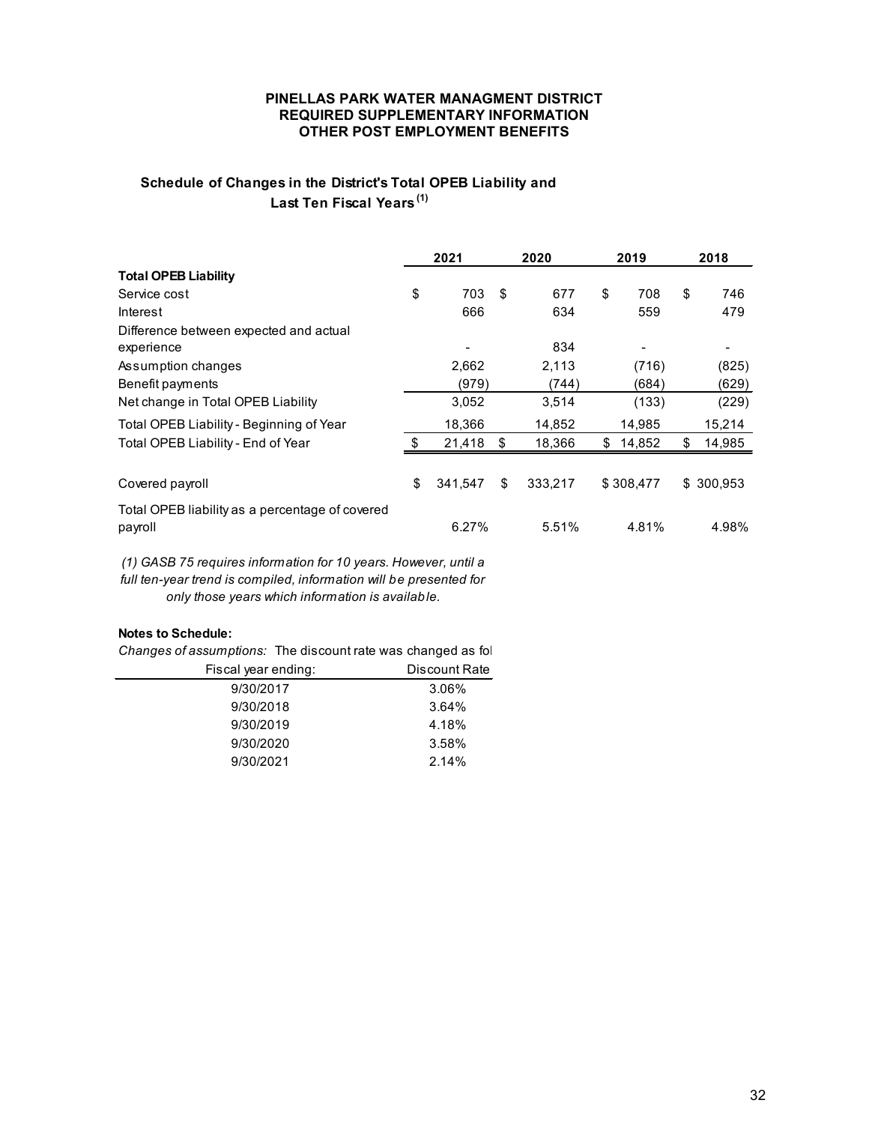#### **PINELLAS PARK WATER MANAGMENT DISTRICT REQUIRED SUPPLEMENTARY INFORMATION OTHER POST EMPLOYMENT BENEFITS**

# **Schedule of Changes in the District's Total OPEB Liability and Last Ten Fiscal Years (1)**

|                                                            | 2021 |         | 2020 |         | 2019         | 2018         |
|------------------------------------------------------------|------|---------|------|---------|--------------|--------------|
| <b>Total OPEB Liability</b>                                |      |         |      |         |              |              |
| Service cost                                               | \$   | 703     | \$   | 677     | \$<br>708    | \$<br>746    |
| Interest                                                   |      | 666     |      | 634     | 559          | 479          |
| Difference between expected and actual                     |      |         |      |         |              |              |
| experience                                                 |      |         |      | 834     |              |              |
| Assumption changes                                         |      | 2,662   |      | 2,113   | (716)        | (825)        |
| Benefit payments                                           |      | (979)   |      | (744)   | (684)        | (629)        |
| Net change in Total OPEB Liability                         |      | 3,052   |      | 3,514   | (133)        | (229)        |
| Total OPEB Liability - Beginning of Year                   |      | 18.366  |      | 14,852  | 14,985       | 15,214       |
| Total OPEB Liability - End of Year                         |      | 21,418  | \$   | 18,366  | \$<br>14,852 | \$<br>14,985 |
|                                                            |      |         |      |         |              |              |
| Covered payroll                                            | \$   | 341,547 | \$   | 333,217 | \$308,477    | \$300,953    |
| Total OPEB liability as a percentage of covered<br>payroll |      | 6.27%   |      | 5.51%   | 4.81%        | 4.98%        |

*(1) GASB 75 requires information for 10 years. However, until a full ten-year trend is compiled, information will be presented for only those years which information is available.* 

## **Notes to Schedule:**

*Changes of assumptions:* The discount rate was changed as fol

| Fiscal year ending: | Discount Rate |
|---------------------|---------------|
| 9/30/2017           | 3.06%         |
| 9/30/2018           | 3.64%         |
| 9/30/2019           | 4.18%         |
| 9/30/2020           | 3.58%         |
| 9/30/2021           | 2.14%         |
|                     |               |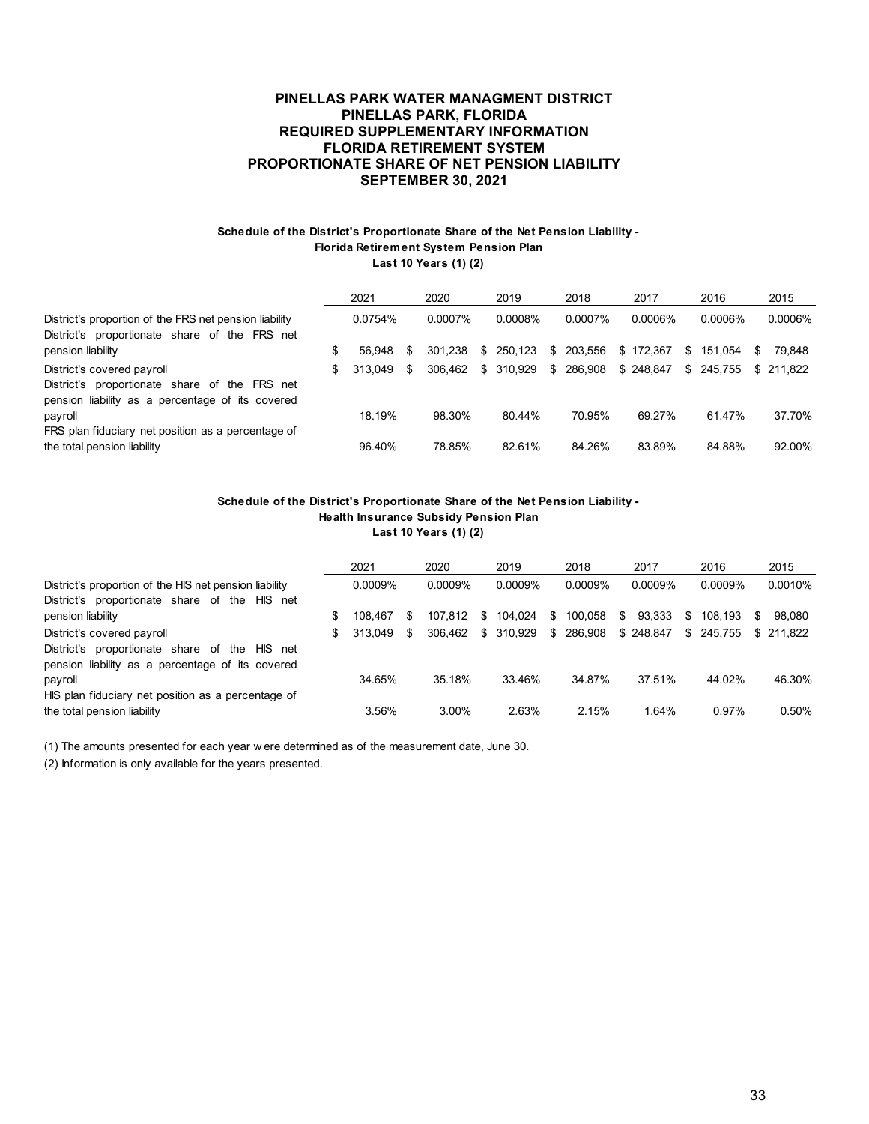#### **PINELLAS PARK WATER MANAGMENT DISTRICT PINELLAS PARK, FLORIDA REQUIRED SUPPLEMENTARY INFORMATION FLORIDA RETIREMENT SYSTEM PROPORTIONATE SHARE OF NET PENSION LIABILITY SEPTEMBER 30, 2021**

#### **Schedule of the District's Proportionate Share of the Net Pension Liability - Florida Retirement System Pension Plan Last 10 Years (1) (2)**

|                                                                                                                                 | 2021          |   | 2020    | 2019       |    | 2018    | 2017      |     | 2016       |   | 2015      |
|---------------------------------------------------------------------------------------------------------------------------------|---------------|---|---------|------------|----|---------|-----------|-----|------------|---|-----------|
| District's proportion of the FRS net pension liability<br>District's proportionate share of the FRS net                         | 0.0754%       |   | 0.0007% | 0.0008%    |    | 0.0007% | 0.0006%   |     | $0.0006\%$ |   | 0.0006%   |
| pension liability                                                                                                               | \$<br>56.948  | S | 301.238 | \$250.123  | S. | 203.556 | \$172.367 | \$. | 151.054    | S | 79.848    |
| District's covered payroll<br>District's proportionate share of the FRS net<br>pension liability as a percentage of its covered | \$<br>313.049 | S | 306.462 | \$ 310.929 | \$ | 286,908 | \$248.847 |     | \$ 245.755 |   | \$211.822 |
| payroll                                                                                                                         | 18.19%        |   | 98.30%  | 80.44%     |    | 70.95%  | 69.27%    |     | 61.47%     |   | 37.70%    |
| FRS plan fiduciary net position as a percentage of<br>the total pension liability                                               | 96.40%        |   | 78.85%  | 82.61%     |    | 84.26%  | 83.89%    |     | 84.88%     |   | 92.00%    |

#### **Schedule of the District's Proportionate Share of the Net Pension Liability - Health Insurance Subsidy Pension Plan Last 10 Years (1) (2)**

|                                                        | 2021          |   | 2020       |    | 2019    |    | 2018       |    | 2017      |    | 2016       |    | 2015      |
|--------------------------------------------------------|---------------|---|------------|----|---------|----|------------|----|-----------|----|------------|----|-----------|
| District's proportion of the HIS net pension liability | $0.0009\%$    |   | $0.0009\%$ |    | 0.0009% |    | $0.0009\%$ |    | 0.0009%   |    | 0.0009%    |    | 0.0010%   |
| District's proportionate share of the<br>HIS net       |               |   |            |    |         |    |            |    |           |    |            |    |           |
| pension liability                                      | \$<br>108.467 | S | 107.812    | S. | 104.024 | S. | 100.058    | S. | 93.333    | S. | 108.193    | S. | 98.080    |
| District's covered payroll                             | \$<br>313.049 | S | 306.462    | S. | 310.929 | S. | 286,908    |    | \$248.847 |    | \$ 245.755 |    | \$211.822 |
| District's proportionate share of the<br>HIS net       |               |   |            |    |         |    |            |    |           |    |            |    |           |
| pension liability as a percentage of its covered       |               |   |            |    |         |    |            |    |           |    |            |    |           |
| payroll                                                | 34.65%        |   | 35.18%     |    | 33.46%  |    | 34.87%     |    | 37.51%    |    | 44.02%     |    | 46.30%    |
| HIS plan fiduciary net position as a percentage of     |               |   |            |    |         |    |            |    |           |    |            |    |           |
| the total pension liability                            | 3.56%         |   | 3.00%      |    | 2.63%   |    | 2.15%      |    | 1.64%     |    | $0.97\%$   |    | $0.50\%$  |

(1) The amounts presented for each year w ere determined as of the measurement date, June 30.

(2) Information is only available for the years presented.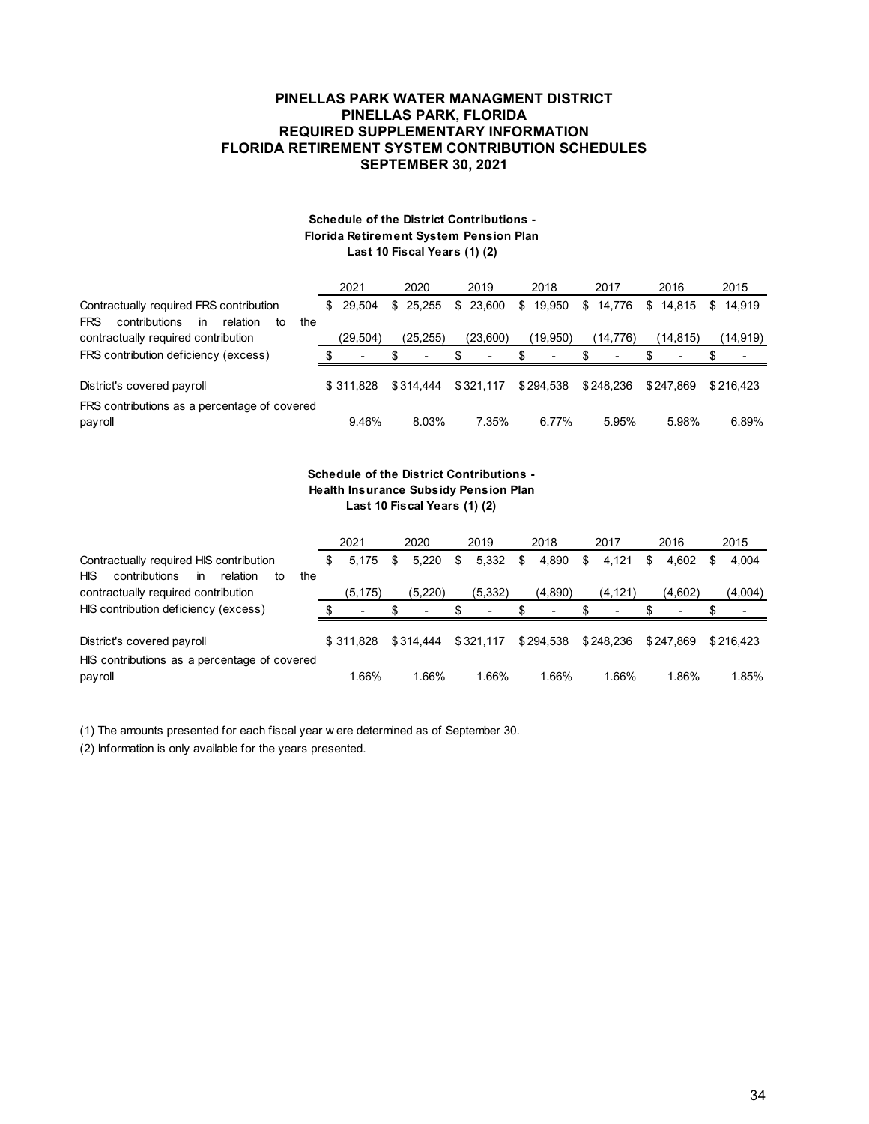#### **PINELLAS PARK WATER MANAGMENT DISTRICT PINELLAS PARK, FLORIDA REQUIRED SUPPLEMENTARY INFORMATION FLORIDA RETIREMENT SYSTEM CONTRIBUTION SCHEDULES SEPTEMBER 30, 2021**

#### **Schedule of the District Contributions - Florida Retirement System Pension Plan Last 10 Fiscal Years (1) (2)**

|                                                                                                       | 2021      |          | 2020      | 2019      | 2018         | 2017         | 2016         |    | 2015      |
|-------------------------------------------------------------------------------------------------------|-----------|----------|-----------|-----------|--------------|--------------|--------------|----|-----------|
| Contractually required FRS contribution<br>in<br><b>FRS</b><br>contributions<br>relation<br>the<br>to | \$.       | 29.504   | \$25.255  | \$23,600  | \$<br>19,950 | \$<br>14.776 | \$<br>14.815 | S. | 14.919    |
| contractually required contribution                                                                   |           | (29,504) | (25, 255) | (23,600)  | (19,950)     | (14,776)     | (14, 815)    |    | (14,919)  |
| FRS contribution deficiency (excess)                                                                  |           |          | ٠         | ٠         | ٠            | ٠            |              |    |           |
| District's covered payroll                                                                            | \$311.828 |          | \$314.444 | \$321.117 | \$294.538    | \$248.236    | \$247.869    |    | \$216.423 |
| FRS contributions as a percentage of covered<br>payroll                                               |           | 9.46%    | 8.03%     | 7.35%     | 6.77%        | 5.95%        | 5.98%        |    | 6.89%     |

#### **Schedule of the District Contributions - Health Insurance Subsidy Pension Plan Last 10 Fiscal Years (1) (2)**

|                                                                                                              | 2021        | 2020       | 2019                     | 2018        | 2017        | 2016       | 2015       |  |
|--------------------------------------------------------------------------------------------------------------|-------------|------------|--------------------------|-------------|-------------|------------|------------|--|
| Contractually required HIS contribution<br><b>HIS</b><br>contributions<br>the<br>relation<br><b>in</b><br>to | 5.175<br>S. | 5.220<br>S | 5,332<br>\$              | 4,890<br>\$ | 4.121<br>\$ | 4.602<br>S | 4.004<br>S |  |
| contractually required contribution                                                                          | (5, 175)    | (5,220)    | (5, 332)                 | (4,890)     | (4,121)     | (4,602)    | (4,004)    |  |
| HIS contribution deficiency (excess)                                                                         |             |            | $\overline{\phantom{a}}$ | ٠           | ۰           |            |            |  |
| District's covered payroll                                                                                   | \$ 311.828  | \$314,444  | \$321.117                | \$294,538   | \$248,236   | \$247.869  | \$216.423  |  |
| HIS contributions as a percentage of covered<br>payroll                                                      | 1.66%       | 1.66%      | 1.66%                    | 1.66%       | 1.66%       | 1.86%      | 1.85%      |  |

(1) The amounts presented for each fiscal year w ere determined as of September 30.

(2) Information is only available for the years presented.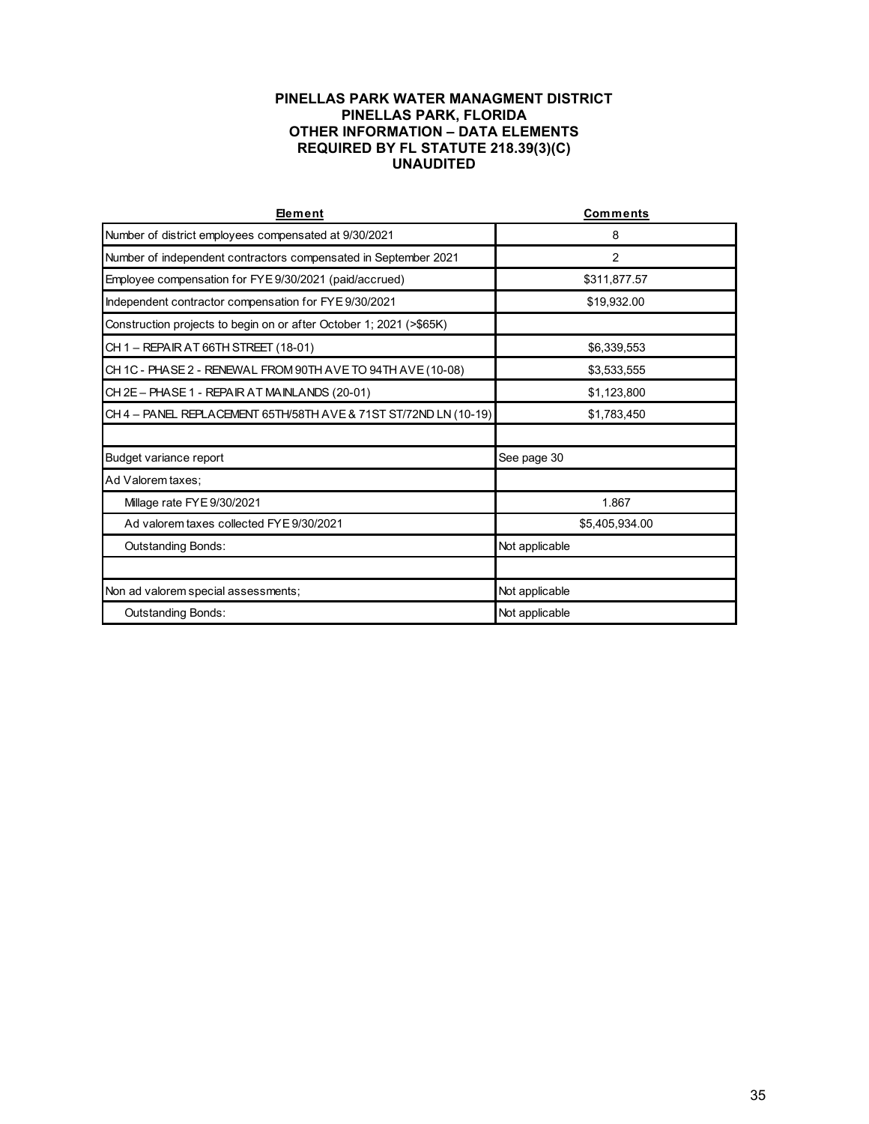## **PINELLAS PARK WATER MANAGMENT DISTRICT PINELLAS PARK, FLORIDA OTHER INFORMATION – DATA ELEMENTS REQUIRED BY FL STATUTE 218.39(3)(C) UNAUDITED**

| Element                                                             | <b>Comments</b> |  |  |  |  |
|---------------------------------------------------------------------|-----------------|--|--|--|--|
| Number of district employees compensated at 9/30/2021               | 8               |  |  |  |  |
| Number of independent contractors compensated in September 2021     | $\overline{2}$  |  |  |  |  |
| Employee compensation for FYE 9/30/2021 (paid/accrued)              | \$311,877.57    |  |  |  |  |
| Independent contractor compensation for FYE 9/30/2021               | \$19,932.00     |  |  |  |  |
| Construction projects to begin on or after October 1; 2021 (>\$65K) |                 |  |  |  |  |
| CH 1 - REPAIR AT 66TH STREET (18-01)                                | \$6,339,553     |  |  |  |  |
| CH 1C - PHASE 2 - RENEWAL FROM 90TH AVE TO 94TH AVE (10-08)         | \$3,533,555     |  |  |  |  |
| CH 2E - PHASE 1 - REPAIR AT MAINLANDS (20-01)                       | \$1,123,800     |  |  |  |  |
| CH4-PANEL REPLACEMENT 65TH/58TH AVE & 71ST ST/72ND LN (10-19)       | \$1,783,450     |  |  |  |  |
|                                                                     |                 |  |  |  |  |
| Budget variance report                                              | See page 30     |  |  |  |  |
| Ad Valorem taxes:                                                   |                 |  |  |  |  |
| Millage rate FYE 9/30/2021                                          | 1.867           |  |  |  |  |
| Ad valorem taxes collected FYE 9/30/2021                            | \$5,405,934.00  |  |  |  |  |
| <b>Outstanding Bonds:</b>                                           | Not applicable  |  |  |  |  |
|                                                                     |                 |  |  |  |  |
| Non ad valorem special assessments;                                 | Not applicable  |  |  |  |  |
| <b>Outstanding Bonds:</b>                                           | Not applicable  |  |  |  |  |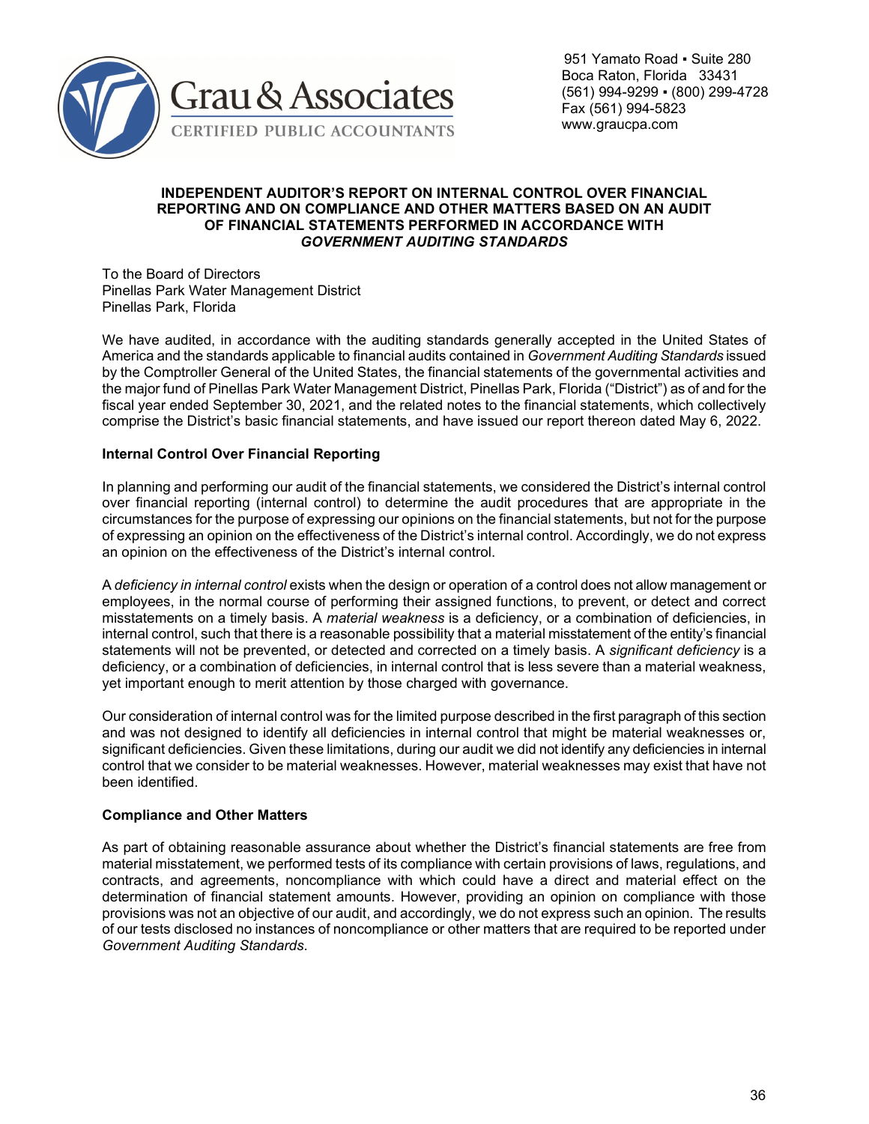

 951 Yamato Road ▪ Suite 280 Boca Raton, Florida 33431 (561) 994-9299 ▪ (800) 299-4728 Fax (561) 994-5823 www.graucpa.com

## **INDEPENDENT AUDITOR'S REPORT ON INTERNAL CONTROL OVER FINANCIAL REPORTING AND ON COMPLIANCE AND OTHER MATTERS BASED ON AN AUDIT OF FINANCIAL STATEMENTS PERFORMED IN ACCORDANCE WITH**  *GOVERNMENT AUDITING STANDARDS*

To the Board of Directors Pinellas Park Water Management District Pinellas Park, Florida

We have audited, in accordance with the auditing standards generally accepted in the United States of America and the standards applicable to financial audits contained in *Government Auditing Standards* issued by the Comptroller General of the United States, the financial statements of the governmental activities and the major fund of Pinellas Park Water Management District, Pinellas Park, Florida ("District") as of and for the fiscal year ended September 30, 2021, and the related notes to the financial statements, which collectively comprise the District's basic financial statements, and have issued our report thereon dated May 6, 2022.

# **Internal Control Over Financial Reporting**

In planning and performing our audit of the financial statements, we considered the District's internal control over financial reporting (internal control) to determine the audit procedures that are appropriate in the circumstances for the purpose of expressing our opinions on the financial statements, but not for the purpose of expressing an opinion on the effectiveness of the District's internal control. Accordingly, we do not express an opinion on the effectiveness of the District's internal control.

A *deficiency in internal control* exists when the design or operation of a control does not allow management or employees, in the normal course of performing their assigned functions, to prevent, or detect and correct misstatements on a timely basis. A *material weakness* is a deficiency, or a combination of deficiencies, in internal control, such that there is a reasonable possibility that a material misstatement of the entity's financial statements will not be prevented, or detected and corrected on a timely basis. A *significant deficiency* is a deficiency, or a combination of deficiencies, in internal control that is less severe than a material weakness, yet important enough to merit attention by those charged with governance.

Our consideration of internal control was for the limited purpose described in the first paragraph of this section and was not designed to identify all deficiencies in internal control that might be material weaknesses or, significant deficiencies. Given these limitations, during our audit we did not identify any deficiencies in internal control that we consider to be material weaknesses. However, material weaknesses may exist that have not been identified.

# **Compliance and Other Matters**

As part of obtaining reasonable assurance about whether the District's financial statements are free from material misstatement, we performed tests of its compliance with certain provisions of laws, regulations, and contracts, and agreements, noncompliance with which could have a direct and material effect on the determination of financial statement amounts. However, providing an opinion on compliance with those provisions was not an objective of our audit, and accordingly, we do not express such an opinion. The results of our tests disclosed no instances of noncompliance or other matters that are required to be reported under *Government Auditing Standards*.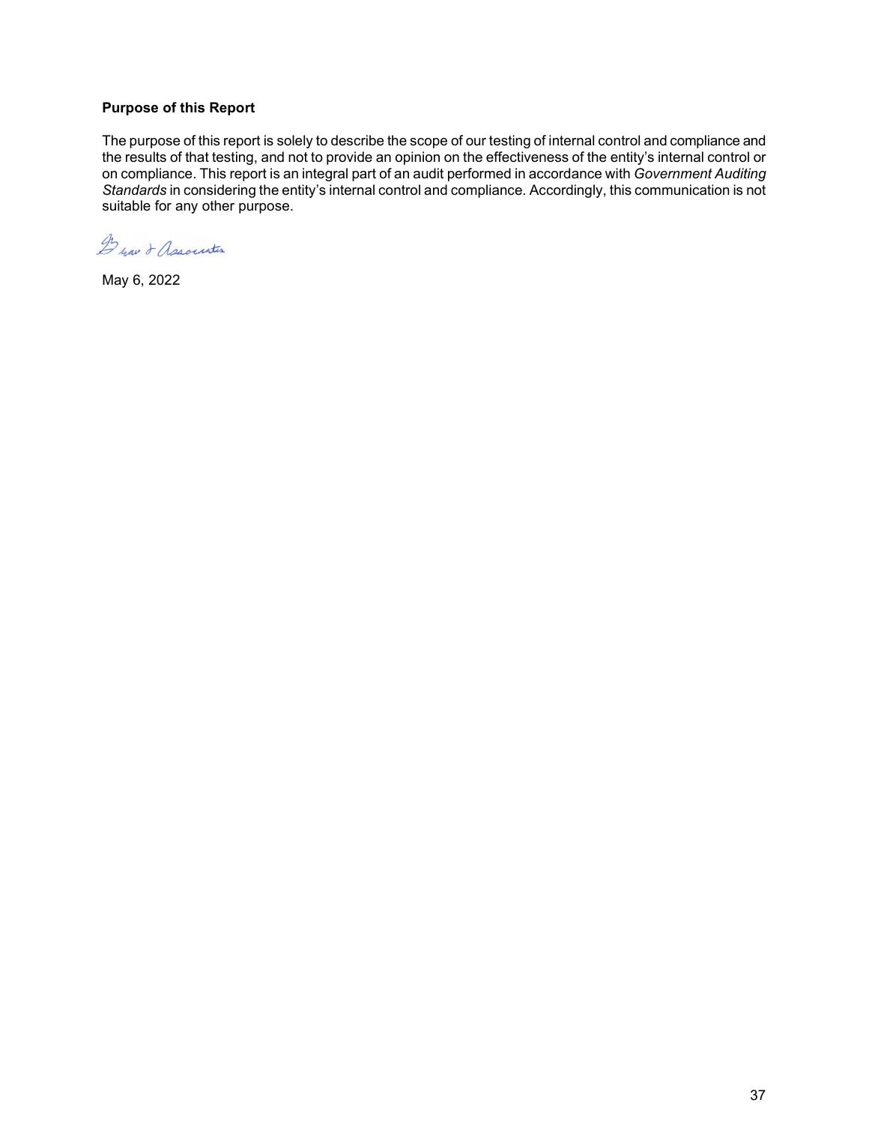# **Purpose of this Report**

The purpose of this report is solely to describe the scope of our testing of internal control and compliance and the results of that testing, and not to provide an opinion on the effectiveness of the entity's internal control or on compliance. This report is an integral part of an audit performed in accordance with *Government Auditing Standards* in considering the entity's internal control and compliance. Accordingly, this communication is not suitable for any other purpose.

De nav & Association

May 6, 2022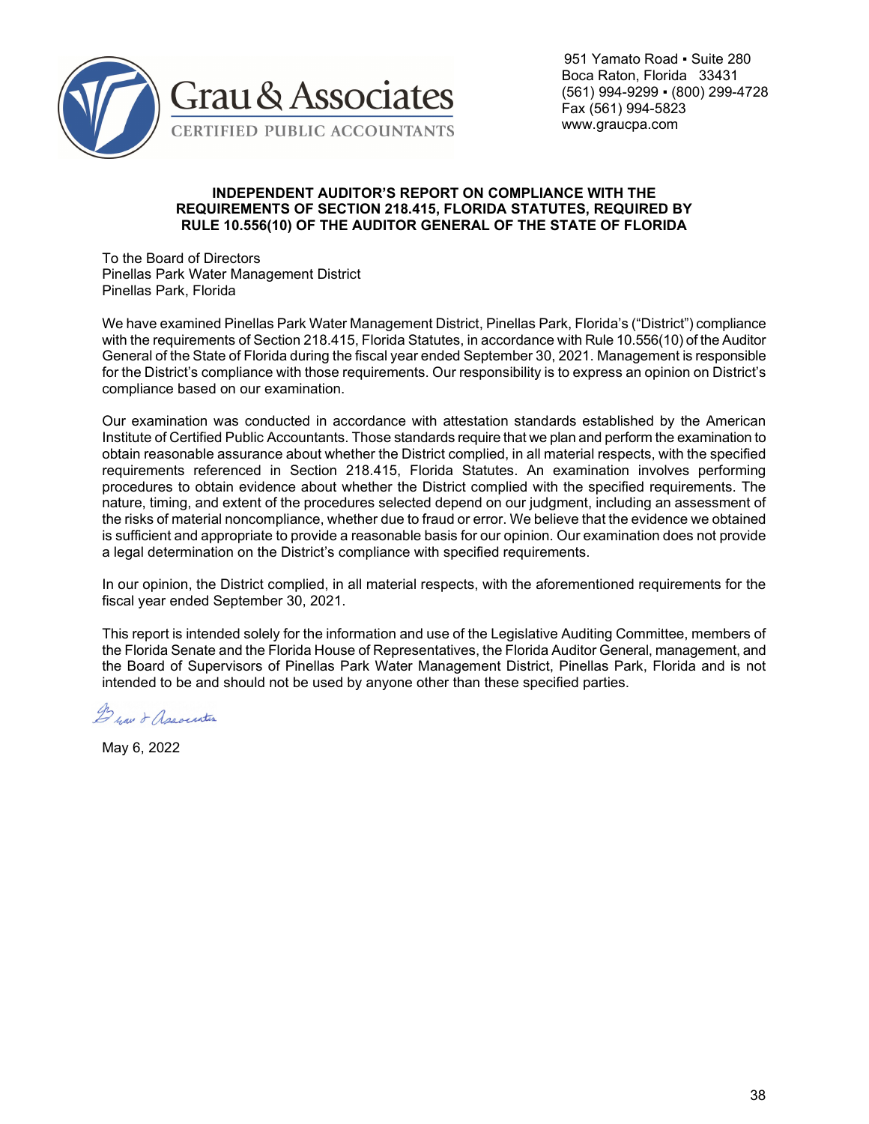

 951 Yamato Road ▪ Suite 280 Boca Raton, Florida 33431 (561) 994-9299 ▪ (800) 299-4728 Fax (561) 994-5823 www.graucpa.com

#### **INDEPENDENT AUDITOR'S REPORT ON COMPLIANCE WITH THE REQUIREMENTS OF SECTION 218.415, FLORIDA STATUTES, REQUIRED BY RULE 10.556(10) OF THE AUDITOR GENERAL OF THE STATE OF FLORIDA**

To the Board of Directors Pinellas Park Water Management District Pinellas Park, Florida

We have examined Pinellas Park Water Management District, Pinellas Park, Florida's ("District") compliance with the requirements of Section 218.415, Florida Statutes, in accordance with Rule 10.556(10) of the Auditor General of the State of Florida during the fiscal year ended September 30, 2021. Management is responsible for the District's compliance with those requirements. Our responsibility is to express an opinion on District's compliance based on our examination.

Our examination was conducted in accordance with attestation standards established by the American Institute of Certified Public Accountants. Those standards require that we plan and perform the examination to obtain reasonable assurance about whether the District complied, in all material respects, with the specified requirements referenced in Section 218.415, Florida Statutes. An examination involves performing procedures to obtain evidence about whether the District complied with the specified requirements. The nature, timing, and extent of the procedures selected depend on our judgment, including an assessment of the risks of material noncompliance, whether due to fraud or error. We believe that the evidence we obtained is sufficient and appropriate to provide a reasonable basis for our opinion. Our examination does not provide a legal determination on the District's compliance with specified requirements.

In our opinion, the District complied, in all material respects, with the aforementioned requirements for the fiscal year ended September 30, 2021.

This report is intended solely for the information and use of the Legislative Auditing Committee, members of the Florida Senate and the Florida House of Representatives, the Florida Auditor General, management, and the Board of Supervisors of Pinellas Park Water Management District, Pinellas Park, Florida and is not intended to be and should not be used by anyone other than these specified parties.

De yau & Association

May 6, 2022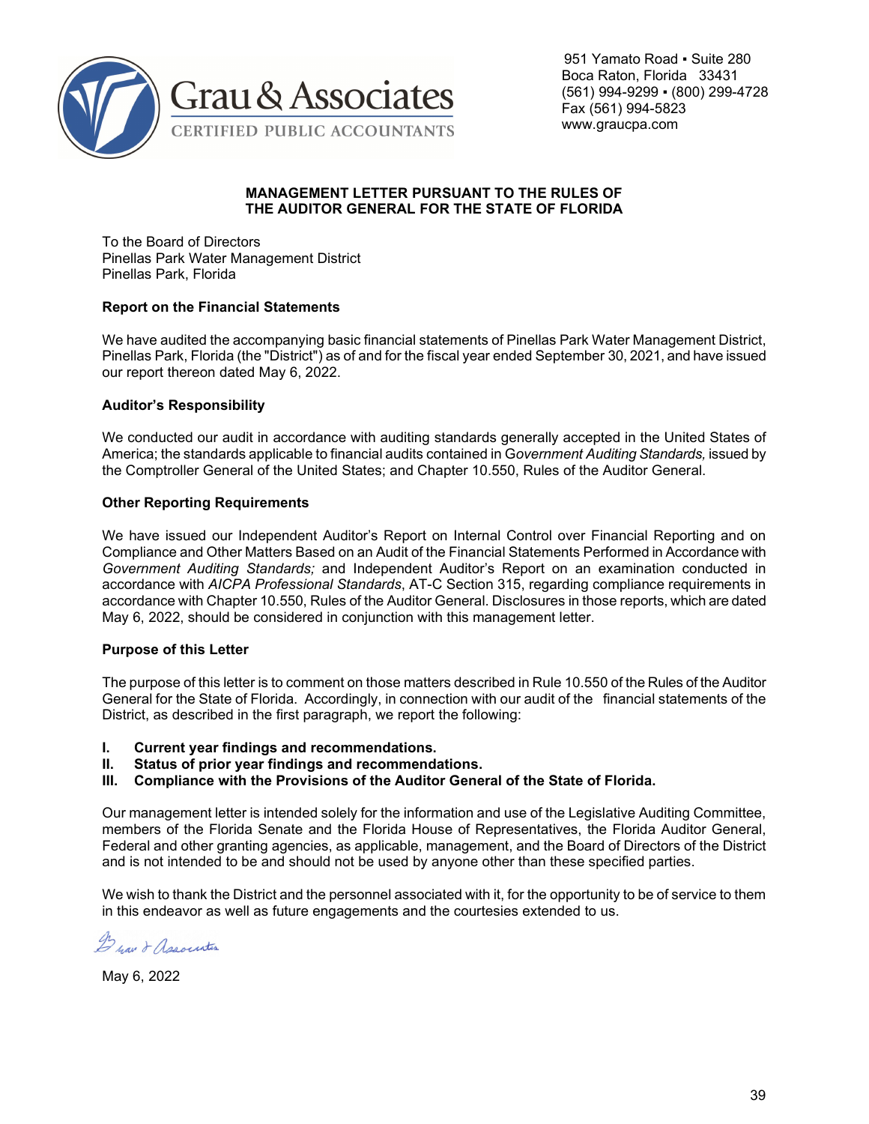

 951 Yamato Road ▪ Suite 280 Boca Raton, Florida 33431 (561) 994-9299 ▪ (800) 299-4728 Fax (561) 994-5823 www.graucpa.com

## **MANAGEMENT LETTER PURSUANT TO THE RULES OF THE AUDITOR GENERAL FOR THE STATE OF FLORIDA**

To the Board of Directors Pinellas Park Water Management District Pinellas Park, Florida

# **Report on the Financial Statements**

We have audited the accompanying basic financial statements of Pinellas Park Water Management District, Pinellas Park, Florida (the "District") as of and for the fiscal year ended September 30, 2021, and have issued our report thereon dated May 6, 2022.

# **Auditor's Responsibility**

We conducted our audit in accordance with auditing standards generally accepted in the United States of America; the standards applicable to financial audits contained in G*overnment Auditing Standards,* issued by the Comptroller General of the United States; and Chapter 10.550, Rules of the Auditor General.

# **Other Reporting Requirements**

We have issued our Independent Auditor's Report on Internal Control over Financial Reporting and on Compliance and Other Matters Based on an Audit of the Financial Statements Performed in Accordance with *Government Auditing Standards;* and Independent Auditor's Report on an examination conducted in accordance with *AICPA Professional Standards*, AT-C Section 315, regarding compliance requirements in accordance with Chapter 10.550, Rules of the Auditor General. Disclosures in those reports, which are dated May 6, 2022, should be considered in conjunction with this management letter.

#### **Purpose of this Letter**

The purpose of this letter is to comment on those matters described in Rule 10.550 of the Rules of the Auditor General for the State of Florida. Accordingly, in connection with our audit of the financial statements of the District, as described in the first paragraph, we report the following:

- **I. Current year findings and recommendations.**
- **II. Status of prior year findings and recommendations.**
- **III. Compliance with the Provisions of the Auditor General of the State of Florida.**

Our management letter is intended solely for the information and use of the Legislative Auditing Committee, members of the Florida Senate and the Florida House of Representatives, the Florida Auditor General, Federal and other granting agencies, as applicable, management, and the Board of Directors of the District and is not intended to be and should not be used by anyone other than these specified parties.

We wish to thank the District and the personnel associated with it, for the opportunity to be of service to them in this endeavor as well as future engagements and the courtesies extended to us.

De nav & Association

May 6, 2022